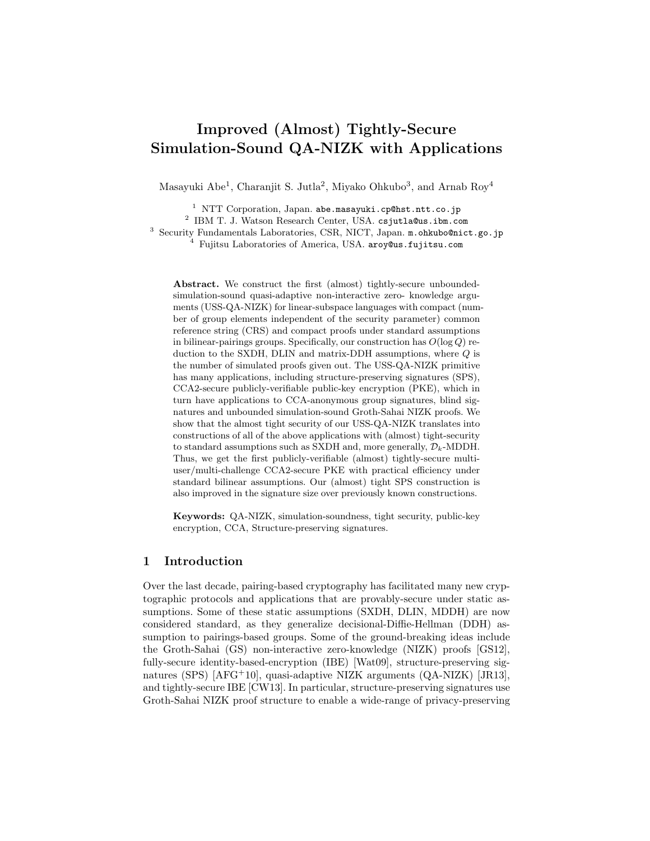# Improved (Almost) Tightly-Secure Simulation-Sound QA-NIZK with Applications

Masayuki Abe<sup>1</sup>, Charanjit S. Jutla<sup>2</sup>, Miyako Ohkubo<sup>3</sup>, and Arnab Roy<sup>4</sup>

<sup>1</sup> NTT Corporation, Japan. abe.masayuki.cp@hst.ntt.co.jp

2 IBM T. J. Watson Research Center, USA. csjutla@us.ibm.com

<sup>3</sup> Security Fundamentals Laboratories, CSR, NICT, Japan. m.ohkubo@nict.go.jp

 $^{4}$  Fujitsu Laboratories of America, USA. aroy@us.fujitsu.com

Abstract. We construct the first (almost) tightly-secure unboundedsimulation-sound quasi-adaptive non-interactive zero- knowledge arguments (USS-QA-NIZK) for linear-subspace languages with compact (number of group elements independent of the security parameter) common reference string (CRS) and compact proofs under standard assumptions in bilinear-pairings groups. Specifically, our construction has  $O(\log Q)$  reduction to the SXDH, DLIN and matrix-DDH assumptions, where Q is the number of simulated proofs given out. The USS-QA-NIZK primitive has many applications, including structure-preserving signatures (SPS), CCA2-secure publicly-verifiable public-key encryption (PKE), which in turn have applications to CCA-anonymous group signatures, blind signatures and unbounded simulation-sound Groth-Sahai NIZK proofs. We show that the almost tight security of our USS-QA-NIZK translates into constructions of all of the above applications with (almost) tight-security to standard assumptions such as SXDH and, more generally,  $\mathcal{D}_k$ -MDDH. Thus, we get the first publicly-verifiable (almost) tightly-secure multiuser/multi-challenge CCA2-secure PKE with practical efficiency under standard bilinear assumptions. Our (almost) tight SPS construction is also improved in the signature size over previously known constructions.

Keywords: QA-NIZK, simulation-soundness, tight security, public-key encryption, CCA, Structure-preserving signatures.

## 1 Introduction

Over the last decade, pairing-based cryptography has facilitated many new cryptographic protocols and applications that are provably-secure under static assumptions. Some of these static assumptions (SXDH, DLIN, MDDH) are now considered standard, as they generalize decisional-Diffie-Hellman (DDH) assumption to pairings-based groups. Some of the ground-breaking ideas include the Groth-Sahai (GS) non-interactive zero-knowledge (NIZK) proofs [GS12], fully-secure identity-based-encryption (IBE) [Wat09], structure-preserving signatures (SPS) [AFG<sup>+</sup>10], quasi-adaptive NIZK arguments (QA-NIZK) [JR13], and tightly-secure IBE [CW13]. In particular, structure-preserving signatures use Groth-Sahai NIZK proof structure to enable a wide-range of privacy-preserving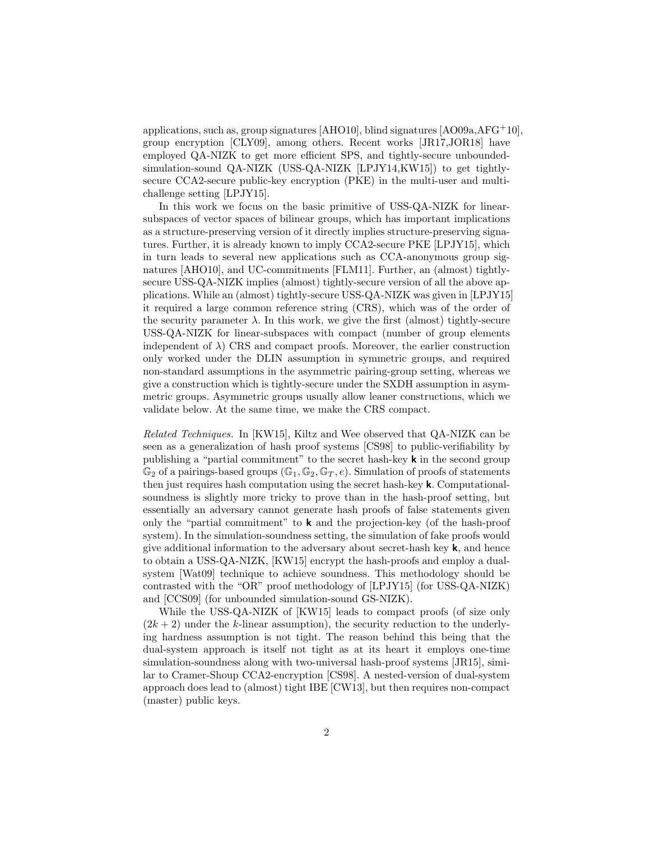applications, such as, group signatures [AHO10], blind signatures [AO09a, $\rm{AFG^{+}10}$ ], group encryption [CLY09], among others. Recent works [JR17,JOR18] have employed QA-NIZK to get more efficient SPS, and tightly-secure unboundedsimulation-sound QA-NIZK (USS-QA-NIZK [LPJY14,KW15]) to get tightlysecure CCA2-secure public-key encryption (PKE) in the multi-user and multichallenge setting [LPJY15].

In this work we focus on the basic primitive of USS-QA-NIZK for linearsubspaces of vector spaces of bilinear groups, which has important implications as a structure-preserving version of it directly implies structure-preserving signatures. Further, it is already known to imply CCA2-secure PKE [LPJY15], which in turn leads to several new applications such as CCA-anonymous group signatures [AHO10], and UC-commitments [FLM11]. Further, an (almost) tightlysecure USS-QA-NIZK implies (almost) tightly-secure version of all the above applications. While an (almost) tightly-secure USS-QA-NIZK was given in [LPJY15] it required a large common reference string (CRS), which was of the order of the security parameter  $\lambda$ . In this work, we give the first (almost) tightly-secure USS-QA-NIZK for linear-subspaces with compact (number of group elements independent of  $\lambda$ ) CRS and compact proofs. Moreover, the earlier construction only worked under the DLIN assumption in symmetric groups, and required non-standard assumptions in the asymmetric pairing-group setting, whereas we give a construction which is tightly-secure under the SXDH assumption in asymmetric groups. Asymmetric groups usually allow leaner constructions, which we validate below. At the same time, we make the CRS compact.

Related Techniques. In [KW15], Kiltz and Wee observed that QA-NIZK can be seen as a generalization of hash proof systems [CS98] to public-verifiability by publishing a "partial commitment" to the secret hash-key k in the second group  $\mathbb{G}_2$  of a pairings-based groups  $(\mathbb{G}_1, \mathbb{G}_2, \mathbb{G}_T, e)$ . Simulation of proofs of statements then just requires hash computation using the secret hash-key k. Computationalsoundness is slightly more tricky to prove than in the hash-proof setting, but essentially an adversary cannot generate hash proofs of false statements given only the "partial commitment" to  $\bf{k}$  and the projection-key (of the hash-proof system). In the simulation-soundness setting, the simulation of fake proofs would give additional information to the adversary about secret-hash key  $\mathbf{k}$ , and hence to obtain a USS-QA-NIZK, [KW15] encrypt the hash-proofs and employ a dualsystem [Wat09] technique to achieve soundness. This methodology should be contrasted with the "OR" proof methodology of [LPJY15] (for USS-QA-NIZK) and [CCS09] (for unbounded simulation-sound GS-NIZK).

While the USS-QA-NIZK of [KW15] leads to compact proofs (of size only  $(2k+2)$  under the k-linear assumption), the security reduction to the underlying hardness assumption is not tight. The reason behind this being that the dual-system approach is itself not tight as at its heart it employs one-time simulation-soundness along with two-universal hash-proof systems [JR15], similar to Cramer-Shoup CCA2-encryption [CS98]. A nested-version of dual-system approach does lead to (almost) tight IBE [CW13], but then requires non-compact (master) public keys.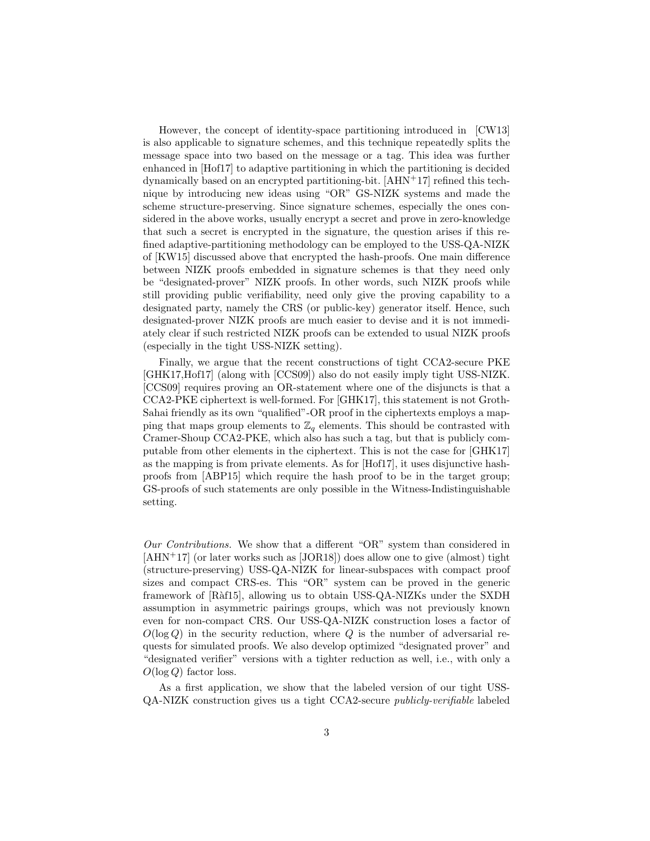However, the concept of identity-space partitioning introduced in [CW13] is also applicable to signature schemes, and this technique repeatedly splits the message space into two based on the message or a tag. This idea was further enhanced in [Hof17] to adaptive partitioning in which the partitioning is decided dynamically based on an encrypted partitioning-bit.  $[AHN+17]$  refined this technique by introducing new ideas using "OR" GS-NIZK systems and made the scheme structure-preserving. Since signature schemes, especially the ones considered in the above works, usually encrypt a secret and prove in zero-knowledge that such a secret is encrypted in the signature, the question arises if this refined adaptive-partitioning methodology can be employed to the USS-QA-NIZK of [KW15] discussed above that encrypted the hash-proofs. One main difference between NIZK proofs embedded in signature schemes is that they need only be "designated-prover" NIZK proofs. In other words, such NIZK proofs while still providing public verifiability, need only give the proving capability to a designated party, namely the CRS (or public-key) generator itself. Hence, such designated-prover NIZK proofs are much easier to devise and it is not immediately clear if such restricted NIZK proofs can be extended to usual NIZK proofs (especially in the tight USS-NIZK setting).

Finally, we argue that the recent constructions of tight CCA2-secure PKE [GHK17,Hof17] (along with [CCS09]) also do not easily imply tight USS-NIZK. [CCS09] requires proving an OR-statement where one of the disjuncts is that a CCA2-PKE ciphertext is well-formed. For [GHK17], this statement is not Groth-Sahai friendly as its own "qualified"-OR proof in the ciphertexts employs a mapping that maps group elements to  $\mathbb{Z}_q$  elements. This should be contrasted with Cramer-Shoup CCA2-PKE, which also has such a tag, but that is publicly computable from other elements in the ciphertext. This is not the case for [GHK17] as the mapping is from private elements. As for [Hof17], it uses disjunctive hashproofs from [ABP15] which require the hash proof to be in the target group; GS-proofs of such statements are only possible in the Witness-Indistinguishable setting.

Our Contributions. We show that a different "OR" system than considered in [AHN+17] (or later works such as [JOR18]) does allow one to give (almost) tight (structure-preserving) USS-QA-NIZK for linear-subspaces with compact proof sizes and compact CRS-es. This "OR" system can be proved in the generic framework of [Ràf15], allowing us to obtain USS-QA-NIZKs under the SXDH assumption in asymmetric pairings groups, which was not previously known even for non-compact CRS. Our USS-QA-NIZK construction loses a factor of  $O(\log Q)$  in the security reduction, where Q is the number of adversarial requests for simulated proofs. We also develop optimized "designated prover" and "designated verifier" versions with a tighter reduction as well, i.e., with only a  $O(\log Q)$  factor loss.

As a first application, we show that the labeled version of our tight USS-QA-NIZK construction gives us a tight CCA2-secure publicly-verifiable labeled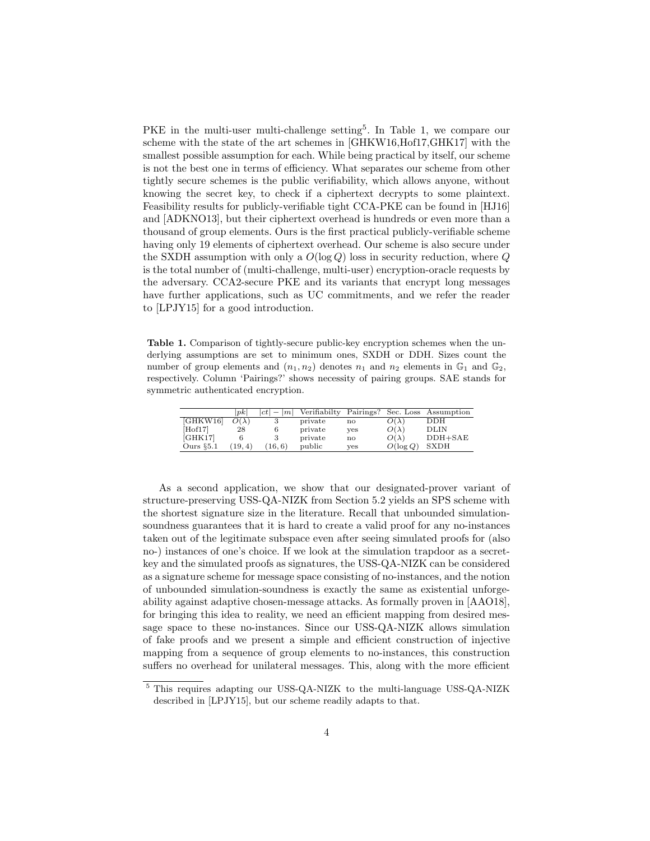PKE in the multi-user multi-challenge setting<sup>5</sup>. In Table 1, we compare our scheme with the state of the art schemes in [GHKW16,Hof17,GHK17] with the smallest possible assumption for each. While being practical by itself, our scheme is not the best one in terms of efficiency. What separates our scheme from other tightly secure schemes is the public verifiability, which allows anyone, without knowing the secret key, to check if a ciphertext decrypts to some plaintext. Feasibility results for publicly-verifiable tight CCA-PKE can be found in [HJ16] and [ADKNO13], but their ciphertext overhead is hundreds or even more than a thousand of group elements. Ours is the first practical publicly-verifiable scheme having only 19 elements of ciphertext overhead. Our scheme is also secure under the SXDH assumption with only a  $O(\log Q)$  loss in security reduction, where Q is the total number of (multi-challenge, multi-user) encryption-oracle requests by the adversary. CCA2-secure PKE and its variants that encrypt long messages have further applications, such as UC commitments, and we refer the reader to [LPJY15] for a good introduction.

Table 1. Comparison of tightly-secure public-key encryption schemes when the underlying assumptions are set to minimum ones, SXDH or DDH. Sizes count the number of group elements and  $(n_1, n_2)$  denotes  $n_1$  and  $n_2$  elements in  $\mathbb{G}_1$  and  $\mathbb{G}_2$ , respectively. Column 'Pairings?' shows necessity of pairing groups. SAE stands for symmetric authenticated encryption.

|              | pk           | $ ct  -  m $ |         |              |              | Verifiabilty Pairings? Sec. Loss Assumption |
|--------------|--------------|--------------|---------|--------------|--------------|---------------------------------------------|
| [GHKW16]     | $O(\lambda)$ |              | private | $\mathbf{n}$ | $O(\lambda)$ | <b>DDH</b>                                  |
| [Hof17]      | 28           |              | private | yes          | $O(\lambda)$ | <b>DLIN</b>                                 |
| [GHK17]      |              |              | private | no           | $O(\lambda)$ | $DDH+SAE$                                   |
| Ours $\S5.1$ | (19, 4)      | (16, 6)      | public  | ves          | $O(\log Q)$  | <b>SXDH</b>                                 |

As a second application, we show that our designated-prover variant of structure-preserving USS-QA-NIZK from Section 5.2 yields an SPS scheme with the shortest signature size in the literature. Recall that unbounded simulationsoundness guarantees that it is hard to create a valid proof for any no-instances taken out of the legitimate subspace even after seeing simulated proofs for (also no-) instances of one's choice. If we look at the simulation trapdoor as a secretkey and the simulated proofs as signatures, the USS-QA-NIZK can be considered as a signature scheme for message space consisting of no-instances, and the notion of unbounded simulation-soundness is exactly the same as existential unforgeability against adaptive chosen-message attacks. As formally proven in [AAO18], for bringing this idea to reality, we need an efficient mapping from desired message space to these no-instances. Since our USS-QA-NIZK allows simulation of fake proofs and we present a simple and efficient construction of injective mapping from a sequence of group elements to no-instances, this construction suffers no overhead for unilateral messages. This, along with the more efficient

<sup>5</sup> This requires adapting our USS-QA-NIZK to the multi-language USS-QA-NIZK described in [LPJY15], but our scheme readily adapts to that.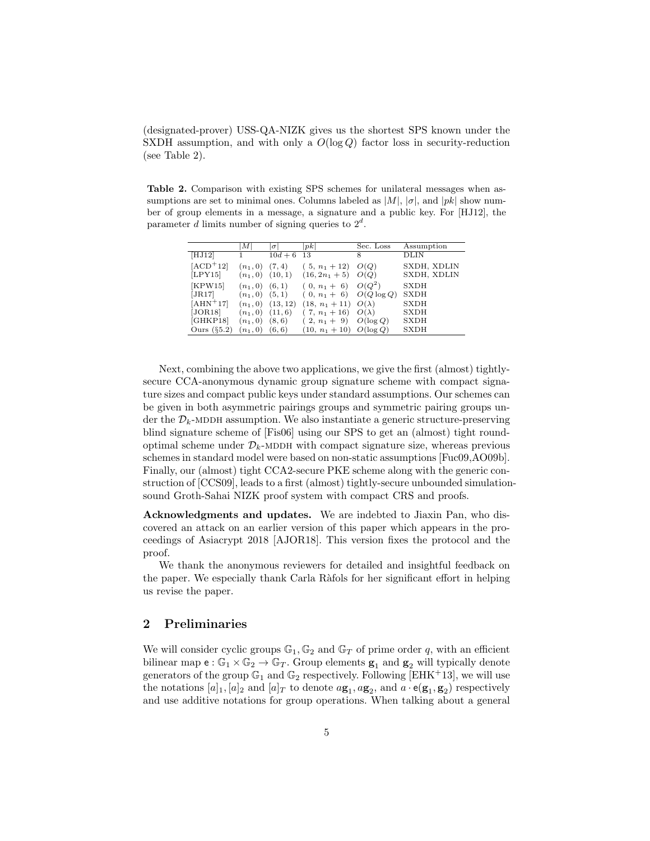(designated-prover) USS-QA-NIZK gives us the shortest SPS known under the SXDH assumption, and with only a  $O(\log Q)$  factor loss in security-reduction (see Table 2).

Table 2. Comparison with existing SPS schemes for unilateral messages when assumptions are set to minimal ones. Columns labeled as  $|M|, |\sigma|$ , and  $|pk|$  show number of group elements in a message, a signature and a public key. For [HJ12], the parameter d limits number of signing queries to  $2^d$ .

|                       | М                        | $\sigma$          | pk                                | Sec. Loss     | Assumption                 |
|-----------------------|--------------------------|-------------------|-----------------------------------|---------------|----------------------------|
| [HJ12]                | 1                        | $10d + 6$         | 13                                | 8             | DLIN                       |
| $[ACD+12]$<br>[LPY15] | $(n_1, 0)$<br>$(n_1, 0)$ | (7, 4)<br>(10, 1) | $(5, n_1+12)$<br>$(16, 2n_1 + 5)$ | O(Q)<br>O(Q)  | SXDH, XDLIN<br>SXDH, XDLIN |
| [KPW15]               | $(n_1, 0)$               | (6, 1)            | $(0, n_1 + 6)$                    | $O(Q^2)$      | <b>SXDH</b>                |
| [JR17]                | $(n_1, 0)$               | (5, 1)            | $(0, n_1 + 6)$                    | $O(Q \log Q)$ | <b>SXDH</b>                |
| $[AHN+17]$            | $(n_1, 0)$               | (13, 12)          | $(18, n_1 + 11) O(\lambda)$       |               | <b>SXDH</b>                |
| [JOR18]               | $(n_1, 0)$               | (11, 6)           | $(7, n_1+16)$                     | $O(\lambda)$  | <b>SXDH</b>                |
| [GHKP18]              | $(n_1, 0)$               | (8, 6)            | $(2, n_1 + 9)$                    | $O(\log Q)$   | <b>SXDH</b>                |
| Ours $(\S5.2)$        | $(n_1, 0)$               | (6, 6)            | $(10, n_1 + 10)$ $O(\log Q)$      |               | <b>SXDH</b>                |
|                       |                          |                   |                                   |               |                            |

Next, combining the above two applications, we give the first (almost) tightlysecure CCA-anonymous dynamic group signature scheme with compact signature sizes and compact public keys under standard assumptions. Our schemes can be given in both asymmetric pairings groups and symmetric pairing groups under the  $\mathcal{D}_k$ -MDDH assumption. We also instantiate a generic structure-preserving blind signature scheme of [Fis06] using our SPS to get an (almost) tight roundoptimal scheme under  $\mathcal{D}_k$ -MDDH with compact signature size, whereas previous schemes in standard model were based on non-static assumptions [Fuc09,AO09b]. Finally, our (almost) tight CCA2-secure PKE scheme along with the generic construction of [CCS09], leads to a first (almost) tightly-secure unbounded simulationsound Groth-Sahai NIZK proof system with compact CRS and proofs.

Acknowledgments and updates. We are indebted to Jiaxin Pan, who discovered an attack on an earlier version of this paper which appears in the proceedings of Asiacrypt 2018 [AJOR18]. This version fixes the protocol and the proof.

We thank the anonymous reviewers for detailed and insightful feedback on the paper. We especially thank Carla Ràfols for her significant effort in helping us revise the paper.

# 2 Preliminaries

We will consider cyclic groups  $\mathbb{G}_1, \mathbb{G}_2$  and  $\mathbb{G}_T$  of prime order q, with an efficient bilinear map  $e : \mathbb{G}_1 \times \mathbb{G}_2 \to \mathbb{G}_T$ . Group elements  $\mathbf{g}_1$  and  $\mathbf{g}_2$  will typically denote generators of the group  $\mathbb{G}_1$  and  $\mathbb{G}_2$  respectively. Following [EHK<sup>+</sup>13], we will use the notations  $[a]_1$ ,  $[a]_2$  and  $[a]_T$  to denote  $a\mathbf{g}_1, a\mathbf{g}_2$ , and  $a \cdot \mathbf{e}(\mathbf{g}_1, \mathbf{g}_2)$  respectively and use additive notations for group operations. When talking about a general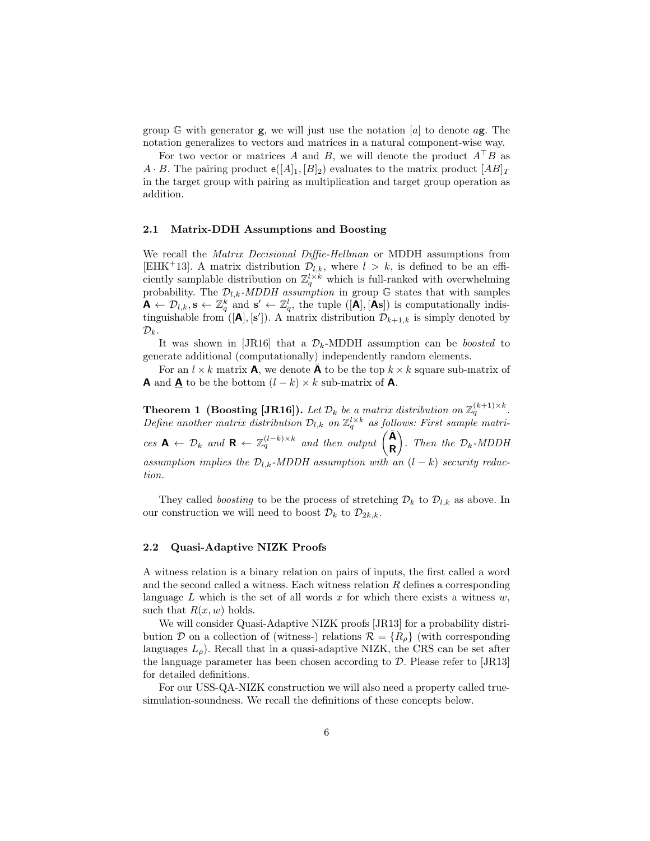group G with generator **g**, we will just use the notation  $|a|$  to denote a**g**. The notation generalizes to vectors and matrices in a natural component-wise way.

For two vector or matrices A and B, we will denote the product  $A^{\dagger}B$  as  $A \cdot B$ . The pairing product  $e([A]_1, [B]_2)$  evaluates to the matrix product  $[AB]_T$ in the target group with pairing as multiplication and target group operation as addition.

#### 2.1 Matrix-DDH Assumptions and Boosting

We recall the *Matrix Decisional Diffie-Hellman* or MDDH assumptions from [EHK<sup>+</sup>13]. A matrix distribution  $\mathcal{D}_{l,k}$ , where  $l > k$ , is defined to be an efficiently samplable distribution on  $\mathbb{Z}_q^{l \times k}$  which is full-ranked with overwhelming probability. The  $\mathcal{D}_{l,k}$ -MDDH assumption in group G states that with samples  $\mathbf{A} \leftarrow \mathcal{D}_{l,k}, \mathbf{s} \leftarrow \mathbb{Z}_q^k$  and  $\mathbf{s}' \leftarrow \mathbb{Z}_q^l$ , the tuple  $([\mathbf{A}], [\mathbf{A}\mathbf{s}])$  is computationally indistinguishable from  $([\mathbf{A}], [\mathbf{s}'])$ . A matrix distribution  $\mathcal{D}_{k+1,k}$  is simply denoted by  $\mathcal{D}_k$ .

It was shown in [JR16] that a  $\mathcal{D}_k$ -MDDH assumption can be *boosted* to generate additional (computationally) independently random elements.

For an  $l \times k$  matrix **A**, we denote  $\bar{\mathbf{A}}$  to be the top  $k \times k$  square sub-matrix of **A** and **A** to be the bottom  $(l - k) \times k$  sub-matrix of **A**.

**Theorem 1 (Boosting [JR16]).** Let  $\mathcal{D}_k$  be a matrix distribution on  $\mathbb{Z}_q^{(k+1)\times k}$ . Define another matrix distribution  $\mathcal{D}_{l,k}$  on  $\mathbb{Z}_q^{l \times k}$  as follows: First sample matrices  $\mathbf{A} \leftarrow \mathcal{D}_k$  and  $\mathbf{R} \leftarrow \mathbb{Z}_q^{(l-k)\times k}$  and then output  $\begin{pmatrix} \bar{\mathbf{A}} \\ \mathbf{B} \end{pmatrix}$ R ). Then the  $\mathcal{D}_k$ -MDDH assumption implies the  $\mathcal{D}_{l,k}$ -MDDH assumption with an  $(l - k)$  security reduction.

They called *boosting* to be the process of stretching  $\mathcal{D}_k$  to  $\mathcal{D}_{l,k}$  as above. In our construction we will need to boost  $\mathcal{D}_k$  to  $\mathcal{D}_{2k,k}$ .

#### 2.2 Quasi-Adaptive NIZK Proofs

A witness relation is a binary relation on pairs of inputs, the first called a word and the second called a witness. Each witness relation R defines a corresponding language  $L$  which is the set of all words  $x$  for which there exists a witness  $w$ , such that  $R(x, w)$  holds.

We will consider Quasi-Adaptive NIZK proofs [JR13] for a probability distribution D on a collection of (witness-) relations  $\mathcal{R} = \{R_{\rho}\}\$  (with corresponding languages  $L<sub>o</sub>$ ). Recall that in a quasi-adaptive NIZK, the CRS can be set after the language parameter has been chosen according to  $\mathcal{D}$ . Please refer to [JR13] for detailed definitions.

For our USS-QA-NIZK construction we will also need a property called truesimulation-soundness. We recall the definitions of these concepts below.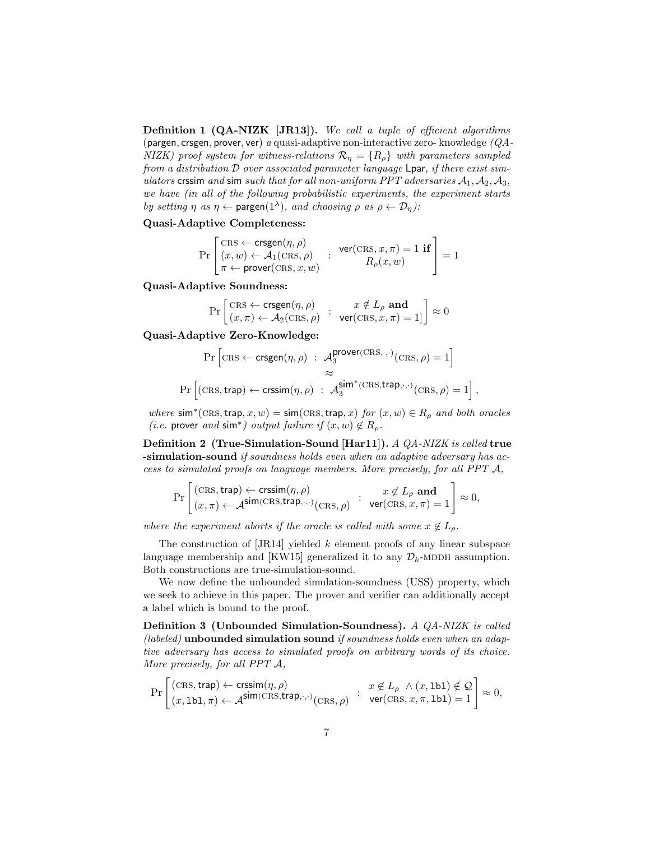Definition 1 (QA-NIZK [JR13]). We call a tuple of efficient algorithms (pargen, crsgen, prover, ver) a quasi-adaptive non-interactive zero- knowledge (QA-NIZK) proof system for witness-relations  $\mathcal{R}_{\eta} = \{R_{\rho}\}\$  with parameters sampled from a distribution D over associated parameter language Lpar, if there exist simulators crssim and sim such that for all non-uniform PPT adversaries  $A_1, A_2, A_3$ , we have (in all of the following probabilistic experiments, the experiment starts by setting  $\eta$  as  $\eta \leftarrow$  pargen $(1^{\lambda})$ , and choosing  $\rho$  as  $\rho \leftarrow \mathcal{D}_{\eta}$ ):

## Quasi-Adaptive Completeness:

$$
\Pr\left[\begin{matrix}\text{CRS} \leftarrow \text{crsgen}(\eta, \rho)\\ (x, w) \leftarrow \mathcal{A}_1(\text{CRS}, \rho)\\ \pi \leftarrow \text{prover}(\text{CRS}, x, w)\end{matrix}\right]: \begin{matrix}\text{ver}(\text{CRS}, x, \pi) = 1 \text{ if}\\ R_\rho(x, w)\end{matrix}\right] = 1
$$

Quasi-Adaptive Soundness:

$$
\Pr\left[\frac{\text{CRS} \leftarrow \text{crsgen}(\eta, \rho) }{\big(x, \pi) \leftarrow \mathcal{A}_2(\text{CRS}, \rho)} \ : \ \begin{array}{c} x \notin L_\rho \textbf{ and } \\ \textbf{ver}(\text{CRS}, x, \pi) = 1] \end{array}\right] \approx 0
$$

Quasi-Adaptive Zero-Knowledge:

$$
\Pr\left[\text{CRS} \leftarrow \text{crsgen}(\eta, \rho) : \begin{array}{l} \mathcal{A}_3^{\text{prover(CRS}, \cdot, \cdot)}(\text{CRS}, \rho) = 1 \end{array} \right] \approx
$$
\n
$$
\Pr\left[\text{(CRS, trap)} \leftarrow \text{crssim}(\eta, \rho) : \begin{array}{l} \mathcal{A}_3^{\text{sim}^*(\text{CRS}, \text{trap}, \cdot, \cdot)}(\text{CRS}, \rho) = 1 \end{array} \right],
$$

where  $\sin^*(\text{CRS}, \text{trap}, x, w) = \sin(\text{CRS}, \text{trap}, x)$  for  $(x, w) \in R_\rho$  and both oracles (*i.e.* prover and sim<sup>\*</sup>) output failure if  $(x, w) \notin R_\rho$ .

Definition 2 (True-Simulation-Sound [Har11]). A QA-NIZK is called true -simulation-sound if soundness holds even when an adaptive adversary has access to simulated proofs on language members. More precisely, for all PPT A,

$$
\Pr\left[\frac{(\text{CRS}, \text{trap}) \leftarrow \text{crssim}(\eta, \rho)}{(x, \pi) \leftarrow \mathcal{A}^{\text{sim}}(\text{CRS}, \text{trap}, \cdot, \cdot)}(\text{CRS}, \rho) \middle| \begin{array}{c} x \notin L_{\rho} \text{ and} \\ \text{ver}(\text{CRS}, x, \pi) = 1 \end{array} \right] \approx 0,
$$

where the experiment aborts if the oracle is called with some  $x \notin L_{\rho}$ .

The construction of  $JRI4$  yielded k element proofs of any linear subspace language membership and [KW15] generalized it to any  $\mathcal{D}_k$ -MDDH assumption. Both constructions are true-simulation-sound.

We now define the unbounded simulation-soundness (USS) property, which we seek to achieve in this paper. The prover and verifier can additionally accept a label which is bound to the proof.

Definition 3 (Unbounded Simulation-Soundness). A QA-NIZK is called (*labeled*) unbounded simulation sound *if soundness holds even when an adap*tive adversary has access to simulated proofs on arbitrary words of its choice. More precisely, for all PPT A,

$$
\Pr\left[\begin{matrix}(\text{CRS},\text{trap})\leftarrow\text{crsim}(\eta,\rho)\\ (x,\text{lb1},\pi)\leftarrow\mathcal{A}^{\text{sim}(\text{CRS},\text{trap},\cdot,\cdot)}(\text{CRS},\rho)\end{matrix}\right]:\begin{matrix}x\not\in L_\rho\ \wedge(x,\text{lb1})\notin\mathcal{Q}\\ \text{ver}(\text{CRS},x,\pi,\text{lb1})=1\end{matrix}\right]\approx 0,
$$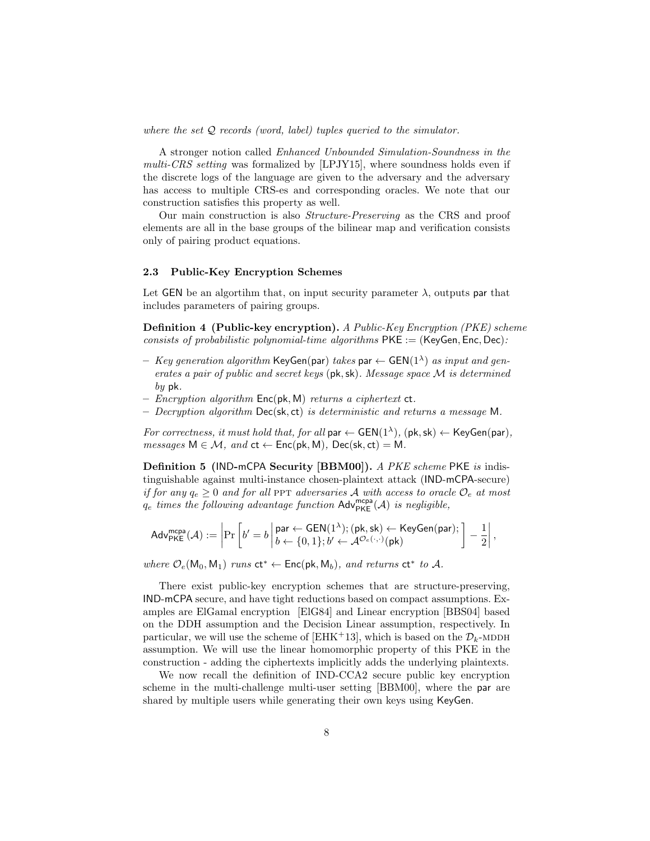where the set  $Q$  records (word, label) tuples queried to the simulator.

A stronger notion called Enhanced Unbounded Simulation-Soundness in the multi-CRS setting was formalized by  $[LPJY15]$ , where soundness holds even if the discrete logs of the language are given to the adversary and the adversary has access to multiple CRS-es and corresponding oracles. We note that our construction satisfies this property as well.

Our main construction is also Structure-Preserving as the CRS and proof elements are all in the base groups of the bilinear map and verification consists only of pairing product equations.

#### 2.3 Public-Key Encryption Schemes

Let GEN be an algorithm that, on input security parameter  $\lambda$ , outputs par that includes parameters of pairing groups.

Definition 4 (Public-key encryption). A Public-Key Encryption (PKE) scheme consists of probabilistic polynomial-time algorithms  $PKE := (KeyGen, Enc, Dec)$ .

- $-$  Key generation algorithm KeyGen(par) takes par  $\leftarrow$  GEN(1<sup> $\lambda$ </sup>) as input and generates a pair of public and secret keys (pk,sk). Message space M is determined  $by$  pk.
- Encryption algorithm  $Enc(\mathsf{pk}, \mathsf{M})$  returns a ciphertext  $ct$ .
- $-$  Decryption algorithm Dec(sk, ct) is deterministic and returns a message M.

For correctness, it must hold that, for all  $\mathsf{par} \leftarrow \mathsf{GEN}(1^{\lambda}), (\mathsf{pk}, \mathsf{sk}) \leftarrow \mathsf{KeyGen}(\mathsf{par}),$  $messages \, M \in \mathcal{M}, \, and \, \mathsf{ct} \leftarrow \mathsf{Enc}(\mathsf{pk}, \mathsf{M}), \, \mathsf{Dec}(\mathsf{sk}, \mathsf{ct}) = \mathsf{M}.$ 

Definition 5 (IND-mCPA Security [BBM00]). A PKE scheme PKE is indistinguishable against multi-instance chosen-plaintext attack (IND-mCPA-secure) if for any  $q_e \ge 0$  and for all PPT adversaries A with access to oracle  $\mathcal{O}_e$  at most  $q_e$  times the following advantage function  $\mathsf{Adv}^{\mathsf{mcpa}}_{\mathsf{PKE}}(\mathcal{A})$  is negligible,

$$
\mathsf{Adv}_{\mathsf{PKE}}^{\mathsf{mcpa}}(\mathcal{A}) := \left| \Pr\left[b' = b \left| \frac{\mathsf{par} \leftarrow \mathsf{GEN}(1^{\lambda}); (\mathsf{pk}, \mathsf{sk}) \leftarrow \mathsf{KeyGen}(\mathsf{par});}{b \leftarrow \{0, 1\}; b' \leftarrow \mathcal{A}^{\mathcal{O}_e(\cdot, \cdot)}(\mathsf{pk})} \right] - \frac{1}{2} \right|, \right.
$$

where  $\mathcal{O}_e(\mathsf{M}_0, \mathsf{M}_1)$  runs  $ct^* \leftarrow \mathsf{Enc}(\mathsf{pk}, \mathsf{M}_b)$ , and returns  $ct^*$  to A.

There exist public-key encryption schemes that are structure-preserving, IND-mCPA secure, and have tight reductions based on compact assumptions. Examples are ElGamal encryption [ElG84] and Linear encryption [BBS04] based on the DDH assumption and the Decision Linear assumption, respectively. In particular, we will use the scheme of [EHK+13], which is based on the  $\mathcal{D}_k$ -MDDH assumption. We will use the linear homomorphic property of this PKE in the construction - adding the ciphertexts implicitly adds the underlying plaintexts.

We now recall the definition of IND-CCA2 secure public key encryption scheme in the multi-challenge multi-user setting [BBM00], where the par are shared by multiple users while generating their own keys using KeyGen.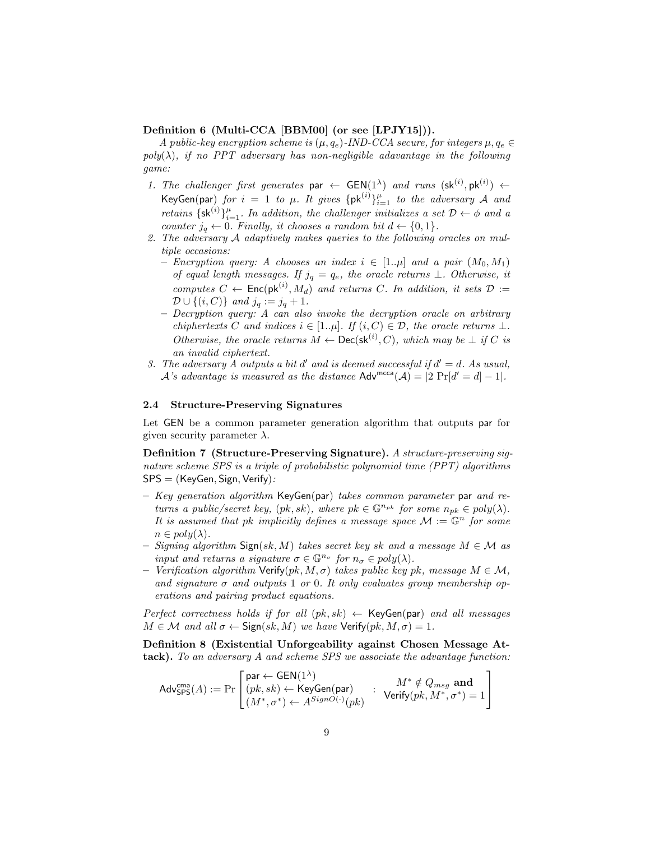## Definition 6 (Multi-CCA [BBM00] (or see [LPJY15])).

A public-key encryption scheme is  $(\mu, q_e)$ -IND-CCA secure, for integers  $\mu, q_e \in$  $poly(\lambda)$ , if no PPT adversary has non-negligible adavantage in the following game:

- 1. The challenger first generates par  $\leftarrow$  GEN(1<sup> $\lambda$ </sup>) and runs (sk<sup>(i)</sup>, pk<sup>(i)</sup>)  $\leftarrow$ KeyGen(par) for  $i = 1$  to  $\mu$ . It gives  $\{pk^{(i)}\}_{i=1}^{\mu}$  to the adversary  $\mathcal A$  and retains  $\{sk^{(i)}\}_{i=1}^{\mu}$ . In addition, the challenger initializes a set  $\mathcal{D} \leftarrow \phi$  and a counter  $j_q \leftarrow 0$ . Finally, it chooses a random bit  $d \leftarrow \{0, 1\}$ .
- 2. The adversary A adaptively makes queries to the following oracles on multiple occasions:
	- Encryption query: A chooses an index  $i \in [1..\mu]$  and a pair  $(M_0, M_1)$ of equal length messages. If  $j_q = q_e$ , the oracle returns  $\perp$ . Otherwise, it computes  $C \leftarrow \mathsf{Enc}(\mathsf{pk}^{(i)}, M_d)$  and returns C. In addition, it sets  $\mathcal{D} :=$  $\mathcal{D} \cup \{(i, C)\}\$ and  $j_q := j_q + 1$ .
	- Decryption query: A can also invoke the decryption oracle on arbitrary chiphertexts C and indices  $i \in [1..\mu]$ . If  $(i, C) \in \mathcal{D}$ , the oracle returns  $\bot$ . Otherwise, the oracle returns  $M \leftarrow \mathsf{Dec}(\mathsf{sk}^{(i)}, C)$ , which may be  $\perp$  if C is an invalid ciphertext.
- 3. The adversary A outputs a bit d' and is deemed successful if  $d' = d$ . As usual, A's advantage is measured as the distance  $\mathsf{Adv}^{\mathsf{mcca}}(\mathcal{A}) = |2 \Pr[d' = d] - 1|$ .

#### 2.4 Structure-Preserving Signatures

Let GEN be a common parameter generation algorithm that outputs par for given security parameter  $\lambda$ .

Definition 7 (Structure-Preserving Signature). A structure-preserving signature scheme SPS is a triple of probabilistic polynomial time (PPT) algorithms  $SPS = (KeyGen, Sign, Verify):$ 

- $-$  Key generation algorithm KeyGen(par) takes common parameter par and returns a public/secret key,  $(pk, sk)$ , where  $pk \in \mathbb{G}^{n_{pk}}$  for some  $n_{pk} \in poly(\lambda)$ . It is assumed that pk implicitly defines a message space  $\mathcal{M} := \mathbb{G}^n$  for some  $n \in poly(\lambda)$ .
- Signing algorithm  $\text{Sign}(sk, M)$  takes secret key sk and a message  $M \in \mathcal{M}$  as input and returns a signature  $\sigma \in \mathbb{G}^{n_{\sigma}}$  for  $n_{\sigma} \in poly(\lambda)$ .
- Verification algorithm  $\mathsf{Verify}(pk, M, \sigma)$  takes public key pk, message  $M \in \mathcal{M}$ , and signature  $\sigma$  and outputs 1 or 0. It only evaluates group membership operations and pairing product equations.

Perfect correctness holds if for all  $(pk, sk) \leftarrow \text{KeyGen}(par)$  and all messages  $M \in \mathcal{M}$  and all  $\sigma \leftarrow$  Sign(sk, M) we have Verify(pk,  $M, \sigma$ ) = 1.

Definition 8 (Existential Unforgeability against Chosen Message Attack). To an adversary A and scheme SPS we associate the advantage function:

$$
\mathsf{Adv}^{\mathsf{cma}}_{\mathsf{SPS}}(A) := \Pr\left[\begin{matrix}\mathsf{par} \leftarrow \mathsf{GEN}(1^\lambda)\\ (pk, sk) \leftarrow \mathsf{KeyGen}(\mathsf{par})\\ (M^*, \sigma^*) \leftarrow A^{SignO(\cdot)}(pk)\end{matrix}\right. : \begin{matrix} M^* \notin Q_{msg} \textbf{ and}\\ \mathsf{Verify}(pk, M^*, \sigma^*) = 1\end{matrix}\right]\right.
$$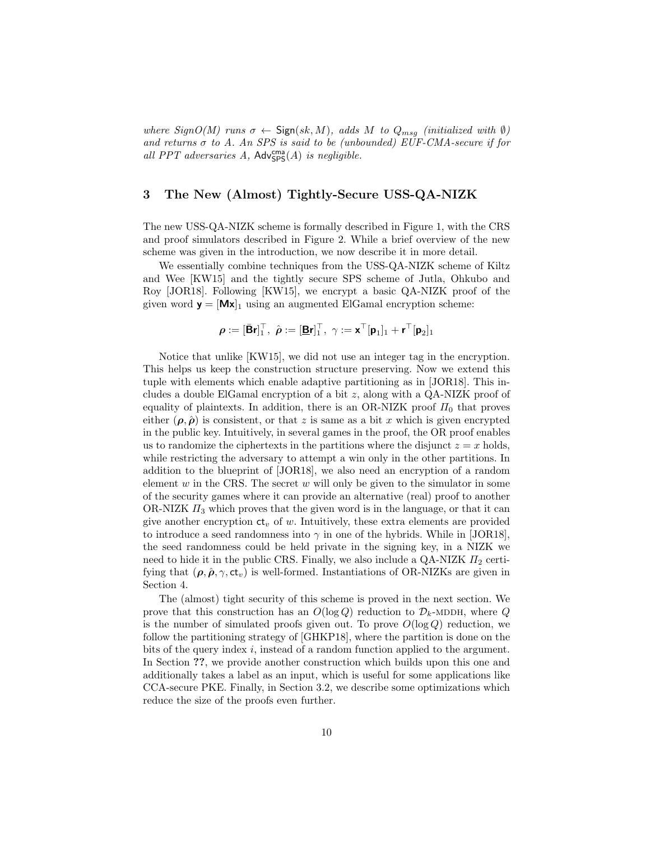where  $SignO(M)$  runs  $\sigma \leftarrow$  Sign $(sk, M)$ , adds M to  $Q_{msg}$  (initialized with  $\emptyset$ ) and returns  $\sigma$  to A. An SPS is said to be (unbounded) EUF-CMA-secure if for all PPT adversaries  $A$ ,  $\mathsf{Adv}^{\mathsf{cma}}_{\mathsf{SPS}}(A)$  is negligible.

# 3 The New (Almost) Tightly-Secure USS-QA-NIZK

The new USS-QA-NIZK scheme is formally described in Figure 1, with the CRS and proof simulators described in Figure 2. While a brief overview of the new scheme was given in the introduction, we now describe it in more detail.

We essentially combine techniques from the USS-QA-NIZK scheme of Kiltz and Wee [KW15] and the tightly secure SPS scheme of Jutla, Ohkubo and Roy [JOR18]. Following [KW15], we encrypt a basic QA-NIZK proof of the given word  $y = [Mx]_1$  using an augmented ElGamal encryption scheme:

$$
\pmb{\rho} := [\bar{\mathbf{B}} \mathbf{r}]^{\top}_{1}, \ \hat{\pmb{\rho}} := [\underline{\mathbf{B}} \mathbf{r}]^{\top}_{1}, \ \gamma := \mathbf{x}^{\top} [\mathbf{p}_1]_1 + \mathbf{r}^{\top} [\mathbf{p}_2]_1
$$

Notice that unlike [KW15], we did not use an integer tag in the encryption. This helps us keep the construction structure preserving. Now we extend this tuple with elements which enable adaptive partitioning as in [JOR18]. This includes a double ElGamal encryption of a bit  $z$ , along with a QA-NIZK proof of equality of plaintexts. In addition, there is an OR-NIZK proof  $\Pi_0$  that proves either  $(\rho, \hat{\rho})$  is consistent, or that z is same as a bit x which is given encrypted in the public key. Intuitively, in several games in the proof, the OR proof enables us to randomize the ciphertexts in the partitions where the disjunct  $z = x$  holds, while restricting the adversary to attempt a win only in the other partitions. In addition to the blueprint of [JOR18], we also need an encryption of a random element  $w$  in the CRS. The secret  $w$  will only be given to the simulator in some of the security games where it can provide an alternative (real) proof to another OR-NIZK  $\Pi_3$  which proves that the given word is in the language, or that it can give another encryption  $ct_v$  of w. Intuitively, these extra elements are provided to introduce a seed randomness into  $\gamma$  in one of the hybrids. While in [JOR18], the seed randomness could be held private in the signing key, in a NIZK we need to hide it in the public CRS. Finally, we also include a QA-NIZK  $\Pi_2$  certifying that  $(\rho, \hat{\rho}, \gamma, ct_v)$  is well-formed. Instantiations of OR-NIZKs are given in Section 4.

The (almost) tight security of this scheme is proved in the next section. We prove that this construction has an  $O(\log Q)$  reduction to  $\mathcal{D}_k$ -MDDH, where Q is the number of simulated proofs given out. To prove  $O(\log Q)$  reduction, we follow the partitioning strategy of [GHKP18], where the partition is done on the bits of the query index  $i$ , instead of a random function applied to the argument. In Section ??, we provide another construction which builds upon this one and additionally takes a label as an input, which is useful for some applications like CCA-secure PKE. Finally, in Section 3.2, we describe some optimizations which reduce the size of the proofs even further.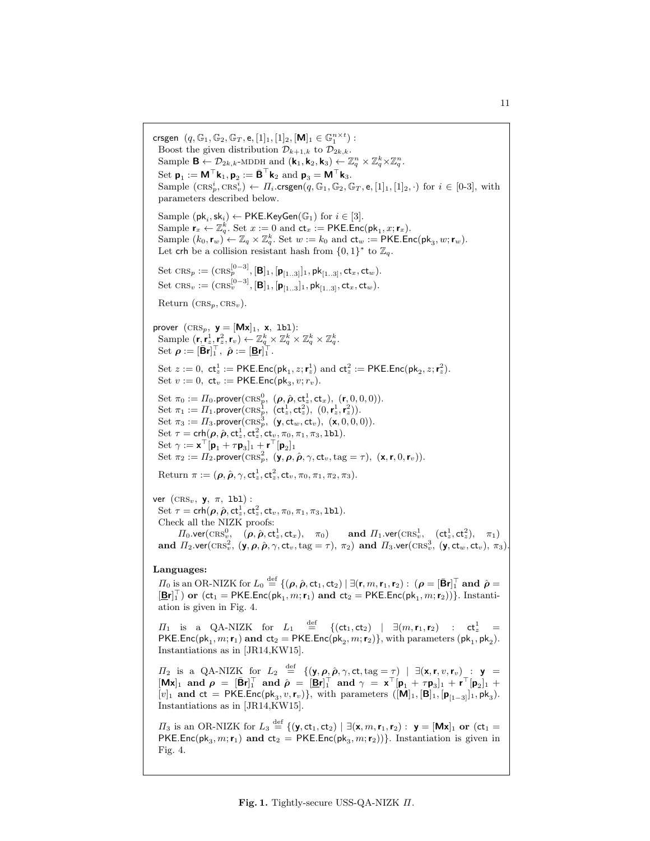crsgen  $(q, \mathbb{G}_1, \mathbb{G}_2, \mathbb{G}_T, e, [1]_1, [1]_2, [\mathbf{M}]_1 \in \mathbb{G}_1^{n \times t})$ : Boost the given distribution  $\mathcal{D}_{k+1,k}$  to  $\mathcal{D}_{2k,k}$ . Sample  $\mathbf{B} \leftarrow \mathcal{D}_{2k,k}$ -MDDH and  $(\mathbf{k}_1, \mathbf{k}_2, \mathbf{k}_3) \leftarrow \mathbb{Z}_q^n \times \mathbb{Z}_q^k \times \mathbb{Z}_q^n$ . Set  $\mathbf{p}_1 := \mathbf{M}^\top \mathbf{k}_1, \mathbf{p}_2 := \mathbf{\bar{B}}^\top \mathbf{k}_2$  and  $\mathbf{p}_3 = \mathbf{M}^\top \mathbf{k}_3$ . Sample  $(\text{CRS}_p^i, \text{CRS}_v^i) \leftarrow H_i.\text{crsgen}(q, \mathbb{G}_1, \mathbb{G}_2, \mathbb{G}_T, \mathsf{e}, [1]_1, [1]_2, \cdot)$  for  $i \in [0-3]$ , with parameters described below. Sample  $(\mathsf{pk}_i, \mathsf{sk}_i) \leftarrow \mathsf{PKE}$ .KeyGen $(\mathbb{G}_1)$  for  $i \in [3]$ . Sample  $\mathbf{r}_x \leftarrow \mathbb{Z}_q^k$ . Set  $x := 0$  and  $\mathsf{ct}_x := \mathsf{PKE}.\mathsf{Enc}(\mathsf{pk}_1, x; \mathbf{r}_x)$ . Sample  $(k_0, \mathbf{r}_w) \leftarrow \mathbb{Z}_q \times \mathbb{Z}_q^k$ . Set  $w := k_0$  and  $\mathsf{ct}_w := \mathsf{PKE}.\mathsf{Enc}(\mathsf{pk}_3, w; \mathbf{r}_w)$ . Let crh be a collision resistant hash from  ${0,1}^*$  to  $\mathbb{Z}_q$ . Set  $\text{CRS}_p := (\text{CRS}_p^{[0-3]}, [\mathbf{B}]_1, [\mathbf{p}_{[1..3]}]_1, \mathsf{pk}_{[1..3]}, ct_x, ct_w).$ Set  $\text{CRS}_v := (\text{CRS}_v^{[0-3]}, [\mathbf{B}]_1, [\mathbf{p}_{[1..3}]_1, \mathsf{pk}_{[1..3]}, \mathsf{ct}_x, \mathsf{ct}_w).$ Return  $(\text{CRS}_p, \text{CRS}_v)$ . prover  $(\text{CRS}_p, \mathbf{y} = [\mathbf{Mx}]_1, \mathbf{x}, \mathbf{1b1})$ : Sample  $(\mathbf{r}, \mathbf{r}_z^1, \mathbf{r}_z^2, \mathbf{r}_v) \leftarrow \mathbb{Z}_q^k \times \mathbb{Z}_q^k \times \mathbb{Z}_q^k \times \mathbb{Z}_q^k$ . Set  $\rho := [\bar{\mathbf{B}} \mathbf{r}]_1^\top$ ,  $\rho := [\underline{\mathbf{B}} \mathbf{r}]_1^\top$ . Set  $z := 0$ ,  $ct_z^1 := \textsf{PKE}.\textsf{Enc}(\textsf{pk}_1, z; \textbf{r}_z^1)$  and  $ct_z^2 := \textsf{PKE}.\textsf{Enc}(\textsf{pk}_2, z; \textbf{r}_z^2)$ . Set  $v := 0$ ,  $ct_v := \text{PKE}$ . Enc(pk<sub>3</sub>,  $v; r_v$ ). Set  $\pi_0 := \Pi_0$ .prover $(\text{CRS}_p^0, \; (\pmb{\rho}, \hat{\pmb{\rho}}, \text{ct}_z^1, \text{ct}_x), \; (\pmb{r}, 0, 0, 0)).$ Set  $\pi_1 := \Pi_1$ .prover $(\text{CRs}_p^1, \ (\text{ct}_z^1, \text{ct}_z^2), \ (0, \text{r}_z^1, \text{r}_z^2)).$ Set  $\pi_3 := \Pi_3$ .prover $(\text{CRs}_p^3, (\mathbf{y}, \text{ct}_w, \text{ct}_v), (\mathbf{x}, 0, 0, 0)).$ Set  $\tau = \text{crh}(\boldsymbol{\rho}, \hat{\boldsymbol{\rho}}, \text{ct}_z^1, \text{ct}_z^2, \text{ct}_v, \pi_0, \pi_1, \pi_3, \text{1b1}).$ Set  $\gamma := \mathbf{x}^\top [\mathbf{p}_1 + \tau \mathbf{p}_3]_1 + \mathbf{r}^\top [\mathbf{p}_2]_1$ Set  $\pi_2 := \Pi_2$ .prover(CRS<sub>p</sub>,  $(\mathbf{y}, \rho, \hat{\rho}, \gamma, ct_v, tag = \tau)$ ,  $(\mathbf{x}, \mathbf{r}, 0, \mathbf{r}_v)$ ). Return  $\pi := (\boldsymbol{\rho}, \hat{\boldsymbol{\rho}}, \gamma, \mathsf{ct}_z^1, \mathsf{ct}_z^2, \mathsf{ct}_v, \pi_0, \pi_1, \pi_2, \pi_3).$ ver  $(\text{CRS}_v, \mathbf{y}, \pi, \text{1b1})$ : Set  $\tau = \mathsf{crh}(\boldsymbol{\rho},\hat{\boldsymbol{\rho}},\mathsf{ct}_z^1,\mathsf{ct}_z^2,\mathsf{ct}_v,\pi_0,\pi_1,\pi_3,\texttt{lb1}).$ Check all the NIZK proofs:  $\Pi_0.\mathsf{ver}(\mathrm{CRS_v^0}, \quad (\bm{\rho}, \hat{\bm{\rho}}, \mathsf{ct}_z^1, \mathsf{ct}_x), \quad \pi_0) \qquad \textbf{and} \ \varPi_1.\mathsf{ver}(\mathrm{CRS_v^1}, \quad (\mathsf{ct}_z^1, \mathsf{ct}_z^2), \quad \pi_1)$ and  $\Pi_2$  ver( $\text{CRS}_v^2$ ,  $(\mathsf{y}, \boldsymbol{\rho}, \hat{\boldsymbol{\rho}}, \gamma, \text{ct}_v, \text{tag} = \tau)$ ,  $\pi_2$ ) and  $\Pi_3$  ver( $\text{CRS}_v^3$ ,  $(\mathsf{y}, \text{ct}_w, \text{ct}_v)$ ,  $\pi_3$ ). Languages:  $\Pi_0$  is an OR-NIZK for  $L_0 \stackrel{\text{def}}{=} \{(\boldsymbol{\rho}, \hat{\boldsymbol{\rho}}, \mathsf{ct}_1, \mathsf{ct}_2) \mid \exists (\mathbf{r}, m, \mathbf{r}_1, \mathbf{r}_2) : (\boldsymbol{\rho} = [\mathbf{\bar{B}} \mathbf{r}]_1^\top \text{ and } \hat{\boldsymbol{\rho}} =$  $[\underline{\mathbf{Br}}]_1^{\top}$ ) or  $(\textsf{ct}_1 = \textsf{PKE}.\textsf{Enc}(\textsf{pk}_1, m; \textbf{r}_1)$  and  $\textsf{ct}_2 = \textsf{PKE}.\textsf{Enc}(\textsf{pk}_1, m; \textbf{r}_2))\}$ . Instantiation is given in Fig. 4.  $\Pi_1$  is a QA-NIZK for  $L_1 \stackrel{\text{def}}{=} \{(\text{ct}_1, \text{ct}_2) \mid \exists (m, \text{r}_1, \text{r}_2) \colon \text{ct}_z^1 =$ PKE.Enc( $pk_1, m; \mathbf{r}_1$ ) and  $ct_2 = PKE$ .Enc( $pk_2, m; \mathbf{r}_2$ )}, with parameters ( $pk_1, pk_2$ ). Instantiations as in [JR14,KW15].  $\Pi_2$  is a QA-NIZK for  $L_2 \stackrel{\text{def}}{=} \{(\mathbf{y}, \rho, \hat{\rho}, \gamma, \text{ct}, \text{tag} = \tau) \mid \exists (\mathbf{x}, \mathbf{r}, v, \mathbf{r}_v) : \mathbf{y} =$  $[Mx]_1$  and  $\rho = [\bar{B}r]_1^\top$  and  $\hat{\rho} = [\bar{B}r]_1^\top$  and  $\gamma = x^\top[\mathbf{p}_1 + \tau \mathbf{p}_3]_1 + \mathbf{r}^\top[\mathbf{p}_2]_1 +$  $[v]_1$  and  $ct = PKE.Enc(pk_3, v, r_v)$ , with parameters  $([M]_1, [B]_1, [p_{[1-3]}]_1, pk_3)$ . Instantiations as in [JR14,KW15].  $\Pi_3$  is an OR-NIZK for  $L_3 \stackrel{\text{def}}{=} \{(\mathbf{y}, \mathsf{ct}_1, \mathsf{ct}_2) \mid \exists (\mathbf{x}, m, \mathbf{r}_1, \mathbf{r}_2) : \mathbf{y} = [\mathbf{M}\mathbf{x}]_1$  or  $(\mathsf{ct}_1 =$ PKE.Enc( $pk_3$ ,  $m;$ **r**<sub>1</sub>) and  $ct_2$  = PKE.Enc( $pk_3$ ,  $m;$ **r**<sub>2</sub>))}. Instantiation is given in Fig. 4.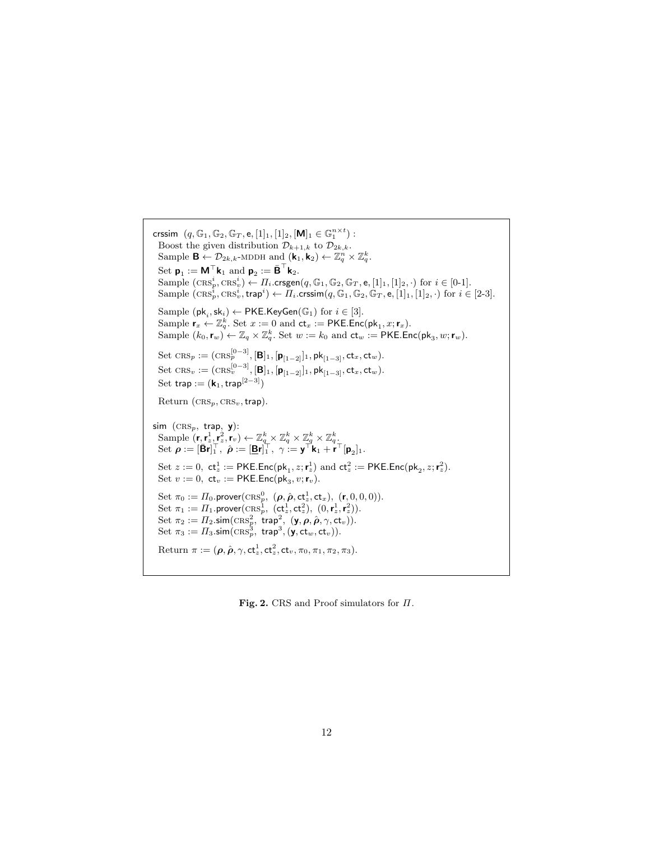```
crssim (q, \mathbb{G}_1, \mathbb{G}_2, \mathbb{G}_T, e, [1]_1, [1]_2, [\mathbf{M}]_1 \in \mathbb{G}_1^{n \times t}):
  Boost the given distribution \mathcal{D}_{k+1,k} to \mathcal{D}_{2k,k}.
   Sample \mathbf{B} \leftarrow \mathcal{D}_{2k,k}-MDDH and (\mathbf{k}_1, \mathbf{k}_2) \leftarrow \mathbb{Z}_q^n \times \mathbb{Z}_q^k.
   Set \mathbf{p}_1 := \mathbf{M}^\top \mathbf{k}_1 and \mathbf{p}_2 := \bar{\mathbf{B}}^\top \mathbf{k}_2.
   Sample (\text{CRS}_p^i, \text{CRS}_v^i) \leftarrow \Pi_i.\text{crsgen}(q, \mathbb{G}_1, \mathbb{G}_2, \mathbb{G}_T, \mathsf{e}, [1]_1, [1]_2, \cdot) for i \in [0-1].
   Sample (\text{CRS}_p^i, \text{CRS}_v^i, \text{trap}^i) \leftarrow \Pi_i.\text{crssim}(q, \mathbb{G}_1, \mathbb{G}_2, \mathbb{G}_T, \mathsf{e}, [1]_1, [1]_2, \cdot) \text{ for } i \in [2-3].Sample (\mathsf{pk}_i, \mathsf{sk}_i) \leftarrow \mathsf{PKE}.KeyGen(\mathbb{G}_1) for i \in [3].
   Sample \mathbf{r}_x \leftarrow \mathbb{Z}_q^k. Set x := 0 and \mathsf{ct}_x := \mathsf{PKE}.\mathsf{Enc}(\mathsf{pk}_1, x; \mathbf{r}_x).
   Sample (k_0, \mathbf{r}_w) \leftarrow \mathbb{Z}_q \times \mathbb{Z}_q^k. Set w := k_0 and \mathsf{ct}_w := \mathsf{PKE}.\mathsf{Enc}(\mathsf{pk}_3, w; \mathbf{r}_w).
   Set \text{CRS}_p := (\text{CRS}_p^{[0-3]}, [\mathbf{B}]_1, [\mathbf{p}_{[1-2]}]_1, \mathsf{pk}_{[1-3]}, \mathsf{ct}_x, \mathsf{ct}_w).Set \text{CRS}_v := (\text{CRS}_v^{[0-3]}, [\mathbf{B}]_1, [\mathbf{p}_{[1-2]}]_1, \mathsf{pk}_{[1-3]}, ct_x, ct_w).Set trap := (k_1, \text{trap}^{[2-3]})Return (\text{CRS}_p, \text{CRS}_v, \text{trap}).sim (CRS_p, trap, y):
   Sample (\mathbf{r}, \mathbf{r}_z^1, \mathbf{r}_z^2, \mathbf{r}_v) \leftarrow \mathbb{Z}_q^k \times \mathbb{Z}_q^k \times \mathbb{Z}_q^k \times \mathbb{Z}_q^k.
   Set \rho := [\bar{\mathbf{B}} \mathbf{r}]_1^\top, \hat{\rho} := [\underline{\mathbf{B}} \mathbf{r}]_1^\top, \gamma := \mathbf{y}^\top \mathbf{k}_1 + \mathbf{r}^\top [\mathbf{p}_2]_1.
   Set z := 0, ct_z^1 := \textsf{PKE}.\textsf{Enc}(\textsf{pk}_1, z; \textbf{r}_z^1) and ct_z^2 := \textsf{PKE}.\textsf{Enc}(\textsf{pk}_2, z; \textbf{r}_z^2).
   Set v := 0, ct_v := \textsf{PKE}.\textsf{Enc}(\textsf{pk}_3, v; \textbf{r}_v).Set \pi_0 := \Pi_0. prover(\text{CRS}_p^0, \; (\pmb{\rho}, \hat{\pmb{\rho}}, \text{ct}_z^1, \text{ct}_x), \; (\pmb{r}, 0, 0, 0)).Set \pi_1 := \Pi_1.prover(\text{CRs}_p^1, \; (\text{ct}_z^1, \text{ct}_z^2), \; (0, \text{r}_z^1, \text{r}_z^2)).Set \pi_2 := \Pi_2.sim(\text{CRS}_p^2, \text{ trap}^2, (\mathbf{y}, \boldsymbol{\rho}, \hat{\boldsymbol{\rho}}, \gamma, \text{ct}_v)).Set \pi_3 := \Pi_3.\mathsf{sim}(\mathrm{CRs}_p^3, \ \mathsf{trap}^3, (\mathsf{y},\mathsf{ct}_w,\mathsf{ct}_v)).Return \pi := (\boldsymbol{\rho}, \hat{\boldsymbol{\rho}}, \gamma, \mathsf{ct}_z^1, \mathsf{ct}_z^2, \mathsf{ct}_v, \pi_0, \pi_1, \pi_2, \pi_3).
```
Fig. 2. CRS and Proof simulators for Π.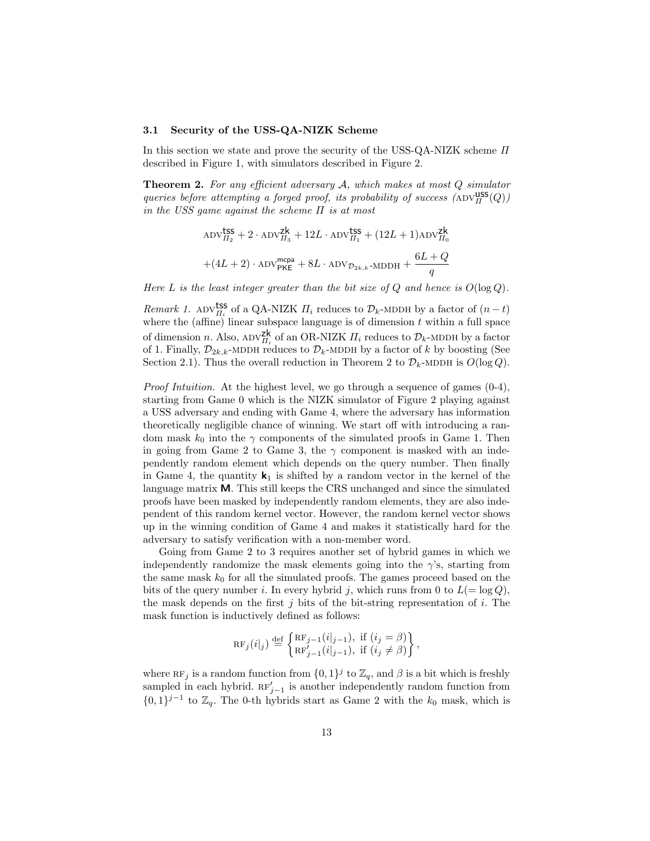#### 3.1 Security of the USS-QA-NIZK Scheme

In this section we state and prove the security of the USS-QA-NIZK scheme  $\Pi$ described in Figure 1, with simulators described in Figure 2.

**Theorem 2.** For any efficient adversary  $A$ , which makes at most  $Q$  simulator queries before attempting a forged proof, its probability of success  $(\text{ADV}_{\Pi}^{\text{USS}}(Q))$ in the USS game against the scheme  $\Pi$  is at most

$$
\begin{aligned} &\text{ADV}_{H_2}^{\text{tSS}} + 2 \cdot \text{ADV}_{H_3}^{\text{Zk}} + 12L \cdot \text{ADV}_{H_1}^{\text{tSS}} + (12L + 1) \text{ADV}_{H_0}^{\text{Zk}} \\ &+ (4L + 2) \cdot \text{ADV}_{\text{PKE}}^{\text{mcpa}} + 8L \cdot \text{ADV}_{\mathcal{D}_{2k,k} \text{-MDDH}} + \frac{6L + Q}{q} \end{aligned}
$$

Here L is the least integer greater than the bit size of Q and hence is  $O(\log Q)$ .

*Remark 1.* ADV $_{\Pi_i}^{\text{LSS}}$  of a QA-NIZK  $\Pi_i$  reduces to  $\mathcal{D}_k$ -MDDH by a factor of  $(n-t)$ where the (affine) linear subspace language is of dimension  $t$  within a full space of dimension *n*. Also,  $ADV_{II_i}^{Zk}$  of an OR-NIZK  $II_i$  reduces to  $\mathcal{D}_k$ -MDDH by a factor of 1. Finally,  $\mathcal{D}_{2k,k}$ -MDDH reduces to  $\mathcal{D}_k$ -MDDH by a factor of k by boosting (See Section 2.1). Thus the overall reduction in Theorem 2 to  $\mathcal{D}_k$ -MDDH is  $O(\log Q)$ .

*Proof Intuition.* At the highest level, we go through a sequence of games  $(0-4)$ , starting from Game 0 which is the NIZK simulator of Figure 2 playing against a USS adversary and ending with Game 4, where the adversary has information theoretically negligible chance of winning. We start off with introducing a random mask  $k_0$  into the  $\gamma$  components of the simulated proofs in Game 1. Then in going from Game 2 to Game 3, the  $\gamma$  component is masked with an independently random element which depends on the query number. Then finally in Game 4, the quantity  $\mathbf{k}_1$  is shifted by a random vector in the kernel of the language matrix M. This still keeps the CRS unchanged and since the simulated proofs have been masked by independently random elements, they are also independent of this random kernel vector. However, the random kernel vector shows up in the winning condition of Game 4 and makes it statistically hard for the adversary to satisfy verification with a non-member word.

Going from Game 2 to 3 requires another set of hybrid games in which we independently randomize the mask elements going into the  $\gamma$ 's, starting from the same mask  $k_0$  for all the simulated proofs. The games proceed based on the bits of the query number i. In every hybrid j, which runs from 0 to  $L(=\log Q)$ , the mask depends on the first  $i$  bits of the bit-string representation of  $i$ . The mask function is inductively defined as follows:

$$
\text{RF}_j(i|_j) \stackrel{\text{def}}{=} \begin{cases} \text{RF}_{j-1}(i|_{j-1}), \text{ if } (i_j = \beta) \\ \text{RF}'_{j-1}(i|_{j-1}), \text{ if } (i_j \neq \beta) \end{cases},
$$

where RF<sub>j</sub> is a random function from  $\{0,1\}^j$  to  $\mathbb{Z}_q$ , and  $\beta$  is a bit which is freshly sampled in each hybrid.  $RF'_{j-1}$  is another independently random function from  $\{0,1\}^{j-1}$  to  $\mathbb{Z}_q$ . The 0-th hybrids start as Game 2 with the  $k_0$  mask, which is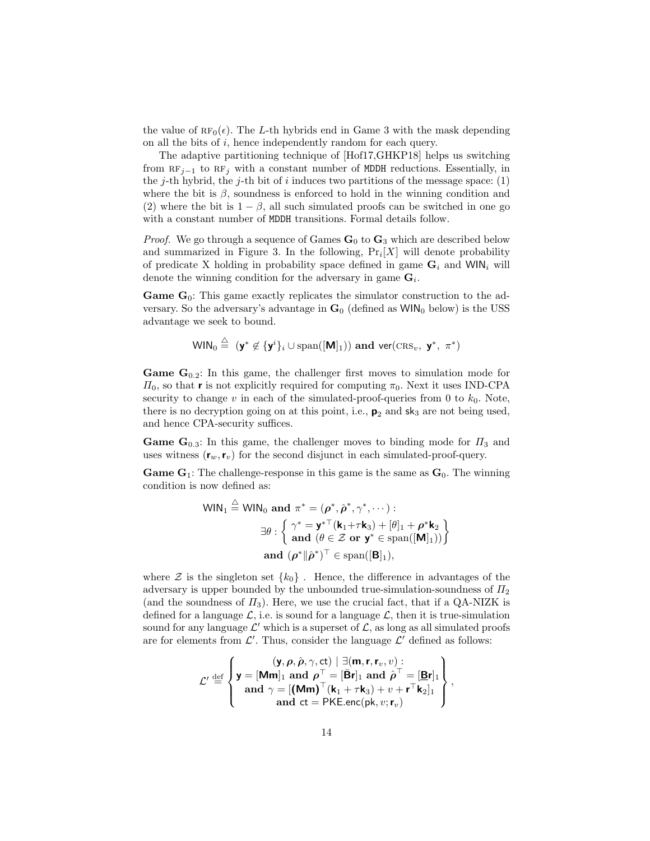the value of  $\text{RF}_0(\epsilon)$ . The L-th hybrids end in Game 3 with the mask depending on all the bits of i, hence independently random for each query.

The adaptive partitioning technique of [Hof17,GHKP18] helps us switching from  $RF_{j-1}$  to  $RF_j$  with a constant number of MDDH reductions. Essentially, in the j-th hybrid, the j-th bit of i induces two partitions of the message space:  $(1)$ where the bit is  $\beta$ , soundness is enforced to hold in the winning condition and (2) where the bit is  $1 - \beta$ , all such simulated proofs can be switched in one go with a constant number of MDDH transitions. Formal details follow.

*Proof.* We go through a sequence of Games  $\mathbf{G}_0$  to  $\mathbf{G}_3$  which are described below and summarized in Figure 3. In the following,  $Pr_i[X]$  will denote probability of predicate X holding in probability space defined in game  $\mathbf{G}_i$  and WIN<sub>i</sub> will denote the winning condition for the adversary in game  $\mathbf{G}_i$ .

**Game G**<sub>0</sub>: This game exactly replicates the simulator construction to the adversary. So the adversary's advantage in  $\mathbf{G}_0$  (defined as  $WIN_0$  below) is the USS advantage we seek to bound.

$$
\mathsf{WIN}_0 \stackrel{\triangle}{=} (\mathsf{y}^* \not\in \{\mathsf{y}^i\}_i \cup \mathrm{span}([\mathsf{M}]_1)) \text{ and } \mathrm{ver}(\mathrm{CRS}_v, \mathsf{y}^*, \pi^*)
$$

 $\lambda$ 

**Game G**<sub>0.2</sub>: In this game, the challenger first moves to simulation mode for  $\Pi_0$ , so that **r** is not explicitly required for computing  $\pi_0$ . Next it uses IND-CPA security to change  $v$  in each of the simulated-proof-queries from 0 to  $k_0$ . Note, there is no decryption going on at this point, i.e.,  $p_2$  and  $sk_3$  are not being used, and hence CPA-security suffices.

**Game G**<sub>0.3</sub>: In this game, the challenger moves to binding mode for  $\Pi_3$  and uses witness  $(\mathbf{r}_w, \mathbf{r}_v)$  for the second disjunct in each simulated-proof-query.

**Game G<sub>1</sub>:** The challenge-response in this game is the same as  $\mathbf{G}_0$ . The winning condition is now defined as:

$$
\mathsf{WIN}_1 \stackrel{\triangle}{=} \mathsf{WIN}_0 \text{ and } \pi^* = (\rho^*, \hat{\rho}^*, \gamma^*, \cdots) : \n\exists \theta : \left\{ \begin{array}{l} \gamma^* = \mathbf{y}^{*\top}(\mathbf{k}_1 + \tau \mathbf{k}_3) + [\theta]_1 + \rho^* \mathbf{k}_2 \\ \text{and } (\theta \in \mathcal{Z} \text{ or } \mathbf{y}^* \in \text{span}([\mathbf{M}]_1)) \end{array} \right\} \n\text{and } (\rho^* \| \hat{\rho}^*)^\top \in \text{span}([\mathbf{B}]_1),
$$

where  $\mathcal Z$  is the singleton set  $\{k_0\}$ . Hence, the difference in advantages of the adversary is upper bounded by the unbounded true-simulation-soundness of  $\Pi_2$ (and the soundness of  $\Pi_3$ ). Here, we use the crucial fact, that if a QA-NIZK is defined for a language  $\mathcal{L}$ , i.e. is sound for a language  $\mathcal{L}$ , then it is true-simulation sound for any language  $\mathcal{L}'$  which is a superset of  $\mathcal{L}$ , as long as all simulated proofs are for elements from  $\mathcal{L}'$ . Thus, consider the language  $\mathcal{L}'$  defined as follows:

$$
\mathcal{L}' \stackrel{\text{def}}{=} \left\{ \begin{aligned} &\left(\mathbf{y}, \rho, \hat{\rho}, \gamma, \text{ct}\right) \mid \exists (\mathbf{m}, \mathbf{r}, \mathbf{r}_v, v) : \\ &\mathbf{y} = [\mathbf{Mm}]_1 \text{ and } \rho^\top = [\mathbf{\bar{B}}\mathbf{r}]_1 \text{ and } \hat{\rho}^\top = [\mathbf{B}\mathbf{r}]_1 \\ &\text{and } \gamma = [(\mathbf{Mm})^\top(\mathbf{k}_1 + \tau \mathbf{k}_3) + v + \mathbf{r}^\top \mathbf{k}_2]_1 \\ &\text{and } \text{ct} = \text{PKE.enc}(\mathbf{p}\mathbf{k}, v; \mathbf{r}_v) \end{aligned} \right\},
$$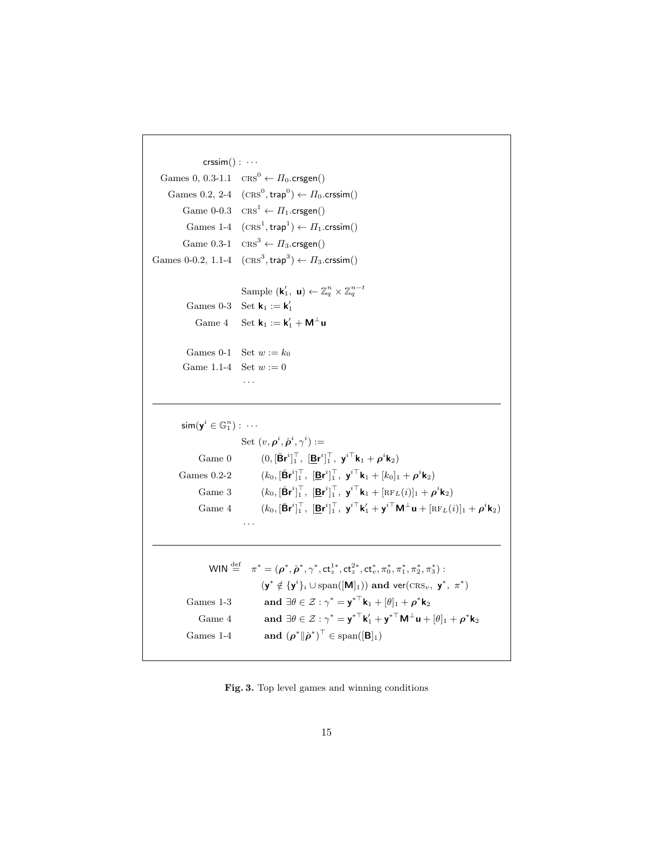```
\textsf{crssim}() : \cdotsGames 0, 0.3-1.1 CRS^0 \leftarrow \Pi_0.crsgen()Games 0.2, 2-4 (\text{CRS}^0, \text{trap}^0) \leftarrow \Pi_0.\text{crssim}()Game 0-0.3 CRS^1 \leftarrow \Pi_1.crsgen()Games 1-4 (\text{CRS}^1, \text{trap}^1) \leftarrow \Pi_1 \text{.crssim}()Game 0.3-1 CRS^3 \leftarrow \Pi_3.crsgen()
Games 0-0.2, 1.1-4 (\text{CRs}^3, \text{trap}^3) \leftarrow \Pi_3 \text{.crssim}()Sample (\mathbf{k}'_1, \mathbf{u}) \leftarrow \mathbb{Z}_q^n \times \mathbb{Z}_q^{n-t}Games 0-3 Set \mathbf{k}_1 := \mathbf{k}'_1Game 4 Set \mathbf{k}_1 := \mathbf{k}'_1 + \mathbf{M}^{\perp} \mathbf{u}Games 0-1 Set w := k_0Game 1.1-4 Set w := 0· · ·
               \mathsf{sim}(\mathsf{y}^i \in \mathbb{G}_1^n):~\cdotsSet (v, \boldsymbol{\rho}^i, \hat{\boldsymbol{\rho}}^i, \gamma^i) :=Game 0 (0, [\bar{\mathbf{B}} \mathbf{r}^i]_1^\top, [\underline{\mathbf{B}} \mathbf{r}^i]_1^\top, \mathbf{y}^{i \top} \mathbf{k}_1 + \rho^i \mathbf{k}_2)Games 0.2-2\big]_1^{\top}, [\mathbf{B} \mathbf{r}^i]_1^{\top}, \mathbf{y}^{i\top} \mathbf{k}_1 + [k_0]_1 + \boldsymbol{\rho}^i \mathbf{k}_2)Game 3 (k_0, [\bar{\mathbf{B}} \mathbf{r}^i]_1^\top, [\underline{\mathbf{B}} \mathbf{r}^i]_1^\top, \mathbf{y}^{i \top} \mathbf{k}_1 + [\text{RF}_L(i)]_1 + \rho^i \mathbf{k}_2)Game 4 (k_0, [\bar{\mathbf{B}} \mathbf{r}^i]_1^\top, [\underline{\mathbf{B}} \mathbf{r}^i]_1^\top, \mathbf{y}^{i\top} \mathbf{k}'_1 + \mathbf{y}^{i\top} \mathbf{M}^\perp \mathbf{u} + [\mathrm{RF}_L(i)]_1 + \rho^i \mathbf{k}_2)· · ·
                              \mathsf{WIN} \stackrel{\mathrm{def}}{=} \pi^* = (\rho^*, \hat{\rho}^*, \gamma^*, \mathsf{ct}_z^{1*}, \mathsf{ct}_z^{2*}, \mathsf{ct}_v^*, \pi_0^*, \pi_1^*, \pi_2^*, \pi_3^*):
                                                          (\mathbf{y}^* \notin {\{\mathbf{y}^i\}_i \cup \text{span}([\mathbf{M}]_1)}) and \text{ver}(\text{CRS}_v, \mathbf{y}^*, \pi^*)Games 1-3 and \exists \theta \in \mathcal{Z} : \gamma^* = \mathbf{y}^{*T} \mathbf{k}_1 + [\theta]_1 + \rho^* \mathbf{k}_2Game 4 and \exists \theta \in \mathcal{Z} : \gamma^* = {\bf y^*}^\top {\bf k}'_1 + {\bf y^*}^\top {\bf M}^\perp {\bf u} + [\theta]_1 + \rho^* {\bf k}_2Games 1-4(\hat{\boldsymbol{\rho}}^*)^{\top} \in \text{span}([\mathbf{B}]_1)
```
Fig. 3. Top level games and winning conditions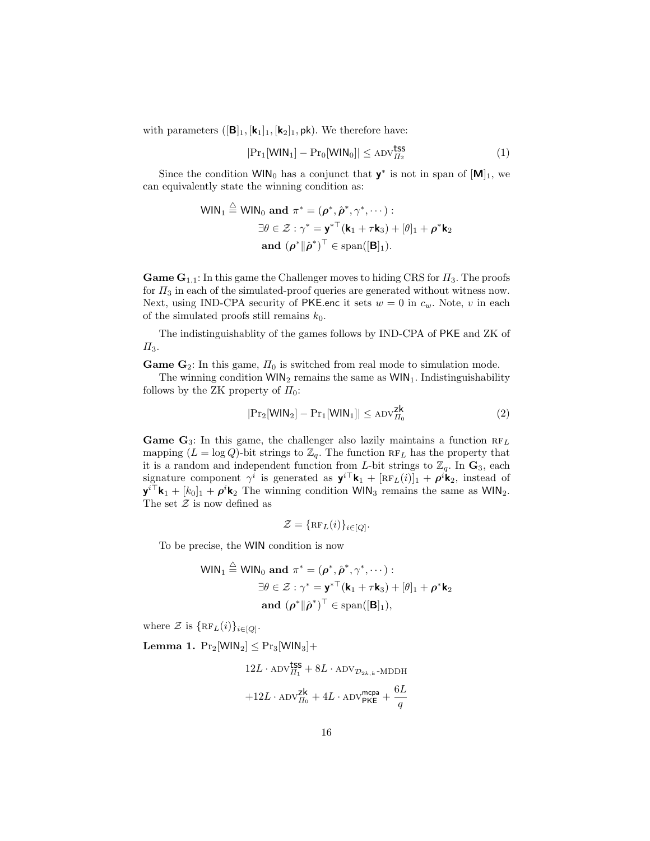with parameters  $([\mathbf{B}]_1, [\mathbf{k}_1]_1, [\mathbf{k}_2]_1, \mathsf{pk})$ . We therefore have:

$$
|\mathrm{Pr}_1[\mathsf{WIN}_1] - \mathrm{Pr}_0[\mathsf{WIN}_0]| \le \mathrm{ADV}_{\Pi_2}^{\text{tss}} \tag{1}
$$

Since the condition  $WIN_0$  has a conjunct that  $y^*$  is not in span of  $[M]_1$ , we can equivalently state the winning condition as:

$$
\mathsf{WIN}_1 \stackrel{\triangle}{=} \mathsf{WIN}_0 \text{ and } \pi^* = (\boldsymbol{\rho}^*, \hat{\boldsymbol{\rho}}^*, \gamma^*, \cdots) :
$$
  

$$
\exists \theta \in \mathcal{Z} : \gamma^* = \mathbf{y}^{*\top} (\mathbf{k}_1 + \tau \mathbf{k}_3) + [\theta]_1 + \boldsymbol{\rho}^* \mathbf{k}_2
$$
  
and 
$$
(\boldsymbol{\rho}^* \| \hat{\boldsymbol{\rho}}^*)^\top \in \text{span}([\mathbf{B}]_1).
$$

**Game G**<sub>1.1</sub>: In this game the Challenger moves to hiding CRS for  $\Pi_3$ . The proofs for  $\Pi_3$  in each of the simulated-proof queries are generated without witness now. Next, using IND-CPA security of PKE.enc it sets  $w = 0$  in  $c_w$ . Note, v in each of the simulated proofs still remains  $k_0$ .

The indistinguishablity of the games follows by IND-CPA of PKE and ZK of  $\Pi_3$ .

**Game G**<sub>2</sub>: In this game,  $\Pi_0$  is switched from real mode to simulation mode.

The winning condition  $WIN_2$  remains the same as  $WIN_1$ . Indistinguishability follows by the ZK property of  $\Pi_0$ :

$$
|\mathrm{Pr}_2[\mathsf{WIN}_2] - \mathrm{Pr}_1[\mathsf{WIN}_1]| \le \mathrm{ADV}_{\Pi_0}^{\mathsf{Zk}} \tag{2}
$$

**Game G**<sub>3</sub>: In this game, the challenger also lazily maintains a function  $RF_L$ mapping  $(L = \log Q)$ -bit strings to  $\mathbb{Z}_q$ . The function  $RF_L$  has the property that it is a random and independent function from L-bit strings to  $\mathbb{Z}_q$ . In  $\mathbf{G}_3$ , each signature component  $\gamma^{\tilde{i}}$  is generated as  $\mathbf{y}^{i\top}\mathbf{k}_1 + [\text{RF}_L(i)]_1 + \rho^{i\hat{i}}\mathbf{k}_2$ , instead of  $\mathbf{y}^{i\top}\mathbf{k}_1 + [k_0]_1 + \rho^i\mathbf{k}_2$  The winning condition WIN<sub>3</sub> remains the same as WIN<sub>2</sub>. The set  $\mathcal Z$  is now defined as

$$
\mathcal{Z} = \{\operatorname{RF}_L(i)\}_{i \in [Q]}.
$$

To be precise, the WIN condition is now

$$
\mathsf{WIN}_1 \stackrel{\triangle}{=} \mathsf{WIN}_0 \text{ and } \pi^* = (\boldsymbol{\rho}^*, \hat{\boldsymbol{\rho}}^*, \gamma^*, \cdots) :
$$
  

$$
\exists \theta \in \mathcal{Z} : \gamma^* = \mathbf{y}^{*\top} (\mathbf{k}_1 + \tau \mathbf{k}_3) + [\theta]_1 + \boldsymbol{\rho}^* \mathbf{k}_2
$$
  
and 
$$
(\boldsymbol{\rho}^* \| \hat{\boldsymbol{\rho}}^*)^\top \in \text{span}([\mathbf{B}]_1),
$$

where  $\mathcal{Z}$  is  $\{RF_L(i)\}_{i\in [Q]}.$ 

Lemma 1.  $Pr_2[WIN_2] \leq Pr_3[WIN_3] +$ 

$$
12L\cdot \text{ADV}_{H_1}^{\text{tss}} + 8L\cdot \text{ADV}_{\mathcal{D}_{2k,k}\text{-MDDH}}\\ + 12L\cdot \text{ADV}_{H_0}^{\text{zk}} + 4L\cdot \text{ADV}_{\text{PKE}}^{\text{mcpa}} + \frac{6L}{q}
$$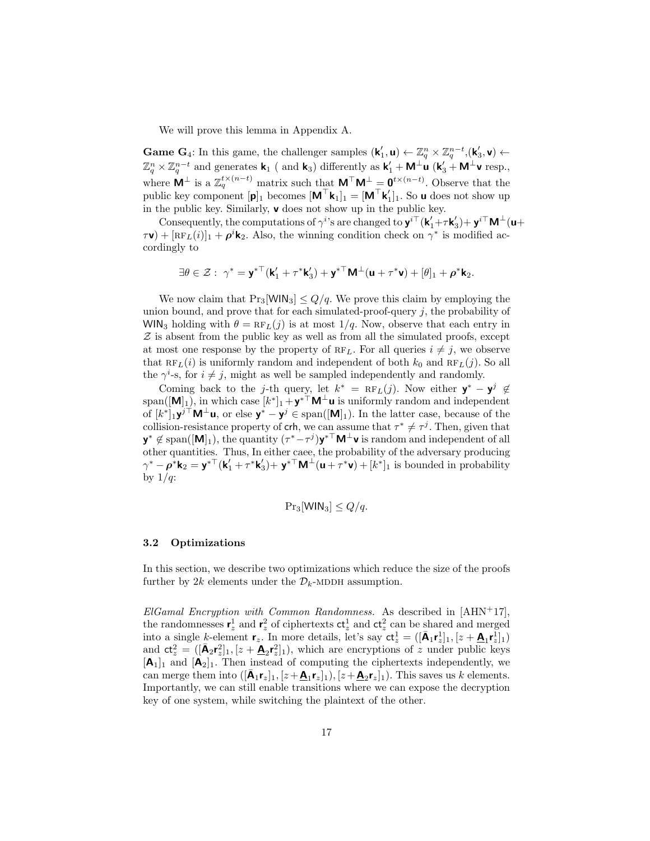We will prove this lemma in Appendix A.

**Game G**<sub>4</sub>: In this game, the challenger samples  $(\mathbf{k}'_1, \mathbf{u}) \leftarrow \mathbb{Z}_q^n \times \mathbb{Z}_q^{n-t}, (\mathbf{k}'_3, \mathbf{v}) \leftarrow$  $\mathbb{Z}_q^n\times\mathbb{Z}_q^{n-t}$  and generates  $\mathsf{k}_1$  (and  $\mathsf{k}_3$ ) differently as  $\mathsf{k}'_1 + \mathsf{M}^{\perp}\mathsf{u}$  ( $\mathsf{k}'_3 + \mathsf{M}^{\perp}\mathsf{v}$  resp., where  $M^{\perp}$  is a  $\mathbb{Z}_q^{t \times (n-t)}$  matrix such that  $M^{\top}M^{\perp} = \mathbf{0}^{t \times (n-t)}$ . Observe that the public key component  $[\mathbf{p}]_1$  becomes  $[\mathbf{M}^\top \mathbf{k}_1]_1 = [\mathbf{M}^\top \mathbf{k}'_1]_1$ . So **u** does not show up in the public key. Similarly, v does not show up in the public key.

Consequently, the computations of  $\gamma^{i}$ 's are changed to  $\mathbf{y}^{i\top}(\mathbf{k}'_1+\tau\mathbf{k}'_3)+\mathbf{y}^{i\top}\mathbf{M}^{\perp}(\mathbf{u}+\tau\mathbf{k}'_3)$  $\tau(\tau) + [\text{RF}_L(i)]_1 + \rho^i \mathbf{k}_2$ . Also, the winning condition check on  $\gamma^*$  is modified accordingly to

$$
\exists \theta \in \mathcal{Z}:\ \gamma^* = \mathbf{y}^{*\top} (\mathbf{k}'_1 + \tau^*\mathbf{k}'_3) + \mathbf{y}^{*\top} \mathbf{M}^\perp (\mathbf{u} + \tau^*\mathbf{v}) + [\theta]_1 + \rho^*\mathbf{k}_2.
$$

We now claim that  $Pr_3[WIN_3] \leq Q/q$ . We prove this claim by employing the union bound, and prove that for each simulated-proof-query  $j$ , the probability of WIN<sub>3</sub> holding with  $\theta = RF_L(j)$  is at most  $1/q$ . Now, observe that each entry in  $Z$  is absent from the public key as well as from all the simulated proofs, except at most one response by the property of  $RF<sub>L</sub>$ . For all queries  $i \neq j$ , we observe that  $RF_L(i)$  is uniformly random and independent of both  $k_0$  and  $RF_L(j)$ . So all the  $\gamma^i$ -s, for  $i \neq j$ , might as well be sampled independently and randomly.

Coming back to the j-th query, let  $k^* = \text{RF}_L(j)$ . Now either  $\mathbf{y}^* - \mathbf{y}^j \notin$ span( $[\mathbf{M}]_1$ ), in which case  $[k^*]_1 + y^{*\top}M^{\bot}$ u is uniformly random and independent of  $[k^*]_1 \mathbf{y}^{j \dagger} \mathbf{M}^{\dagger} \mathbf{u}$ , or else  $\mathbf{y}^* - \mathbf{y}^j \in \text{span}([\mathbf{M}]_1)$ . In the latter case, because of the collision-resistance property of crh, we can assume that  $\tau^* \neq \tau^j$ . Then, given that  $y^* \notin \text{span}([\mathbf{M}]_1)$ , the quantity  $(\tau^* - \tau^j) y^{*\top} \mathbf{M}^{\bot} \mathbf{v}$  is random and independent of all other quantities. Thus, In either caee, the probability of the adversary producing  $\gamma^* - \rho^* \mathbf{k}_2 = \mathbf{y}^{*\top} (\mathbf{k}'_1 + \tau^* \mathbf{k}'_3) + \mathbf{y}^{*\top} \mathbf{M}^\perp (\mathbf{u} + \tau^* \mathbf{v}) + [k^*]_1$  is bounded in probability by  $1/q$ :

$$
Pr_3[\text{WIN}_3] \le Q/q.
$$

#### 3.2 Optimizations

In this section, we describe two optimizations which reduce the size of the proofs further by 2k elements under the  $\mathcal{D}_k$ -MDDH assumption.

ElGamal Encryption with Common Randomness. As described in  $[AHN+17]$ , the randomnesses  $\mathbf{r}_z^1$  and  $\mathbf{r}_z^2$  of ciphertexts  $ct_z^1$  and  $ct_z^2$  can be shared and merged into a single k-element  $\mathbf{r}_z$ . In more details, let's say  $\mathbf{ct}_z^1 = ([\mathbf{A}_1 \mathbf{r}_z^1]_1, [z + \mathbf{A}_1 \mathbf{r}_z^1]_1)$ and  $ct_z^2 = ([\bar{A}_2 r_z^2]_1, [z + \underline{A}_2 r_z^2]_1)$ , which are encryptions of z under public keys  $[A_1]_1$  and  $[A_2]_1$ . Then instead of computing the ciphertexts independently, we can merge them into  $([\bar{A}_1 r_z]_1, [z + \underline{A}_1 r_z]_1), [z + \underline{A}_2 r_z]_1$ ). This saves us k elements. Importantly, we can still enable transitions where we can expose the decryption key of one system, while switching the plaintext of the other.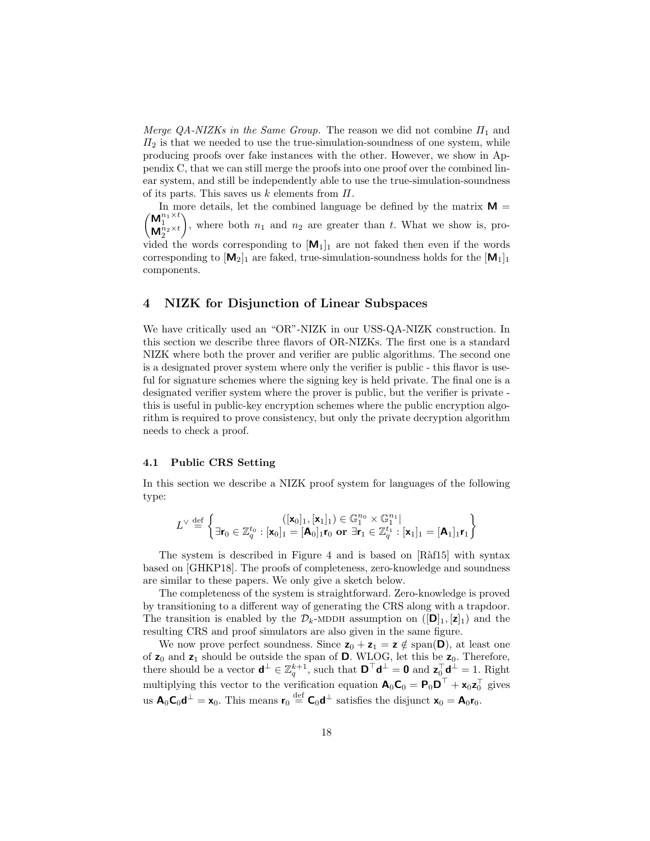Merge QA-NIZKs in the Same Group. The reason we did not combine  $\Pi_1$  and  $\Pi_2$  is that we needed to use the true-simulation-soundness of one system, while producing proofs over fake instances with the other. However, we show in Appendix C, that we can still merge the proofs into one proof over the combined linear system, and still be independently able to use the true-simulation-soundness of its parts. This saves us  $k$  elements from  $\Pi$ .

 $\big/ {\sf M}_1^{n_1\times t}$ In more details, let the combined language be defined by the matrix  $M =$  $\mathsf{M}^{n_1}_{2}$ × $^{t}$ ), where both  $n_1$  and  $n_2$  are greater than t. What we show is, provided the words corresponding to  $[M_1]_1$  are not faked then even if the words corresponding to  $[M_2]_1$  are faked, true-simulation-soundness holds for the  $[M_1]_1$ components.

# 4 NIZK for Disjunction of Linear Subspaces

We have critically used an "OR"-NIZK in our USS-QA-NIZK construction. In this section we describe three flavors of OR-NIZKs. The first one is a standard NIZK where both the prover and verifier are public algorithms. The second one is a designated prover system where only the verifier is public - this flavor is useful for signature schemes where the signing key is held private. The final one is a designated verifier system where the prover is public, but the verifier is private this is useful in public-key encryption schemes where the public encryption algorithm is required to prove consistency, but only the private decryption algorithm needs to check a proof.

#### 4.1 Public CRS Setting

In this section we describe a NIZK proof system for languages of the following type:

$$
L^{\vee}\stackrel{\text{def}}{=}\left\{\exists \mathbf{r}_0\in\mathbb{Z}_q^{t_0}: [\mathbf{x}_0]_1, [\mathbf{x}_1]_1)\in\mathbb{G}_1^{n_0}\times\mathbb{G}_1^{n_1} \big| \atop \exists \mathbf{r}_0\in\mathbb{Z}_q^{t_0}: [\mathbf{x}_0]_1=[\mathbf{A}_0]_1\mathbf{r}_0 \text{ or }\exists \mathbf{r}_1\in\mathbb{Z}_q^{t_1}: [\mathbf{x}_1]_1=[\mathbf{A}_1]_1\mathbf{r}_1 \right\}
$$

The system is described in Figure 4 and is based on [Ràf15] with syntax based on [GHKP18]. The proofs of completeness, zero-knowledge and soundness are similar to these papers. We only give a sketch below.

The completeness of the system is straightforward. Zero-knowledge is proved by transitioning to a different way of generating the CRS along with a trapdoor. The transition is enabled by the  $\mathcal{D}_k$ -MDDH assumption on  $(|\mathbf{D}|_1, |\mathbf{z}|_1)$  and the resulting CRS and proof simulators are also given in the same figure.

We now prove perfect soundness. Since  $z_0 + z_1 = z \notin \text{span}(\mathbf{D})$ , at least one of  $z_0$  and  $z_1$  should be outside the span of **D**. WLOG, let this be  $z_0$ . Therefore, there should be a vector  $\mathbf{d}^{\perp} \in \mathbb{Z}_q^{k+1}$ , such that  $\mathbf{D}^{\top} \mathbf{d}^{\perp} = \mathbf{0}$  and  $\mathbf{z}_0^{\top} \mathbf{d}^{\perp} = 1$ . Right multiplying this vector to the verification equation  $\mathbf{A}_0 \mathbf{C}_0 = \mathbf{P}_0 \mathbf{D}^\top + \mathbf{x}_0 \mathbf{z}_0^\top$  gives us  $\mathbf{A}_0 \mathbf{C}_0 \mathbf{d}^\perp = \mathbf{x}_0$ . This means  $\mathbf{r}_0 \stackrel{\text{def}}{=} \mathbf{C}_0 \mathbf{d}^\perp$  satisfies the disjunct  $\mathbf{x}_0 = \mathbf{A}_0 \mathbf{r}_0$ .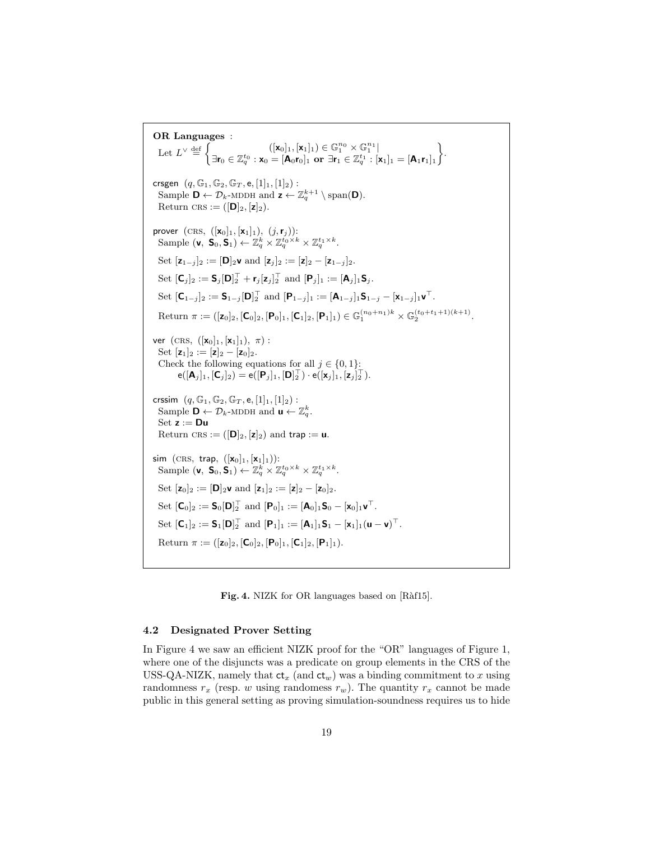OR Languages : Let  $L^{\vee} \stackrel{\text{def}}{=} \begin{cases} \begin{cases} (\mathbf{x}_0]_1, [\mathbf{x}_1]_1 \in \mathbb{G}_1^{n_0} \times \mathbb{G}_1^{n_1} \\ \mathbb{R} & \text{otherwise} \end{cases} \end{cases}$  $\exists \mathbf{r}_0 \in \mathbb{Z}_q^{t_0}: \mathbf{x}_0 = [\mathbf{A}_0 \mathbf{r}_0]_1$  or  $\exists \mathbf{r}_1 \in \mathbb{Z}_q^{t_1}: [\mathbf{x}_1]_1 = [\mathbf{A}_1 \mathbf{r}_1]_1$  . crsgen  $(q, \mathbb{G}_1, \mathbb{G}_2, \mathbb{G}_T, e, [1]_1, [1]_2)$ : Sample  $\mathbf{D} \leftarrow \mathcal{D}_k$ -MDDH and  $\mathbf{z} \leftarrow \mathbb{Z}_q^{k+1} \setminus \text{span}(\mathbf{D})$ . Return CRS :=  $([D]_2, [z]_2)$ . prover  $(\text{CRS}, ([x_0]_1, [x_1]_1), (j, r_j))$ : Sample  $(\mathbf{v}, \mathbf{S}_0, \mathbf{S}_1) \leftarrow \mathbb{Z}_q^k \times \mathbb{Z}_q^{t_0 \times k} \times \mathbb{Z}_q^{t_1 \times k}.$ Set  $[z_{1-j}]_2 := [\mathbf{D}]_2 \mathbf{v}$  and  $[z_j]_2 := [z]_2 - [z_{1-j}]_2$ . Set  $[\mathsf{C}_j]_2 := \mathsf{S}_j[\mathsf{D}]_2^\top + \mathsf{r}_j[\mathsf{z}_j]_2^\top$  and  $[\mathsf{P}_j]_1 := [\mathsf{A}_j]_1 \mathsf{S}_j$ . Set  $[\mathbf{C}_{1-j}]_2 := \mathbf{S}_{1-j}[\mathbf{D}]_2^\top$  and  $[\mathbf{P}_{1-j}]_1 := [\mathbf{A}_{1-j}]_1 \mathbf{S}_{1-j} - [\mathbf{x}_{1-j}]_1 \mathbf{v}^\top$ . Return  $\pi := ([z_0]_2, [\mathsf{C}_0]_2, [\mathsf{P}_0]_1, [\mathsf{C}_1]_2, [\mathsf{P}_1]_1) \in \mathbb{G}_1^{(n_0+n_1)k} \times \mathbb{G}_2^{(t_0+t_1+1)(k+1)}.$ ver  $(CRS, ([x<sub>0</sub>]<sub>1</sub>, [x<sub>1</sub>]<sub>1</sub>), \pi)$ : Set  $[z_1]_2 := [z]_2 - [z_0]_2$ . Check the following equations for all  $j \in \{0, 1\}$ :  $\mathsf{e}([{\mathbf A}_j]_1, [{\mathbf C}_j]_2) = \mathsf{e}([{\mathbf P}_j]_1, [{\mathbf D}]_2^\top) \cdot \mathsf{e}([{\mathbf x}_j]_1, [{\mathbf z}_j]_2^\top).$ crssim  $(q, \mathbb{G}_1, \mathbb{G}_2, \mathbb{G}_T, e, [1]_1, [1]_2)$ : Sample  $\mathbf{D} \leftarrow \mathcal{D}_k$ -MDDH and  $\mathbf{u} \leftarrow \mathbb{Z}_q^k$ .  $Set z := Du$ Return CRS :=  $([\mathbf{D}]_2, [\mathbf{z}]_2)$  and trap := **u**. sim  $(\text{CRS}, \text{ trap}, ([x_0]_1, [x_1]_1))$ : Sample  $(\mathbf{v}, \mathbf{S}_0, \mathbf{S}_1) \leftarrow \mathbb{Z}_q^k \times \mathbb{Z}_q^{t_0 \times k} \times \mathbb{Z}_q^{t_1 \times k}.$ Set  $[z_0]_2 := [D]_2 v$  and  $[z_1]_2 := [z]_2 - [z_0]_2$ . Set  $[\mathsf{C}_0]_2 := \mathsf{S}_0[\mathsf{D}]_2^\top$  and  $[\mathsf{P}_0]_1 := [\mathsf{A}_0]_1 \mathsf{S}_0 - [\mathsf{x}_0]_1 \mathsf{v}^\top$ . Set  $[C_1]_2 := S_1[D]_2^{\top}$  and  $[P_1]_1 := [A_1]_1S_1 - [x_1]_1(u - v)^{\top}$ . Return  $\pi := ([z_0]_2, [\mathbf{C}_0]_2, [\mathbf{P}_0]_1, [\mathbf{C}_1]_2, [\mathbf{P}_1]_1).$ 

Fig. 4. NIZK for OR languages based on [Ràf15].

## 4.2 Designated Prover Setting

In Figure 4 we saw an efficient NIZK proof for the "OR" languages of Figure 1, where one of the disjuncts was a predicate on group elements in the CRS of the USS-QA-NIZK, namely that  $ct_x$  (and  $ct_w$ ) was a binding commitment to x using randomness  $r_x$  (resp. w using randomess  $r_w$ ). The quantity  $r_x$  cannot be made public in this general setting as proving simulation-soundness requires us to hide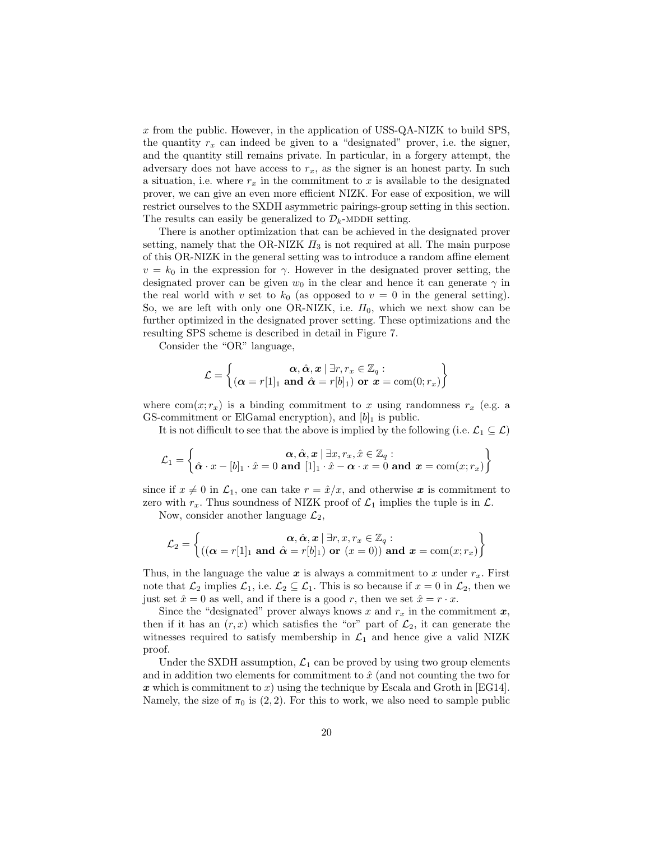x from the public. However, in the application of USS-QA-NIZK to build SPS, the quantity  $r_x$  can indeed be given to a "designated" prover, i.e. the signer, and the quantity still remains private. In particular, in a forgery attempt, the adversary does not have access to  $r_x$ , as the signer is an honest party. In such a situation, i.e. where  $r_x$  in the commitment to x is available to the designated prover, we can give an even more efficient NIZK. For ease of exposition, we will restrict ourselves to the SXDH asymmetric pairings-group setting in this section. The results can easily be generalized to  $\mathcal{D}_k$ -MDDH setting.

There is another optimization that can be achieved in the designated prover setting, namely that the OR-NIZK  $\Pi_3$  is not required at all. The main purpose of this OR-NIZK in the general setting was to introduce a random affine element  $v = k_0$  in the expression for  $\gamma$ . However in the designated prover setting, the designated prover can be given  $w_0$  in the clear and hence it can generate  $\gamma$  in the real world with v set to  $k_0$  (as opposed to  $v = 0$  in the general setting). So, we are left with only one OR-NIZK, i.e.  $\Pi_0$ , which we next show can be further optimized in the designated prover setting. These optimizations and the resulting SPS scheme is described in detail in Figure 7.

Consider the "OR" language,

$$
\mathcal{L} = \left\{ \begin{matrix} \boldsymbol{\alpha}, \hat{\boldsymbol{\alpha}}, \boldsymbol{x} \mid \exists r, r_x \in \mathbb{Z}_q : \\ (\boldsymbol{\alpha} = r[1]_1 \text{ and } \hat{\boldsymbol{\alpha}} = r[b]_1) \text{ or } \boldsymbol{x} = \text{com}(0; r_x) \end{matrix} \right\}
$$

where  $com(x; r_x)$  is a binding commitment to x using randomness  $r_x$  (e.g. a GS-commitment or ElGamal encryption), and  $|b|_1$  is public.

It is not difficult to see that the above is implied by the following (i.e.  $\mathcal{L}_1 \subseteq \mathcal{L}$ )

$$
\mathcal{L}_1 = \left\{ \begin{matrix} \boldsymbol{\alpha}, \hat{\boldsymbol{\alpha}}, \boldsymbol{x} \mid \exists x, r_x, \hat{x} \in \mathbb{Z}_q : \\ \hat{\boldsymbol{\alpha}} \cdot x - [b]_1 \cdot \hat{x} = 0 \text{ and } [1]_1 \cdot \hat{x} - \boldsymbol{\alpha} \cdot x = 0 \text{ and } \boldsymbol{x} = \text{com}(x; r_x) \end{matrix} \right\}
$$

since if  $x \neq 0$  in  $\mathcal{L}_1$ , one can take  $r = \hat{x}/x$ , and otherwise x is commitment to zero with  $r_x$ . Thus soundness of NIZK proof of  $\mathcal{L}_1$  implies the tuple is in  $\mathcal{L}$ .

Now, consider another language  $\mathcal{L}_2$ ,

$$
\mathcal{L}_2 = \left\{ \begin{matrix} \boldsymbol{\alpha}, \hat{\boldsymbol{\alpha}}, \boldsymbol{x} \, | \, \exists r, x, r_x \in \mathbb{Z}_q : \\ ((\boldsymbol{\alpha} = r[1]_1 \text{ and } \hat{\boldsymbol{\alpha}} = r[b]_1) \text{ or } (x = 0)) \text{ and } \boldsymbol{x} = \text{com}(x; r_x) \end{matrix} \right\}
$$

Thus, in the language the value  $x$  is always a commitment to x under  $r_x$ . First note that  $\mathcal{L}_2$  implies  $\mathcal{L}_1$ , i.e.  $\mathcal{L}_2 \subseteq \mathcal{L}_1$ . This is so because if  $x = 0$  in  $\mathcal{L}_2$ , then we just set  $\hat{x} = 0$  as well, and if there is a good r, then we set  $\hat{x} = r \cdot x$ .

Since the "designated" prover always knows x and  $r_x$  in the commitment  $x$ , then if it has an  $(r, x)$  which satisfies the "or" part of  $\mathcal{L}_2$ , it can generate the witnesses required to satisfy membership in  $\mathcal{L}_1$  and hence give a valid NIZK proof.

Under the SXDH assumption,  $\mathcal{L}_1$  can be proved by using two group elements and in addition two elements for commitment to  $\hat{x}$  (and not counting the two for x which is commitment to x) using the technique by Escala and Groth in [EG14]. Namely, the size of  $\pi_0$  is (2, 2). For this to work, we also need to sample public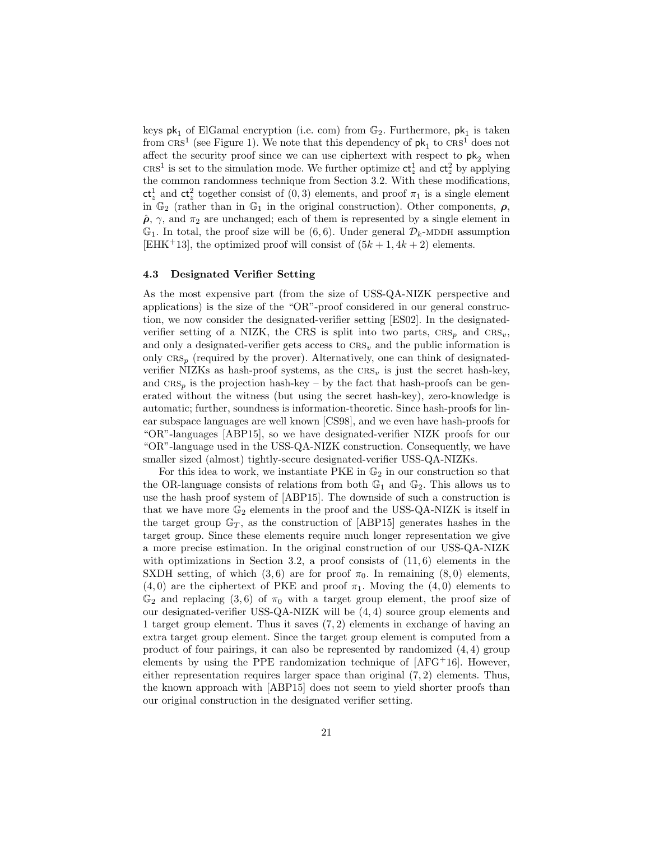keys  $\mathsf{pk}_1$  of ElGamal encryption (i.e. com) from  $\mathbb{G}_2$  . Furthermore,  $\mathsf{pk}_1$  is taken from  $CRS<sup>1</sup>$  (see Figure 1). We note that this dependency of  $pk<sub>1</sub>$  to  $CRS<sup>1</sup>$  does not affect the security proof since we can use ciphertext with respect to  $pk<sub>2</sub>$  when CRS<sup>1</sup> is set to the simulation mode. We further optimize  $ct_z^1$  and  $ct_z^2$  by applying the common randomness technique from Section 3.2. With these modifications,  $ct_z^1$  and  $ct_z^2$  together consist of  $(0, 3)$  elements, and proof  $\pi_1$  is a single element in  $\mathbb{G}_2$  (rather than in  $\mathbb{G}_1$  in the original construction). Other components,  $\rho$ ,  $\hat{\rho}$ ,  $\gamma$ , and  $\pi_2$  are unchanged; each of them is represented by a single element in  $\mathbb{G}_1$ . In total, the proof size will be  $(6, 6)$ . Under general  $\mathcal{D}_k$ -MDDH assumption [EHK<sup>+</sup>13], the optimized proof will consist of  $(5k+1, 4k+2)$  elements.

#### 4.3 Designated Verifier Setting

As the most expensive part (from the size of USS-QA-NIZK perspective and applications) is the size of the "OR"-proof considered in our general construction, we now consider the designated-verifier setting [ES02]. In the designatedverifier setting of a NIZK, the CRS is split into two parts,  $CRS_p$  and  $CRS_v$ , and only a designated-verifier gets access to  $CRS_v$  and the public information is only  $CRS_n$  (required by the prover). Alternatively, one can think of designatedverifier NIZKs as hash-proof systems, as the  $CRS<sub>v</sub>$  is just the secret hash-key, and  $CRS<sub>p</sub>$  is the projection hash-key – by the fact that hash-proofs can be generated without the witness (but using the secret hash-key), zero-knowledge is automatic; further, soundness is information-theoretic. Since hash-proofs for linear subspace languages are well known [CS98], and we even have hash-proofs for "OR"-languages [ABP15], so we have designated-verifier NIZK proofs for our "OR"-language used in the USS-QA-NIZK construction. Consequently, we have smaller sized (almost) tightly-secure designated-verifier USS-QA-NIZKs.

For this idea to work, we instantiate PKE in  $\mathbb{G}_2$  in our construction so that the OR-language consists of relations from both  $\mathbb{G}_1$  and  $\mathbb{G}_2$ . This allows us to use the hash proof system of [ABP15]. The downside of such a construction is that we have more  $\mathbb{G}_2$  elements in the proof and the USS-QA-NIZK is itself in the target group  $\mathbb{G}_T$ , as the construction of [ABP15] generates hashes in the target group. Since these elements require much longer representation we give a more precise estimation. In the original construction of our USS-QA-NIZK with optimizations in Section 3.2, a proof consists of  $(11, 6)$  elements in the SXDH setting, of which (3,6) are for proof  $\pi_0$ . In remaining (8,0) elements,  $(4, 0)$  are the ciphertext of PKE and proof  $\pi_1$ . Moving the  $(4, 0)$  elements to  $\mathbb{G}_2$  and replacing (3,6) of  $\pi_0$  with a target group element, the proof size of our designated-verifier USS-QA-NIZK will be (4, 4) source group elements and 1 target group element. Thus it saves (7, 2) elements in exchange of having an extra target group element. Since the target group element is computed from a product of four pairings, it can also be represented by randomized (4, 4) group elements by using the PPE randomization technique of  $[AFG+16]$ . However, either representation requires larger space than original (7, 2) elements. Thus, the known approach with [ABP15] does not seem to yield shorter proofs than our original construction in the designated verifier setting.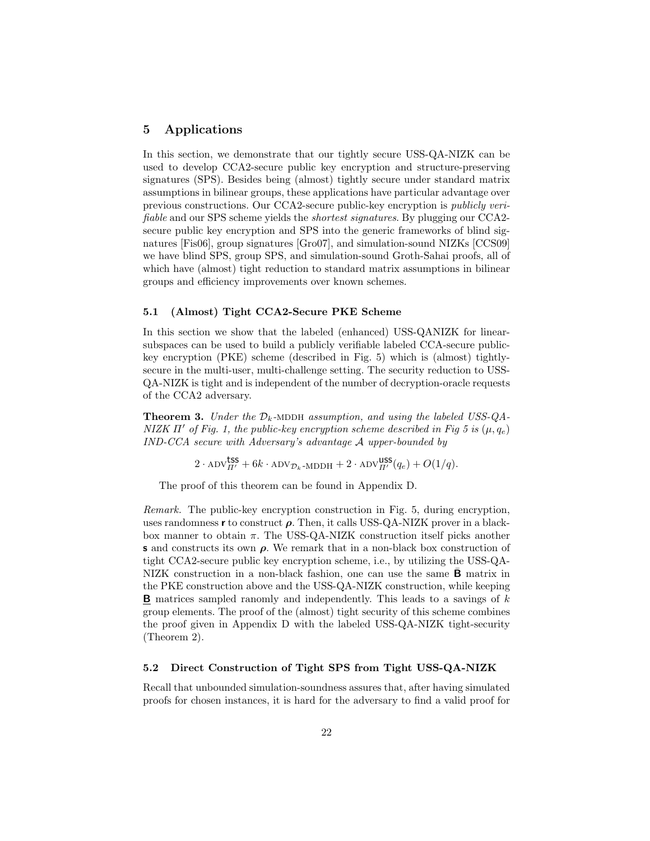## 5 Applications

In this section, we demonstrate that our tightly secure USS-QA-NIZK can be used to develop CCA2-secure public key encryption and structure-preserving signatures (SPS). Besides being (almost) tightly secure under standard matrix assumptions in bilinear groups, these applications have particular advantage over previous constructions. Our CCA2-secure public-key encryption is publicly verifiable and our SPS scheme yields the shortest signatures. By plugging our CCA2 secure public key encryption and SPS into the generic frameworks of blind signatures [Fis06], group signatures [Gro07], and simulation-sound NIZKs [CCS09] we have blind SPS, group SPS, and simulation-sound Groth-Sahai proofs, all of which have (almost) tight reduction to standard matrix assumptions in bilinear groups and efficiency improvements over known schemes.

#### 5.1 (Almost) Tight CCA2-Secure PKE Scheme

In this section we show that the labeled (enhanced) USS-QANIZK for linearsubspaces can be used to build a publicly verifiable labeled CCA-secure publickey encryption (PKE) scheme (described in Fig. 5) which is (almost) tightlysecure in the multi-user, multi-challenge setting. The security reduction to USS-QA-NIZK is tight and is independent of the number of decryption-oracle requests of the CCA2 adversary.

**Theorem 3.** Under the  $\mathcal{D}_k$ -MDDH assumption, and using the labeled USS-QA-NIZK Π' of Fig. 1, the public-key encryption scheme described in Fig 5 is  $(μ, q<sub>e</sub>)$ IND-CCA secure with Adversary's advantage A upper-bounded by

 $2 \cdot \text{ADV}_{\Pi'}^{\text{LSS}} + 6k \cdot \text{ADV}_{\mathcal{D}_k\text{-MDDH}} + 2 \cdot \text{ADV}_{\Pi'}^{\text{USS}}(q_e) + O(1/q).$ 

The proof of this theorem can be found in Appendix D.

Remark. The public-key encryption construction in Fig. 5, during encryption, uses randomness r to construct  $\rho$ . Then, it calls USS-QA-NIZK prover in a blackbox manner to obtain  $\pi$ . The USS-QA-NIZK construction itself picks another s and constructs its own  $\rho$ . We remark that in a non-black box construction of tight CCA2-secure public key encryption scheme, i.e., by utilizing the USS-QA-NIZK construction in a non-black fashion, one can use the same  $B$  matrix in the PKE construction above and the USS-QA-NIZK construction, while keeping **B** matrices sampled ranomly and independently. This leads to a savings of  $k$ group elements. The proof of the (almost) tight security of this scheme combines the proof given in Appendix D with the labeled USS-QA-NIZK tight-security (Theorem 2).

#### 5.2 Direct Construction of Tight SPS from Tight USS-QA-NIZK

Recall that unbounded simulation-soundness assures that, after having simulated proofs for chosen instances, it is hard for the adversary to find a valid proof for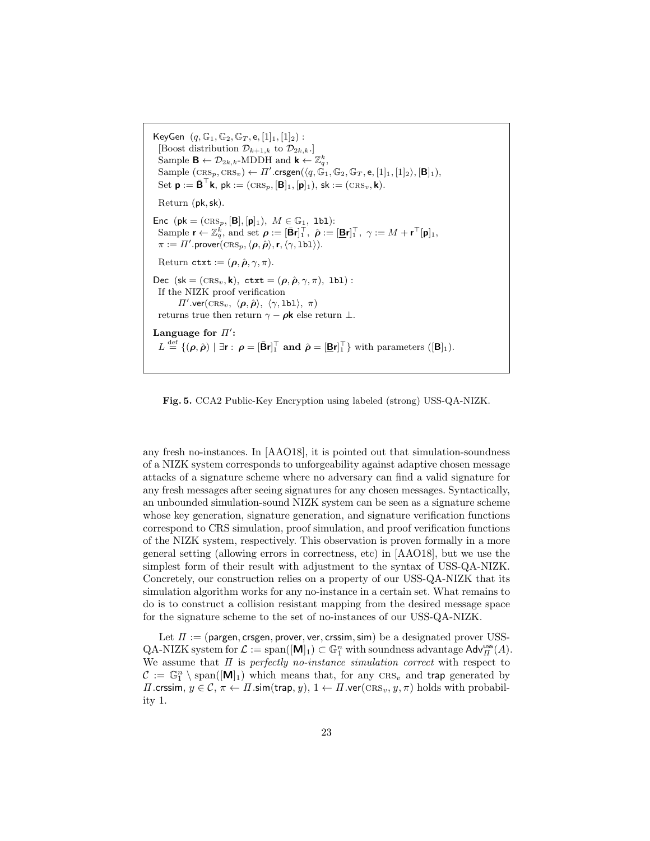KeyGen  $(q, \mathbb{G}_1, \mathbb{G}_2, \mathbb{G}_T, e, [1]_1, [1]_2)$ : [Boost distribution  $\mathcal{D}_{k+1,k}$  to  $\mathcal{D}_{2k,k}$ .] Sample  $\mathbf{B} \leftarrow \mathcal{D}_{2k,k}$ -MDDH and  $\mathbf{k} \leftarrow \mathbb{Z}_q^k$ ,  $\text{Sample } (\text{CRS}_p, \text{CRS}_v) \leftarrow \Pi'.\text{crsgen}(\langle q, \mathbb{G}_1, \mathbb{G}_2, \mathbb{G}_T, \mathsf{e}, [1]_1, [1]_2 \rangle, [\mathbf{B}]_1),$ Set  $\mathbf{p} := \bar{\mathbf{B}}^{\top} \mathbf{k}$ ,  $\mathsf{pk} := (\textsc{crs}_p, [\mathbf{B}]_1, [\mathbf{p}]_1)$ ,  $\mathsf{sk} := (\textsc{crs}_v, \mathsf{k})$ . Return (pk,sk). Enc  $(\mathsf{pk} = (\textsc{crs}_p, [\mathbf{B}], [\mathbf{p}]_1), M \in \mathbb{G}_1, \text{lb1})$ : Sample  $\mathbf{r} \leftarrow \mathbb{Z}_q^k$ , and set  $\boldsymbol{\rho} := [\bar{\mathbf{B}} \mathbf{r}]_1^\top$ ,  $\hat{\boldsymbol{\rho}} := [\underline{\mathbf{B}} \mathbf{r}]_1^\top$ ,  $\gamma := M + \mathbf{r}^\top [\mathbf{p}]_1$ ,  $\pi := \Pi'.\mathsf{prover}(\overline{\text{CRS}}_p, \langle \boldsymbol{\rho},\hat{\boldsymbol{\rho}}\rangle,\mathbf{r},\langle \gamma,\texttt{lbl}\rangle).$ Return ctxt :=  $(\rho, \hat{\rho}, \gamma, \pi)$ . Dec (sk = ( $\text{CRS}_v$ , k), ctxt = ( $\rho$ ,  $\hat{\rho}$ ,  $\gamma$ ,  $\pi$ ), 1b1): If the NIZK proof verification  $\Pi'.\text{ver}(\text{CRS}_v, \langle \boldsymbol{\rho}, \hat{\boldsymbol{\rho}} \rangle, \langle \gamma, \texttt{lbl} \rangle, \pi)$ returns true then return  $\gamma - \rho \mathbf{k}$  else return  $\perp$ . Language for  $\Pi'$ :  $L \stackrel{\text{def}}{=} \{(\boldsymbol{\rho}, \hat{\boldsymbol{\rho}}) \mid \exists \mathbf{r} : \boldsymbol{\rho} = [\mathbf{\bar{B}} \mathbf{r}]_1^{\top} \text{ and } \hat{\boldsymbol{\rho}} = [\mathbf{\underline{B}} \mathbf{r}]_1^{\top} \} \text{ with parameters } ([\mathbf{B}]_1).$ 

Fig. 5. CCA2 Public-Key Encryption using labeled (strong) USS-QA-NIZK.

any fresh no-instances. In [AAO18], it is pointed out that simulation-soundness of a NIZK system corresponds to unforgeability against adaptive chosen message attacks of a signature scheme where no adversary can find a valid signature for any fresh messages after seeing signatures for any chosen messages. Syntactically, an unbounded simulation-sound NIZK system can be seen as a signature scheme whose key generation, signature generation, and signature verification functions correspond to CRS simulation, proof simulation, and proof verification functions of the NIZK system, respectively. This observation is proven formally in a more general setting (allowing errors in correctness, etc) in [AAO18], but we use the simplest form of their result with adjustment to the syntax of USS-QA-NIZK. Concretely, our construction relies on a property of our USS-QA-NIZK that its simulation algorithm works for any no-instance in a certain set. What remains to do is to construct a collision resistant mapping from the desired message space for the signature scheme to the set of no-instances of our USS-QA-NIZK.

Let  $\Pi :=$  (pargen, crsgen, prover, ver, crssim, sim) be a designated prover USS- $QA-NIZK$  system for  $\mathcal{L} := \text{span}([\mathbf{M}]_1) \subset \mathbb{G}_1^n$  with soundness advantage  $\mathsf{Adv}_{\Pi}^{\text{uss}}(A)$ . We assume that  $\Pi$  is perfectly no-instance simulation correct with respect to  $\mathcal{C} := \mathbb{G}_1^n \setminus \text{span}([\mathbf{M}]_1)$  which means that, for any  $\text{CRS}_v$  and trap generated by  $\Pi$ .crssim,  $y \in \mathcal{C}, \pi \leftarrow \Pi$ .sim(trap, y),  $1 \leftarrow \Pi$ .ver(CRS<sub>v</sub>, y,  $\pi$ ) holds with probability 1.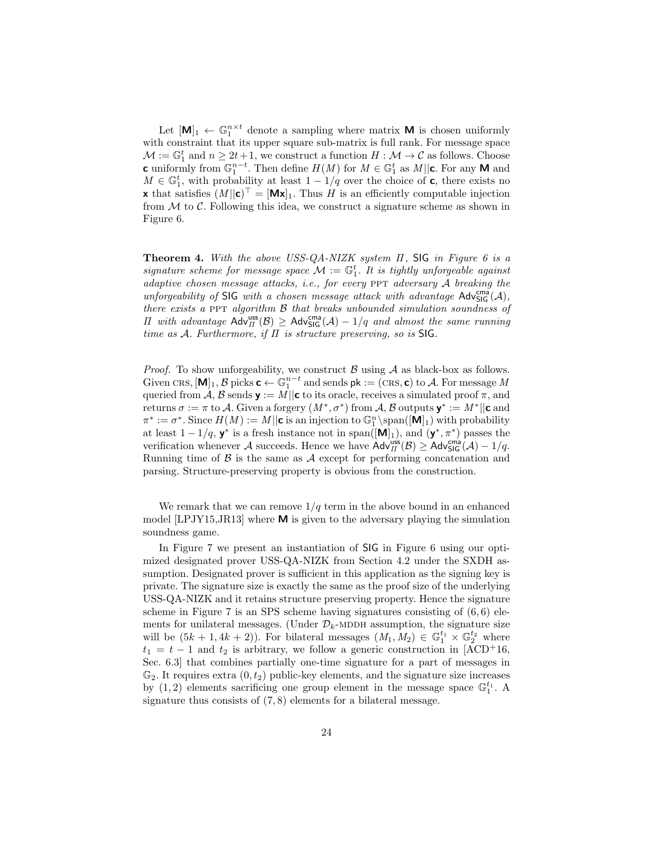Let  $[M]_1 \leftarrow \mathbb{G}_1^{n \times t}$  denote a sampling where matrix **M** is chosen uniformly with constraint that its upper square sub-matrix is full rank. For message space  $\mathcal{M} := \mathbb{G}_1^t$  and  $n \geq 2t + 1$ , we construct a function  $H : \mathcal{M} \to \mathcal{C}$  as follows. Choose c uniformly from  $\mathbb{G}_1^{n-t}$ . Then define  $H(M)$  for  $M \in \mathbb{G}_1^t$  as  $M||c$ . For any M and  $M \in \mathbb{G}_1^t$ , with probability at least  $1 - 1/q$  over the choice of **c**, there exists no **x** that satisfies  $(M||c)^{\top} = [Mx]_1$ . Thus H is an efficiently computable injection from  $\mathcal M$  to  $\mathcal C$ . Following this idea, we construct a signature scheme as shown in Figure 6.

**Theorem 4.** With the above USS-QA-NIZK system  $\Pi$ , SIG in Figure 6 is a signature scheme for message space  $\mathcal{M} := \mathbb{G}_1^t$ . It is tightly unforgeable against adaptive chosen message attacks, i.e., for every PPT adversary  $A$  breaking the unforgeability of SIG with a chosen message attack with advantage  $\mathsf{Adv}^{\text{cm}\text{a}}_{\mathsf{SIG}}(\mathcal{A}),$ there exists a PPT algorithm  $\beta$  that breaks unbounded simulation soundness of *Π* with advantage  $\text{Adv}_{\Pi}^{\text{uss}}(\mathcal{B}) \geq \text{Adv}_{\text{SIG}}^{\text{cma}}(\mathcal{A}) - 1/q$  and almost the same running time as A. Furthermore, if  $\Pi$  is structure preserving, so is SIG.

*Proof.* To show unforgeability, we construct  $\beta$  using  $\mathcal A$  as black-box as follows. Given CRS,  $[M]_1$ ,  $B$  picks  $\mathbf{c} \leftarrow \mathbb{G}_1^{n-t}$  and sends  $\mathsf{pk} := (\textsc{crs}, \mathbf{c})$  to  $\mathcal{A}$ . For message  $M$ queried from A, B sends  $\mathbf{y} := M || \mathbf{c}$  to its oracle, receives a simulated proof  $\pi$ , and returns  $\sigma := \pi$  to A. Given a forgery  $(M^*, \sigma^*)$  from A, B outputs  $\mathbf{y}^* := M^* || \mathbf{c}$  and  $\pi^* := \sigma^*$ . Since  $H(M) := M \vert \vert \mathbf{c} \text{ is an injection to } \mathbb{G}_1^n \setminus \mathrm{span}([\mathbf{\bar{M}}]_1) \text{ with probability}$ at least  $1-1/q$ ,  $y^*$  is a fresh instance not in span( $[M]_1$ ), and  $(y^*, \pi^*)$  passes the verification whenever A succeeds. Hence we have  $\text{Adv}_{\Pi}^{\text{uss}}(\mathcal{B}) \geq \text{Adv}_{\text{SIG}}^{\text{cma}}(\mathcal{A}) - 1/q$ . Running time of  $\beta$  is the same as  $\mathcal A$  except for performing concatenation and parsing. Structure-preserving property is obvious from the construction.

We remark that we can remove  $1/q$  term in the above bound in an enhanced model [LPJY15,JR13] where  $M$  is given to the adversary playing the simulation soundness game.

In Figure 7 we present an instantiation of SIG in Figure 6 using our optimized designated prover USS-QA-NIZK from Section 4.2 under the SXDH assumption. Designated prover is sufficient in this application as the signing key is private. The signature size is exactly the same as the proof size of the underlying USS-QA-NIZK and it retains structure preserving property. Hence the signature scheme in Figure 7 is an SPS scheme having signatures consisting of  $(6, 6)$  elements for unilateral messages. (Under  $\mathcal{D}_k$ -MDDH assumption, the signature size will be  $(5k+1, 4k+2)$ ). For bilateral messages  $(M_1, M_2) \in \mathbb{G}_1^{t_1} \times \mathbb{G}_2^{t_2}$  where  $t_1 = t - 1$  and  $t_2$  is arbitrary, we follow a generic construction in [ACD+16, Sec. 6.3] that combines partially one-time signature for a part of messages in  $\mathbb{G}_2$ . It requires extra  $(0, t_2)$  public-key elements, and the signature size increases by  $(1, 2)$  elements sacrificing one group element in the message space  $\mathbb{G}_1^{t_1}$ . A signature thus consists of (7, 8) elements for a bilateral message.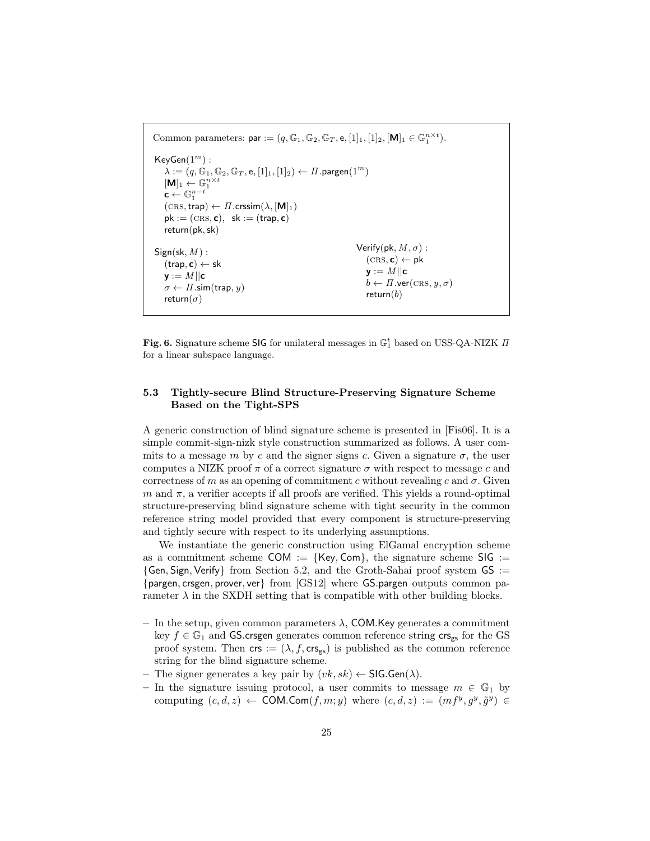Common parameters:  $\mathsf{par} := (q, \mathbb{G}_1, \mathbb{G}_2, \mathbb{G}_T, \mathsf{e}, [1]_1, [1]_2, [\mathbf{M}]_1 \in \mathbb{G}_1^{n \times t}).$  $KeyGen(1<sup>m</sup>)$ :  $\lambda := (q, \mathbb{G}_1, \mathbb{G}_2, \mathbb{G}_T, \mathsf{e}, [1]_1, [1]_2) \leftarrow \Pi$ .pargen $(1^m)$  $[\mathbf{M}]_1 \leftarrow \mathbb{G}_1^{n \times t}$  $\mathbf{c} \leftarrow \mathbb{G}_1^{n-t}$  $(\text{CRS}, \text{trap}) \leftarrow \Pi \cdot \text{cissim}(\lambda, [\textbf{M}]_1)$  $pk := (CRS, c), sk := (trap, c)$ return(pk,sk)  $Sign(\textsf{sk}, M)$ :  $(\text{trap}, \textbf{c}) \leftarrow \textbf{sk}$  $y := M || c$  $\sigma \leftarrow \Pi$ .sim(trap, y) return $(\sigma)$ Verify(pk,  $M, \sigma$ ) :  $(\text{CRS}, c) \leftarrow pk$  $\mathsf{v}:=M||\mathsf{c}|$  $b \leftarrow \Pi$ .ver(CRS,  $y, \sigma$ ) return $(b)$ 

Fig. 6. Signature scheme SIG for unilateral messages in  $\mathbb{G}_1^t$  based on USS-QA-NIZK  $\Pi$ for a linear subspace language.

## 5.3 Tightly-secure Blind Structure-Preserving Signature Scheme Based on the Tight-SPS

A generic construction of blind signature scheme is presented in [Fis06]. It is a simple commit-sign-nizk style construction summarized as follows. A user commits to a message m by c and the signer signs c. Given a signature  $\sigma$ , the user computes a NIZK proof  $\pi$  of a correct signature  $\sigma$  with respect to message c and correctness of m as an opening of commitment c without revealing c and  $\sigma$ . Given  $m$  and  $\pi$ , a verifier accepts if all proofs are verified. This yields a round-optimal structure-preserving blind signature scheme with tight security in the common reference string model provided that every component is structure-preserving and tightly secure with respect to its underlying assumptions.

We instantiate the generic construction using ElGamal encryption scheme as a commitment scheme COM :=  $\{Key, Com\}$ , the signature scheme SIG :=  ${Gen, Sign, Verify}$  from Section 5.2, and the Groth-Sahai proof system  $GS :=$ {pargen, crsgen, prover, ver} from [GS12] where GS.pargen outputs common parameter  $\lambda$  in the SXDH setting that is compatible with other building blocks.

- In the setup, given common parameters  $\lambda$ , COM. Key generates a commitment key  $f \in \mathbb{G}_1$  and GS.crsgen generates common reference string  $\mathsf{crs}_{\mathsf{gs}}$  for the GS proof system. Then  $\mathsf{crs} := (\lambda, f, \mathsf{crs}_{\mathsf{gs}})$  is published as the common reference string for the blind signature scheme.
- The signer generates a key pair by  $(vk, sk) \leftarrow \mathsf{SIG.Gen}(\lambda)$ .
- In the signature issuing protocol, a user commits to message  $m \in \mathbb{G}_1$  by computing  $(c, d, z) \leftarrow \text{COM}.\text{Com}(f, m; y)$  where  $(c, d, z) := (mf^y, g^y, \tilde{g}^y) \in$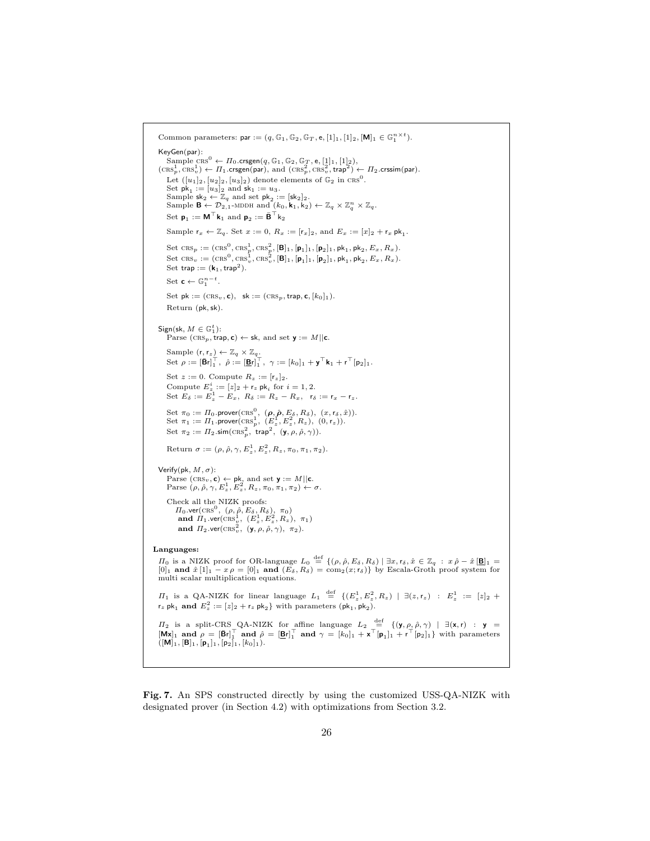Common parameters:  $\mathsf{par} := (q, \mathbb{G}_1, \mathbb{G}_2, \mathbb{G}_T, \mathsf{e}, [1]_1, [1]_2, [\mathbf{M}]_1 \in \mathbb{G}_1^{n \times t}).$ KeyGen(par): Sample  $\overline{\text{crs}}^0 \leftarrow \Pi_0.\text{crsgen}(q, \mathbb{G}_1, \mathbb{G}_2, \mathbb{G}_T, \mathbb{e}, [1]_1, [1]_2),$ <br>  $(\text{crs}_p^1, \text{crs}_v^1) \leftarrow \Pi_1.\text{crsgen}(\text{par}),$  and  $(\text{crs}_p^2, \text{crs}_v^2, \text{trap}^2) \leftarrow \Pi_2.\text{crssim}(\text{par}).$ Let  $([u_1]_2, [u_2]_2, [u_3]_2)$  denote elements of  $\mathbb{G}_2$  in  $\text{CRS}^0$ . Set  $pk_1 := [u_3]_2$  and  $sk_1 := u_3$ .<br>
Sample  $sk_2 \leftarrow \mathbb{Z}_q$  and set  $pk_2 := [sk_2]_2$ .<br>
Sample  $\mathbf{B} \leftarrow \mathcal{D}_{2,1}$ -MDDH and  $(k_0, \mathbf{k}_1, k_2) \leftarrow \mathbb{Z}_q \times \mathbb{Z}_q^n \times \mathbb{Z}_q$ . Set  $\mathbf{p}_1 := \mathbf{M}^\top \mathbf{k}_1$  and  $\mathbf{p}_2 := \bar{\mathbf{B}}^\top \mathbf{k}_2$ Sample  $\mathsf{r}_x \leftarrow \mathbb{Z}_q$ . Set  $x := 0$ ,  $R_x := [\mathsf{r}_x]_2$ , and  $E_x := [x]_2 + \mathsf{r}_x \mathsf{pk}_1$ . Set  $\text{CRS}_p := (\text{CRS}^0, \text{CRS}_p^1, \text{CRS}_p^2, [\mathbf{B}]_1, [\mathbf{p}_1]_1, [\mathbf{p}_2]_1, \mathsf{pk}_1, \mathsf{pk}_2, E_x, R_x).$ Set  $\text{CRS}_v := (\text{CRS}^0, \text{CRS}_v^1, \text{CRS}_v^2, [\mathbf{B}]_1, [\mathbf{p}_1]_1, [\mathbf{p}_2]_1, \mathsf{pk}_1, \mathsf{pk}_2, E_x, R_x).$ Set trap :=  $(\mathbf{k}_1, \text{trap}^2)$ . Set  $\mathbf{c} \leftarrow \mathbb{G}_1^{n-t}$ . Set  $pk := (CRS_v, c)$ ,  $sk := (CRS_p, trap, c, [k_0]_1)$ . Return (pk, sk).  $\mathsf{Sign}(\mathsf{sk}, M \in \mathbb{G}_1^t)$ : Parse  $(\textsc{crs}_p,\textsf{trap},\textbf{c}) \leftarrow \textsf{sk}, \text{ and set } \textbf{y} := M||\textbf{c}.$ Sample  $(r, r_z) \leftarrow \mathbb{Z}_q \times \mathbb{Z}_q$ . Set  $\rho := [\bar{\mathbf{B}} \mathbf{r}]_1^\top, \ \hat{\rho} := [\underline{\mathbf{B}} \mathbf{r}]_1^\top, \ \gamma := [k_0]_1 + \mathbf{y}^\top \mathbf{k}_1 + \mathbf{r}^\top [\mathbf{p}_2]_1.$ Set  $z := 0$ . Compute  $R_z := [r_z]_2$ . Compute  $E_z^i := [z]_2 + r_z$  pk<sub>i</sub> for  $i = 1, 2$ . Set  $E_{\delta} := E_z^1 - E_x$ ,  $R_{\delta} := R_z - R_x$ ,  $r_{\delta} := r_x - r_z$ . Set  $\pi_0 := \Pi_0$ .prover(CRS<sup>0</sup>,  $(\rho, \hat{\rho}, E_\delta, R_\delta)$ ,  $(x, r_\delta, \hat{x})$ ).<br>Set  $\pi_1 := \Pi_1$ .prover(CRS<sub>p</sub><sub>1</sub>,  $(E_z^1, E_z^2, R_z)$ ,  $(0, r_z)$ ). Set  $\pi_2 := \Pi_2.\text{sim}(\text{CRs}_p^2, \text{ trap}^2, (\mathbf{y}, \rho, \hat{\rho}, \gamma)).$ Return  $\sigma := (\rho, \hat{\rho}, \gamma, E_z^1, E_z^2, R_z, \pi_0, \pi_1, \pi_2).$ Verify(pk,  $M, \sigma$ ): Parse  $(\text{CRS}_v, \mathbf{c}) \leftarrow \mathsf{pk}$ , and set  $\mathbf{y} := M \|\mathbf{c}\.$ <br>Parse  $(\rho, \hat{\rho}, \gamma, E_z^1, E_z^2, R_z, \pi_0, \pi_1, \pi_2) \leftarrow \sigma$ . Check all the NIZK proofs:  $\Pi_0$ .ver(CRS<sup>0</sup>, ( $\rho$ ,  $\rho$ ,  $E_\delta$ ,  $R_\delta$ ),  $\pi_0$ )<br>
and  $\Pi_1$ .ver(CRS<sub>v</sub><sup>1</sup>, ( $E_z^1$ ,  $E_z^2$ ,  $R_z$ ),  $\pi_1$ )<br>
and  $\Pi_2$ .ver(CRS<sub>v</sub><sup>2</sup>, (**y**,  $\rho$ ,  $\hat{\rho}$ ,  $\gamma$ ),  $\pi_2$ ). Languages:  $\Pi_0$  is a NIZK proof for OR-language  $L_0$   $\stackrel{\text{def}}{=} \{(\rho, \hat{\rho}, E_{\delta}, R_{\delta}) | \exists x, r_{\delta}, \hat{x} \in \mathbb{Z}_q : x \hat{\rho} - \hat{x}[\mathbf{B}]_1 = [0]_1 \text{ and } \hat{x}[1]_1 - x \rho = [0]_1 \text{ and } (E_{\delta}, R_{\delta}) = \text{com}_2(x; r_{\delta})\}$  by Escala-Groth proof system for multi  $\Pi_1$  is a QA-NIZK for linear language  $L_1 \stackrel{\text{def}}{=} \{ (E_z^1, E_z^2, R_z) \mid \exists (z, r_z) : E_z^1 := [z]_2 +$  $r_z$  pk<sub>1</sub> and  $E_z^2 := [z]_2 + r_z$  pk<sub>2</sub>} with parameters (pk<sub>1</sub>, pk<sub>2</sub>).  $\Pi_2$  is a split-CRS QA-NIZK for affine language  $L_2 \stackrel{\text{def}}{=} {\{(\mathbf{y}, \rho, \hat{\rho}, \gamma) \mid \exists (\mathbf{x}, \mathbf{r}) \; : \; \mathbf{y} = \mathbf{0}\}}$  $[Mx]_1$  and  $\rho = [\bar{B}r]_1^\top$  and  $\hat{\rho} = [\underline{B}r]_1^\top$  and  $\gamma = [k_0]_1 + x^\top[\mathbf{p}_1]_1 + r^\top[\mathbf{p}_2]_1$  with parameters  $([M]_1, [B]_1, [p_1]_1, [p_2]_1, [k_0]_1).$ 

Fig. 7. An SPS constructed directly by using the customized USS-QA-NIZK with designated prover (in Section 4.2) with optimizations from Section 3.2.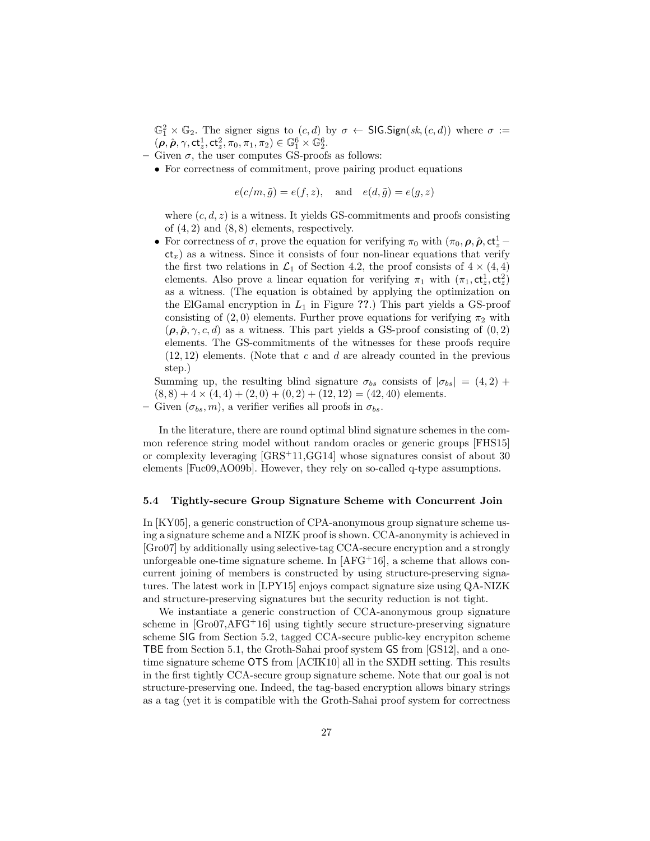$\mathbb{G}_1^2 \times \mathbb{G}_2$ . The signer signs to  $(c, d)$  by  $\sigma \leftarrow \mathsf{SIGS}(\mathsf{sk}, (c, d))$  where  $\sigma :=$  $(\boldsymbol{\rho}, \hat{\boldsymbol{\rho}}, \gamma, \mathsf{ct}_z^1, \mathsf{ct}_z^2, \pi_0, \pi_1, \pi_2) \in \mathbb{G}_1^6 \times \mathbb{G}_2^6.$ 

– Given  $\sigma$ , the user computes GS-proofs as follows:

• For correctness of commitment, prove pairing product equations

 $e(c/m, \tilde{g}) = e(f, z), \text{ and } e(d, \tilde{g}) = e(g, z)$ 

where  $(c, d, z)$  is a witness. It yields GS-commitments and proofs consisting of  $(4, 2)$  and  $(8, 8)$  elements, respectively.

• For correctness of  $\sigma$ , prove the equation for verifying  $\pi_0$  with  $(\pi_0, \rho, \hat{\rho}, ct^1_z$  $ct<sub>x</sub>$ ) as a witness. Since it consists of four non-linear equations that verify the first two relations in  $\mathcal{L}_1$  of Section 4.2, the proof consists of  $4 \times (4, 4)$ elements. Also prove a linear equation for verifying  $\pi_1$  with  $(\pi_1, ct^1_z, ct^2_z)$ as a witness. (The equation is obtained by applying the optimization on the ElGamal encryption in  $L_1$  in Figure ??.) This part yields a GS-proof consisting of  $(2, 0)$  elements. Further prove equations for verifying  $\pi_2$  with  $(\rho, \hat{\rho}, \gamma, c, d)$  as a witness. This part yields a GS-proof consisting of  $(0, 2)$ elements. The GS-commitments of the witnesses for these proofs require  $(12, 12)$  elements. (Note that c and d are already counted in the previous step.)

Summing up, the resulting blind signature  $\sigma_{bs}$  consists of  $|\sigma_{bs}| = (4,2) +$  $(8, 8) + 4 \times (4, 4) + (2, 0) + (0, 2) + (12, 12) = (42, 40)$  elements.

– Given  $(\sigma_{bs}, m)$ , a verifier verifies all proofs in  $\sigma_{bs}$ .

In the literature, there are round optimal blind signature schemes in the common reference string model without random oracles or generic groups [FHS15] or complexity leveraging [GRS+11,GG14] whose signatures consist of about 30 elements [Fuc09,AO09b]. However, they rely on so-called q-type assumptions.

#### 5.4 Tightly-secure Group Signature Scheme with Concurrent Join

In [KY05], a generic construction of CPA-anonymous group signature scheme using a signature scheme and a NIZK proof is shown. CCA-anonymity is achieved in [Gro07] by additionally using selective-tag CCA-secure encryption and a strongly unforgeable one-time signature scheme. In  $[AFG<sup>+</sup>16]$ , a scheme that allows concurrent joining of members is constructed by using structure-preserving signatures. The latest work in [LPY15] enjoys compact signature size using QA-NIZK and structure-preserving signatures but the security reduction is not tight.

We instantiate a generic construction of CCA-anonymous group signature scheme in  $[Go07, AFG<sup>+</sup>16]$  using tightly secure structure-preserving signature scheme SIG from Section 5.2, tagged CCA-secure public-key encrypiton scheme TBE from Section 5.1, the Groth-Sahai proof system GS from [GS12], and a onetime signature scheme OTS from [ACIK10] all in the SXDH setting. This results in the first tightly CCA-secure group signature scheme. Note that our goal is not structure-preserving one. Indeed, the tag-based encryption allows binary strings as a tag (yet it is compatible with the Groth-Sahai proof system for correctness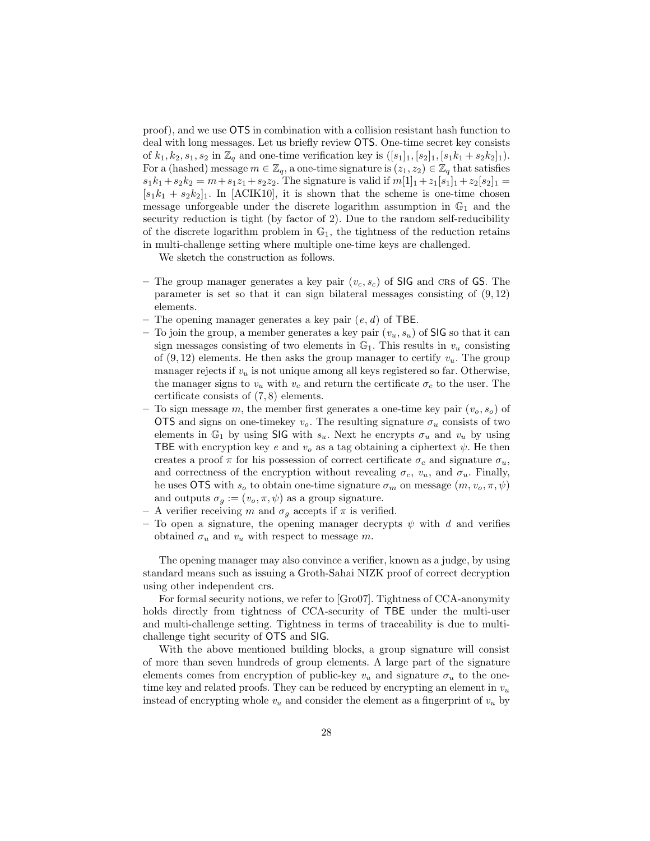proof), and we use OTS in combination with a collision resistant hash function to deal with long messages. Let us briefly review OTS. One-time secret key consists of  $k_1, k_2, s_1, s_2$  in  $\mathbb{Z}_q$  and one-time verification key is  $([s_1]_1, [s_2]_1, [s_1k_1 + s_2k_2]_1)$ . For a (hashed) message  $m \in \mathbb{Z}_q$ , a one-time signature is  $(z_1, z_2) \in \mathbb{Z}_q$  that satisfies  $s_1k_1 + s_2k_2 = m + s_1z_1 + s_2z_2$ . The signature is valid if  $m[1]_1 + z_1[s_1]_1 + z_2[s_2]_1 =$  $[s_1k_1 + s_2k_2]_1$ . In [ACIK10], it is shown that the scheme is one-time chosen message unforgeable under the discrete logarithm assumption in  $\mathbb{G}_1$  and the security reduction is tight (by factor of 2). Due to the random self-reducibility of the discrete logarithm problem in  $\mathbb{G}_1$ , the tightness of the reduction retains in multi-challenge setting where multiple one-time keys are challenged.

We sketch the construction as follows.

- The group manager generates a key pair  $(v_c, s_c)$  of SIG and CRS of GS. The parameter is set so that it can sign bilateral messages consisting of  $(9, 12)$ elements.
- The opening manager generates a key pair  $(e, d)$  of TBE.
- To join the group, a member generates a key pair  $(v_u, s_u)$  of SIG so that it can sign messages consisting of two elements in  $\mathbb{G}_1$ . This results in  $v_u$  consisting of  $(9, 12)$  elements. He then asks the group manager to certify  $v_u$ . The group manager rejects if  $v_u$  is not unique among all keys registered so far. Otherwise, the manager signs to  $v_u$  with  $v_c$  and return the certificate  $\sigma_c$  to the user. The certificate consists of (7, 8) elements.
- To sign message m, the member first generates a one-time key pair  $(v_0, s_0)$  of OTS and signs on one-time key  $v<sub>o</sub>$ . The resulting signature  $\sigma_u$  consists of two elements in  $\mathbb{G}_1$  by using SIG with  $s_u$ . Next he encrypts  $\sigma_u$  and  $v_u$  by using TBE with encryption key e and  $v<sub>o</sub>$  as a tag obtaining a ciphertext  $\psi$ . He then creates a proof  $\pi$  for his possession of correct certificate  $\sigma_c$  and signature  $\sigma_u$ , and correctness of the encryption without revealing  $\sigma_c$ ,  $v_u$ , and  $\sigma_u$ . Finally, he uses OTS with  $s_o$  to obtain one-time signature  $\sigma_m$  on message  $(m, v_o, \pi, \psi)$ and outputs  $\sigma_g := (v_o, \pi, \psi)$  as a group signature.
- A verifier receiving m and  $\sigma_g$  accepts if  $\pi$  is verified.
- To open a signature, the opening manager decrypts  $\psi$  with d and verifies obtained  $\sigma_u$  and  $v_u$  with respect to message m.

The opening manager may also convince a verifier, known as a judge, by using standard means such as issuing a Groth-Sahai NIZK proof of correct decryption using other independent crs.

For formal security notions, we refer to [Gro07]. Tightness of CCA-anonymity holds directly from tightness of CCA-security of TBE under the multi-user and multi-challenge setting. Tightness in terms of traceability is due to multichallenge tight security of OTS and SIG.

With the above mentioned building blocks, a group signature will consist of more than seven hundreds of group elements. A large part of the signature elements comes from encryption of public-key  $v_u$  and signature  $\sigma_u$  to the onetime key and related proofs. They can be reduced by encrypting an element in  $v_u$ instead of encrypting whole  $v_u$  and consider the element as a fingerprint of  $v_u$  by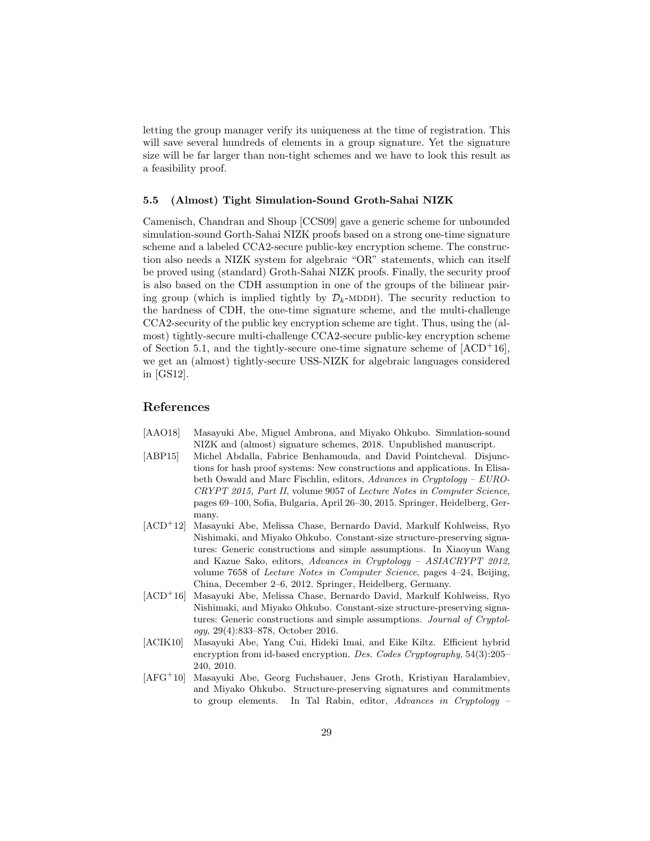letting the group manager verify its uniqueness at the time of registration. This will save several hundreds of elements in a group signature. Yet the signature size will be far larger than non-tight schemes and we have to look this result as a feasibility proof.

#### 5.5 (Almost) Tight Simulation-Sound Groth-Sahai NIZK

Camenisch, Chandran and Shoup [CCS09] gave a generic scheme for unbounded simulation-sound Gorth-Sahai NIZK proofs based on a strong one-time signature scheme and a labeled CCA2-secure public-key encryption scheme. The construction also needs a NIZK system for algebraic "OR" statements, which can itself be proved using (standard) Groth-Sahai NIZK proofs. Finally, the security proof is also based on the CDH assumption in one of the groups of the bilinear pairing group (which is implied tightly by  $\mathcal{D}_k$ -MDDH). The security reduction to the hardness of CDH, the one-time signature scheme, and the multi-challenge CCA2-security of the public key encryption scheme are tight. Thus, using the (almost) tightly-secure multi-challenge CCA2-secure public-key encryption scheme of Section 5.1, and the tightly-secure one-time signature scheme of  $[ACD<sup>+</sup>16]$ , we get an (almost) tightly-secure USS-NIZK for algebraic languages considered in [GS12].

## References

- [AAO18] Masayuki Abe, Miguel Ambrona, and Miyako Ohkubo. Simulation-sound NIZK and (almost) signature schemes, 2018. Unpublished manuscript.
- [ABP15] Michel Abdalla, Fabrice Benhamouda, and David Pointcheval. Disjunctions for hash proof systems: New constructions and applications. In Elisabeth Oswald and Marc Fischlin, editors, Advances in Cryptology – EURO-CRYPT 2015, Part II, volume 9057 of Lecture Notes in Computer Science, pages 69–100, Sofia, Bulgaria, April 26–30, 2015. Springer, Heidelberg, Germany.
- [ACD<sup>+</sup>12] Masayuki Abe, Melissa Chase, Bernardo David, Markulf Kohlweiss, Ryo Nishimaki, and Miyako Ohkubo. Constant-size structure-preserving signatures: Generic constructions and simple assumptions. In Xiaoyun Wang and Kazue Sako, editors, Advances in Cryptology – ASIACRYPT 2012, volume 7658 of Lecture Notes in Computer Science, pages 4–24, Beijing, China, December 2–6, 2012. Springer, Heidelberg, Germany.
- [ACD<sup>+</sup>16] Masayuki Abe, Melissa Chase, Bernardo David, Markulf Kohlweiss, Ryo Nishimaki, and Miyako Ohkubo. Constant-size structure-preserving signatures: Generic constructions and simple assumptions. Journal of Cryptology, 29(4):833–878, October 2016.
- [ACIK10] Masayuki Abe, Yang Cui, Hideki Imai, and Eike Kiltz. Efficient hybrid encryption from id-based encryption. Des. Codes Cryptography, 54(3):205– 240, 2010.
- [AFG<sup>+</sup>10] Masayuki Abe, Georg Fuchsbauer, Jens Groth, Kristiyan Haralambiev, and Miyako Ohkubo. Structure-preserving signatures and commitments to group elements. In Tal Rabin, editor, Advances in Cryptology –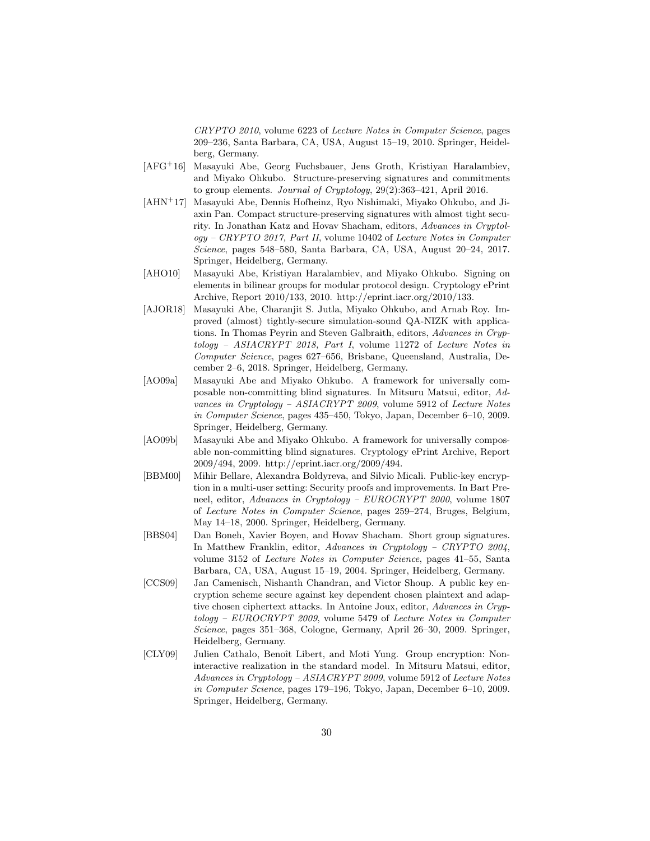CRYPTO 2010, volume 6223 of Lecture Notes in Computer Science, pages 209–236, Santa Barbara, CA, USA, August 15–19, 2010. Springer, Heidelberg, Germany.

- [AFG<sup>+</sup>16] Masayuki Abe, Georg Fuchsbauer, Jens Groth, Kristiyan Haralambiev, and Miyako Ohkubo. Structure-preserving signatures and commitments to group elements. Journal of Cryptology, 29(2):363–421, April 2016.
- [AHN<sup>+</sup>17] Masayuki Abe, Dennis Hofheinz, Ryo Nishimaki, Miyako Ohkubo, and Jiaxin Pan. Compact structure-preserving signatures with almost tight security. In Jonathan Katz and Hovav Shacham, editors, Advances in Cryptology – CRYPTO 2017, Part II, volume 10402 of Lecture Notes in Computer Science, pages 548–580, Santa Barbara, CA, USA, August 20–24, 2017. Springer, Heidelberg, Germany.
- [AHO10] Masayuki Abe, Kristiyan Haralambiev, and Miyako Ohkubo. Signing on elements in bilinear groups for modular protocol design. Cryptology ePrint Archive, Report 2010/133, 2010. http://eprint.iacr.org/2010/133.
- [AJOR18] Masayuki Abe, Charanjit S. Jutla, Miyako Ohkubo, and Arnab Roy. Improved (almost) tightly-secure simulation-sound QA-NIZK with applications. In Thomas Peyrin and Steven Galbraith, editors, Advances in Cryptology – ASIACRYPT 2018, Part I, volume 11272 of Lecture Notes in Computer Science, pages 627–656, Brisbane, Queensland, Australia, December 2–6, 2018. Springer, Heidelberg, Germany.
- [AO09a] Masayuki Abe and Miyako Ohkubo. A framework for universally composable non-committing blind signatures. In Mitsuru Matsui, editor, Advances in Cryptology – ASIACRYPT 2009, volume 5912 of Lecture Notes in Computer Science, pages 435–450, Tokyo, Japan, December 6–10, 2009. Springer, Heidelberg, Germany.
- [AO09b] Masayuki Abe and Miyako Ohkubo. A framework for universally composable non-committing blind signatures. Cryptology ePrint Archive, Report 2009/494, 2009. http://eprint.iacr.org/2009/494.
- [BBM00] Mihir Bellare, Alexandra Boldyreva, and Silvio Micali. Public-key encryption in a multi-user setting: Security proofs and improvements. In Bart Preneel, editor, Advances in Cryptology – EUROCRYPT 2000, volume 1807 of Lecture Notes in Computer Science, pages 259–274, Bruges, Belgium, May 14–18, 2000. Springer, Heidelberg, Germany.
- [BBS04] Dan Boneh, Xavier Boyen, and Hovav Shacham. Short group signatures. In Matthew Franklin, editor, Advances in Cryptology – CRYPTO 2004, volume 3152 of Lecture Notes in Computer Science, pages 41–55, Santa Barbara, CA, USA, August 15–19, 2004. Springer, Heidelberg, Germany.
- [CCS09] Jan Camenisch, Nishanth Chandran, and Victor Shoup. A public key encryption scheme secure against key dependent chosen plaintext and adaptive chosen ciphertext attacks. In Antoine Joux, editor, Advances in Cryptology – EUROCRYPT 2009, volume 5479 of Lecture Notes in Computer Science, pages 351–368, Cologne, Germany, April 26–30, 2009. Springer, Heidelberg, Germany.
- [CLY09] Julien Cathalo, Benoît Libert, and Moti Yung. Group encryption: Noninteractive realization in the standard model. In Mitsuru Matsui, editor, Advances in Cryptology – ASIACRYPT 2009, volume 5912 of Lecture Notes in Computer Science, pages 179–196, Tokyo, Japan, December 6–10, 2009. Springer, Heidelberg, Germany.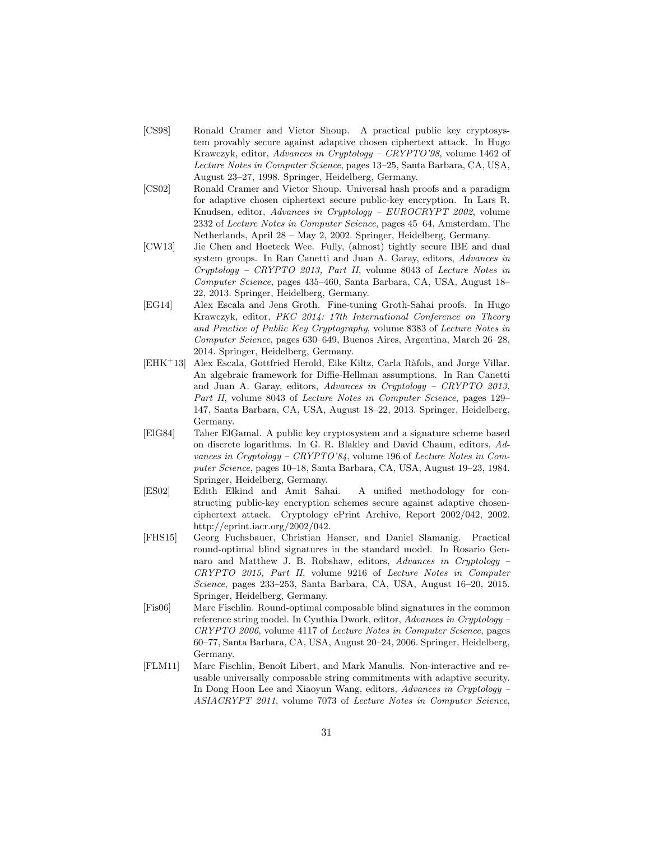- [CS98] Ronald Cramer and Victor Shoup. A practical public key cryptosystem provably secure against adaptive chosen ciphertext attack. In Hugo Krawczyk, editor, Advances in Cryptology – CRYPTO'98, volume 1462 of Lecture Notes in Computer Science, pages 13–25, Santa Barbara, CA, USA, August 23–27, 1998. Springer, Heidelberg, Germany.
- [CS02] Ronald Cramer and Victor Shoup. Universal hash proofs and a paradigm for adaptive chosen ciphertext secure public-key encryption. In Lars R. Knudsen, editor, Advances in Cryptology – EUROCRYPT 2002, volume 2332 of Lecture Notes in Computer Science, pages 45–64, Amsterdam, The Netherlands, April 28 – May 2, 2002. Springer, Heidelberg, Germany.
- [CW13] Jie Chen and Hoeteck Wee. Fully, (almost) tightly secure IBE and dual system groups. In Ran Canetti and Juan A. Garay, editors, Advances in Cryptology – CRYPTO 2013, Part II, volume 8043 of Lecture Notes in Computer Science, pages 435–460, Santa Barbara, CA, USA, August 18– 22, 2013. Springer, Heidelberg, Germany.
- [EG14] Alex Escala and Jens Groth. Fine-tuning Groth-Sahai proofs. In Hugo Krawczyk, editor, PKC 2014: 17th International Conference on Theory and Practice of Public Key Cryptography, volume 8383 of Lecture Notes in Computer Science, pages 630–649, Buenos Aires, Argentina, March 26–28, 2014. Springer, Heidelberg, Germany.
- [EHK<sup>+</sup>13] Alex Escala, Gottfried Herold, Eike Kiltz, Carla Ràfols, and Jorge Villar. An algebraic framework for Diffie-Hellman assumptions. In Ran Canetti and Juan A. Garay, editors, Advances in Cryptology – CRYPTO 2013, Part II, volume 8043 of Lecture Notes in Computer Science, pages 129– 147, Santa Barbara, CA, USA, August 18–22, 2013. Springer, Heidelberg, Germany.
- [ElG84] Taher ElGamal. A public key cryptosystem and a signature scheme based on discrete logarithms. In G. R. Blakley and David Chaum, editors, Advances in Cryptology – CRYPTO'84, volume 196 of Lecture Notes in Computer Science, pages 10–18, Santa Barbara, CA, USA, August 19–23, 1984. Springer, Heidelberg, Germany.
- [ES02] Edith Elkind and Amit Sahai. A unified methodology for constructing public-key encryption schemes secure against adaptive chosenciphertext attack. Cryptology ePrint Archive, Report 2002/042, 2002. http://eprint.iacr.org/2002/042.
- [FHS15] Georg Fuchsbauer, Christian Hanser, and Daniel Slamanig. Practical round-optimal blind signatures in the standard model. In Rosario Gennaro and Matthew J. B. Robshaw, editors, Advances in Cryptology – CRYPTO 2015, Part II, volume 9216 of Lecture Notes in Computer Science, pages 233–253, Santa Barbara, CA, USA, August 16–20, 2015. Springer, Heidelberg, Germany.
- [Fis06] Marc Fischlin. Round-optimal composable blind signatures in the common reference string model. In Cynthia Dwork, editor, Advances in Cryptology – CRYPTO 2006, volume 4117 of Lecture Notes in Computer Science, pages 60–77, Santa Barbara, CA, USA, August 20–24, 2006. Springer, Heidelberg, Germany.
- [FLM11] Marc Fischlin, Benoît Libert, and Mark Manulis. Non-interactive and reusable universally composable string commitments with adaptive security. In Dong Hoon Lee and Xiaoyun Wang, editors, Advances in Cryptology – ASIACRYPT 2011, volume 7073 of Lecture Notes in Computer Science,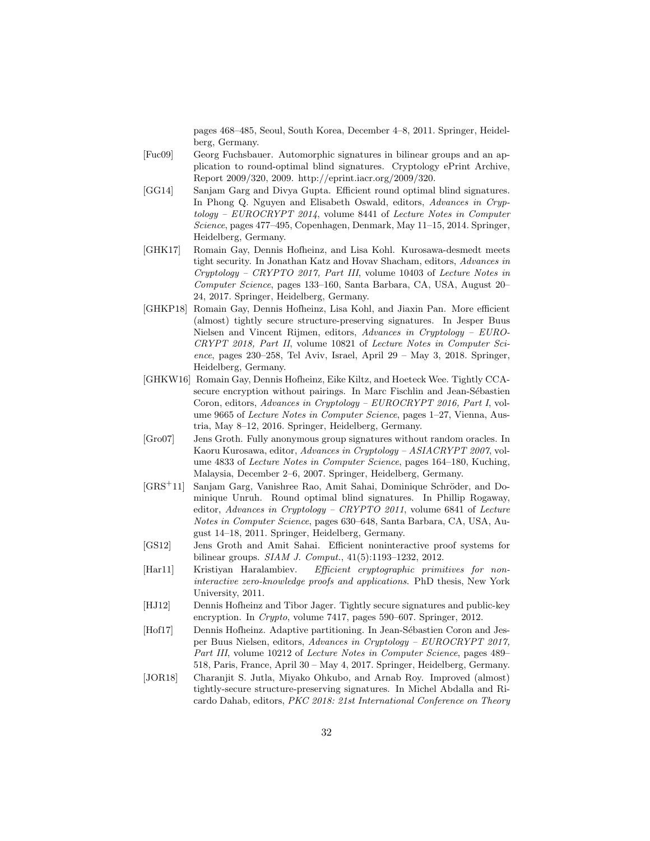pages 468–485, Seoul, South Korea, December 4–8, 2011. Springer, Heidelberg, Germany.

- [Fuc09] Georg Fuchsbauer. Automorphic signatures in bilinear groups and an application to round-optimal blind signatures. Cryptology ePrint Archive, Report 2009/320, 2009. http://eprint.iacr.org/2009/320.
- [GG14] Sanjam Garg and Divya Gupta. Efficient round optimal blind signatures. In Phong Q. Nguyen and Elisabeth Oswald, editors, Advances in Cryptology – EUROCRYPT 2014, volume 8441 of Lecture Notes in Computer Science, pages 477–495, Copenhagen, Denmark, May 11–15, 2014. Springer, Heidelberg, Germany.
- [GHK17] Romain Gay, Dennis Hofheinz, and Lisa Kohl. Kurosawa-desmedt meets tight security. In Jonathan Katz and Hovav Shacham, editors, Advances in Cryptology – CRYPTO 2017, Part III, volume 10403 of Lecture Notes in Computer Science, pages 133–160, Santa Barbara, CA, USA, August 20– 24, 2017. Springer, Heidelberg, Germany.
- [GHKP18] Romain Gay, Dennis Hofheinz, Lisa Kohl, and Jiaxin Pan. More efficient (almost) tightly secure structure-preserving signatures. In Jesper Buus Nielsen and Vincent Rijmen, editors, Advances in Cryptology – EURO-CRYPT 2018, Part II, volume 10821 of Lecture Notes in Computer Science, pages 230–258, Tel Aviv, Israel, April 29 – May 3, 2018. Springer, Heidelberg, Germany.
- [GHKW16] Romain Gay, Dennis Hofheinz, Eike Kiltz, and Hoeteck Wee. Tightly CCAsecure encryption without pairings. In Marc Fischlin and Jean-Sébastien Coron, editors, Advances in Cryptology – EUROCRYPT 2016, Part I, volume 9665 of *Lecture Notes in Computer Science*, pages 1–27, Vienna, Austria, May 8–12, 2016. Springer, Heidelberg, Germany.
- [Gro07] Jens Groth. Fully anonymous group signatures without random oracles. In Kaoru Kurosawa, editor, Advances in Cryptology – ASIACRYPT 2007, volume 4833 of Lecture Notes in Computer Science, pages 164–180, Kuching, Malaysia, December 2–6, 2007. Springer, Heidelberg, Germany.
- [GRS<sup>+</sup>11] Sanjam Garg, Vanishree Rao, Amit Sahai, Dominique Schröder, and Dominique Unruh. Round optimal blind signatures. In Phillip Rogaway, editor, Advances in Cryptology – CRYPTO 2011, volume 6841 of Lecture Notes in Computer Science, pages 630–648, Santa Barbara, CA, USA, August 14–18, 2011. Springer, Heidelberg, Germany.
- [GS12] Jens Groth and Amit Sahai. Efficient noninteractive proof systems for bilinear groups. SIAM J. Comput., 41(5):1193–1232, 2012.
- [Har11] Kristiyan Haralambiev. Efficient cryptographic primitives for noninteractive zero-knowledge proofs and applications. PhD thesis, New York University, 2011.
- [HJ12] Dennis Hofheinz and Tibor Jager. Tightly secure signatures and public-key encryption. In Crypto, volume 7417, pages 590–607. Springer, 2012.
- [Hof17] Dennis Hofheinz. Adaptive partitioning. In Jean-Sébastien Coron and Jesper Buus Nielsen, editors, Advances in Cryptology – EUROCRYPT 2017, Part III, volume 10212 of Lecture Notes in Computer Science, pages 489– 518, Paris, France, April 30 – May 4, 2017. Springer, Heidelberg, Germany.
- [JOR18] Charanjit S. Jutla, Miyako Ohkubo, and Arnab Roy. Improved (almost) tightly-secure structure-preserving signatures. In Michel Abdalla and Ricardo Dahab, editors, PKC 2018: 21st International Conference on Theory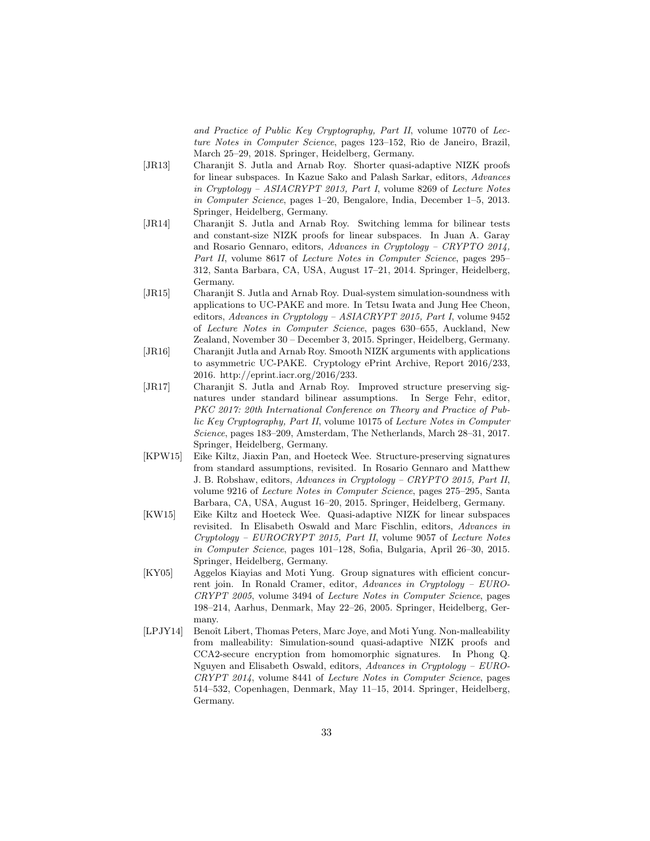and Practice of Public Key Cryptography, Part II, volume 10770 of Lecture Notes in Computer Science, pages 123–152, Rio de Janeiro, Brazil, March 25–29, 2018. Springer, Heidelberg, Germany.

- [JR13] Charanjit S. Jutla and Arnab Roy. Shorter quasi-adaptive NIZK proofs for linear subspaces. In Kazue Sako and Palash Sarkar, editors, Advances in Cryptology – ASIACRYPT 2013, Part I, volume 8269 of Lecture Notes in Computer Science, pages 1–20, Bengalore, India, December 1–5, 2013. Springer, Heidelberg, Germany.
- [JR14] Charanjit S. Jutla and Arnab Roy. Switching lemma for bilinear tests and constant-size NIZK proofs for linear subspaces. In Juan A. Garay and Rosario Gennaro, editors, Advances in Cryptology – CRYPTO 2014, Part II, volume 8617 of Lecture Notes in Computer Science, pages 295– 312, Santa Barbara, CA, USA, August 17–21, 2014. Springer, Heidelberg, Germany.
- [JR15] Charanjit S. Jutla and Arnab Roy. Dual-system simulation-soundness with applications to UC-PAKE and more. In Tetsu Iwata and Jung Hee Cheon, editors, Advances in Cryptology – ASIACRYPT 2015, Part I, volume 9452 of Lecture Notes in Computer Science, pages 630–655, Auckland, New Zealand, November 30 – December 3, 2015. Springer, Heidelberg, Germany.
- [JR16] Charanjit Jutla and Arnab Roy. Smooth NIZK arguments with applications to asymmetric UC-PAKE. Cryptology ePrint Archive, Report 2016/233, 2016. http://eprint.iacr.org/2016/233.
- [JR17] Charanjit S. Jutla and Arnab Roy. Improved structure preserving signatures under standard bilinear assumptions. In Serge Fehr, editor, PKC 2017: 20th International Conference on Theory and Practice of Public Key Cryptography, Part II, volume 10175 of Lecture Notes in Computer Science, pages 183–209, Amsterdam, The Netherlands, March 28–31, 2017. Springer, Heidelberg, Germany.
- [KPW15] Eike Kiltz, Jiaxin Pan, and Hoeteck Wee. Structure-preserving signatures from standard assumptions, revisited. In Rosario Gennaro and Matthew J. B. Robshaw, editors, Advances in Cryptology – CRYPTO 2015, Part II, volume 9216 of Lecture Notes in Computer Science, pages 275–295, Santa Barbara, CA, USA, August 16–20, 2015. Springer, Heidelberg, Germany.
- [KW15] Eike Kiltz and Hoeteck Wee. Quasi-adaptive NIZK for linear subspaces revisited. In Elisabeth Oswald and Marc Fischlin, editors, Advances in Cryptology – EUROCRYPT 2015, Part II, volume 9057 of Lecture Notes in Computer Science, pages 101–128, Sofia, Bulgaria, April 26–30, 2015. Springer, Heidelberg, Germany.
- [KY05] Aggelos Kiayias and Moti Yung. Group signatures with efficient concurrent join. In Ronald Cramer, editor, Advances in Cryptology – EURO-CRYPT 2005, volume 3494 of Lecture Notes in Computer Science, pages 198–214, Aarhus, Denmark, May 22–26, 2005. Springer, Heidelberg, Germany.
- [LPJY14] Benoît Libert, Thomas Peters, Marc Joye, and Moti Yung. Non-malleability from malleability: Simulation-sound quasi-adaptive NIZK proofs and CCA2-secure encryption from homomorphic signatures. In Phong Q. Nguyen and Elisabeth Oswald, editors, Advances in Cryptology – EURO-CRYPT 2014, volume 8441 of Lecture Notes in Computer Science, pages 514–532, Copenhagen, Denmark, May 11–15, 2014. Springer, Heidelberg, Germany.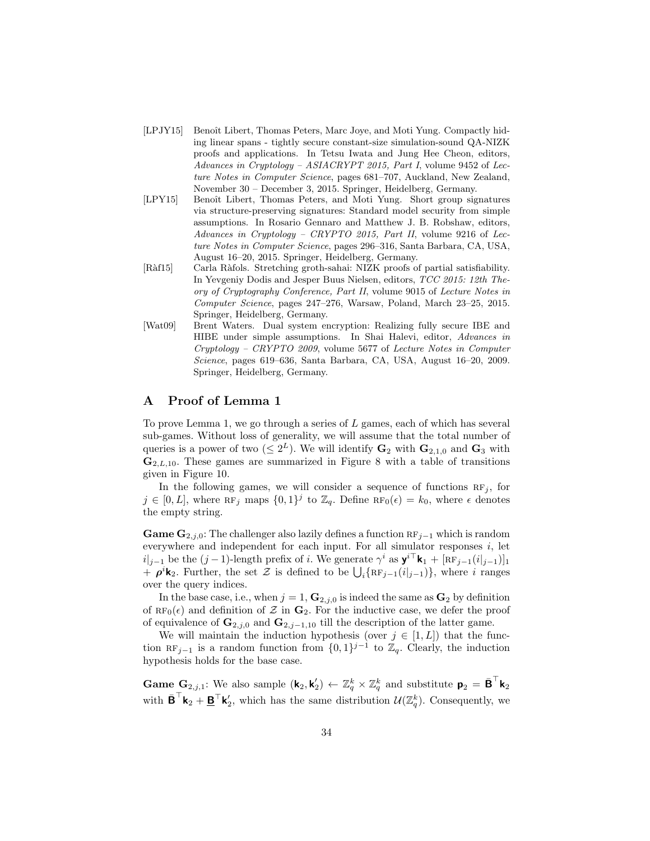- [LPJY15] Benoît Libert, Thomas Peters, Marc Joye, and Moti Yung. Compactly hiding linear spans - tightly secure constant-size simulation-sound QA-NIZK proofs and applications. In Tetsu Iwata and Jung Hee Cheon, editors, Advances in Cryptology – ASIACRYPT 2015, Part I, volume 9452 of Lecture Notes in Computer Science, pages 681–707, Auckland, New Zealand, November 30 – December 3, 2015. Springer, Heidelberg, Germany.
- [LPY15] Benoît Libert, Thomas Peters, and Moti Yung. Short group signatures via structure-preserving signatures: Standard model security from simple assumptions. In Rosario Gennaro and Matthew J. B. Robshaw, editors, Advances in Cryptology – CRYPTO 2015, Part II, volume 9216 of Lecture Notes in Computer Science, pages 296–316, Santa Barbara, CA, USA, August 16–20, 2015. Springer, Heidelberg, Germany.
- [Ràf15] Carla Ràfols. Stretching groth-sahai: NIZK proofs of partial satisfiability. In Yevgeniy Dodis and Jesper Buus Nielsen, editors, TCC 2015: 12th Theory of Cryptography Conference, Part II, volume 9015 of Lecture Notes in Computer Science, pages 247–276, Warsaw, Poland, March 23–25, 2015. Springer, Heidelberg, Germany.
- [Wat09] Brent Waters. Dual system encryption: Realizing fully secure IBE and HIBE under simple assumptions. In Shai Halevi, editor, Advances in Cryptology – CRYPTO 2009, volume 5677 of Lecture Notes in Computer Science, pages 619–636, Santa Barbara, CA, USA, August 16–20, 2009. Springer, Heidelberg, Germany.

# A Proof of Lemma 1

To prove Lemma 1, we go through a series of L games, each of which has several sub-games. Without loss of generality, we will assume that the total number of queries is a power of two  $(\leq 2^L)$ . We will identify  $\mathbf{G}_2$  with  $\mathbf{G}_{2,1,0}$  and  $\mathbf{G}_3$  with  $\mathbf{G}_{2,L,10}$ . These games are summarized in Figure 8 with a table of transitions given in Figure 10.

In the following games, we will consider a sequence of functions  $RF_i$ , for  $j \in [0, L]$ , where RF<sub>j</sub> maps  $\{0, 1\}^j$  to  $\mathbb{Z}_q$ . Define RF<sub>0</sub>( $\epsilon$ ) =  $k_0$ , where  $\epsilon$  denotes the empty string.

**Game**  $\mathbf{G}_{2,j,0}$ : The challenger also lazily defines a function  $\text{RF}_{j-1}$  which is random everywhere and independent for each input. For all simulator responses  $i$ , let  $i|_{j-1}$  be the  $(j-1)$ -length prefix of i. We generate  $\gamma^i$  as  $\mathbf{y}^{i\top}$ **k**<sub>1</sub> + [RF<sub>j-1</sub>(i<sub>lj-1</sub>)]<sub>1</sub> +  $\rho^i$ **k**<sub>2</sub>. Further, the set Z is defined to be  $\bigcup_i \{RF_{j-1}(i|_{j-1})\}$ , where i ranges over the query indices.

In the base case, i.e., when  $j = 1$ ,  $\mathbf{G}_{2,i,0}$  is indeed the same as  $\mathbf{G}_2$  by definition of  $RF_0(\epsilon)$  and definition of Z in  $\mathbf{G}_2$ . For the inductive case, we defer the proof of equivalence of  $\mathbf{G}_{2,j,0}$  and  $\mathbf{G}_{2,j-1,10}$  till the description of the latter game.

We will maintain the induction hypothesis (over  $j \in [1, L]$ ) that the function RF<sub>j−1</sub> is a random function from  $\{0, 1\}^{j-1}$  to  $\mathbb{Z}_q$ . Clearly, the induction hypothesis holds for the base case.

**Game G**<sub>2,j,1</sub>: We also sample  $(\mathbf{k}_2, \mathbf{k}'_2) \leftarrow \mathbb{Z}_q^k \times \mathbb{Z}_q^k$  and substitute  $\mathbf{p}_2 = \bar{\mathbf{B}}^\top \mathbf{k}_2$ with  $\bar{\mathbf{B}}^{\top}\mathbf{k}_2 + \underline{\mathbf{B}}^{\top}\mathbf{k}'_2$ , which has the same distribution  $\mathcal{U}(\mathbb{Z}_q^k)$ . Consequently, we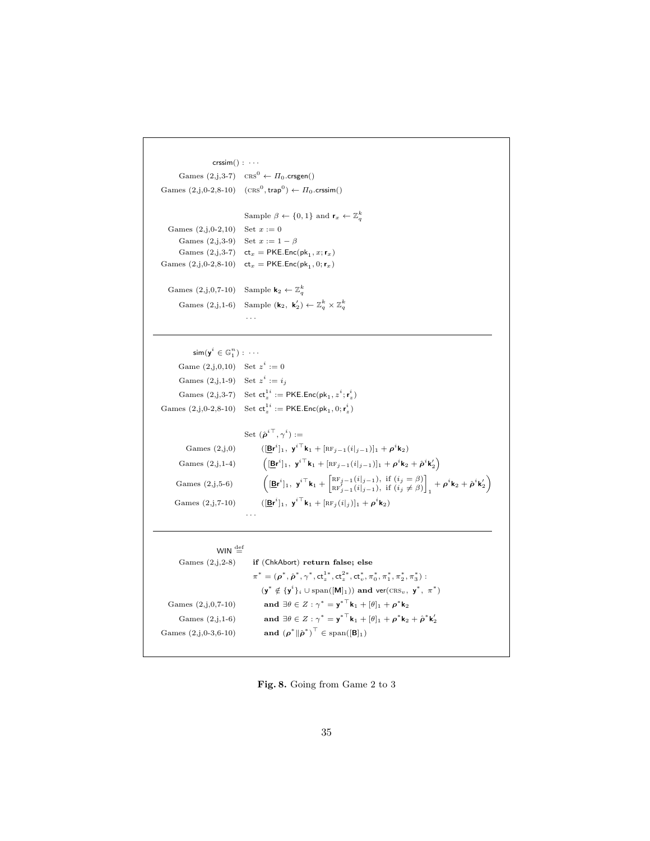```
\mathsf{crssim}() : \cdotsGames (2,j,3-7) CRS^0 \leftarrow \Pi_0.crsgen()
Games (2, j, 0-2, 8-10) (\text{CRS}^0, \text{trap}^0) \leftarrow \Pi_0 \text{.crssim}()Sample \beta \leftarrow \{0, 1\} and \mathbf{r}_x \leftarrow \mathbb{Z}_q^kGames (2,j,0-2,10) Set x := 0Games (2,j,3-9) Set x := 1 - \betaGames (2, j, 3\n-7) ct<sub>x</sub> = PKE.Enc(pk<sub>1</sub>, x; r<sub>x</sub>)
Games (2, j, 0-2, 8-10) ct<sub>x</sub> = PKE.Enc(pk<sub>1</sub>, 0; r<sub>x</sub>)
   Games (2, j, 0, 7-10) Sample \mathbf{k}_2 \leftarrow \mathbb{Z}_q^kGames (2,j,1-6) Sample (\mathbf{k}_2, \mathbf{k}'_2) \leftarrow \mathbb{Z}_q^k \times \mathbb{Z}_q^k· · ·
```

```
\mathsf{sim}(\mathsf{y}^i \in \mathbb{G}_1^n) : \; \cdotsGame (2, j, 0, 10) Set z^i := 0Games (2, j, 1-9) Set z^i := i_jGames (2, j, 3-7) Set ct_z^{\mathbf{1}i} := \mathsf{PKE}.\mathsf{Enc}(\mathsf{pk}_1, z^i; \mathsf{r}_z^i)Games (2, j, 0.2, 8-10) Set ct_z^{\{1i\}} := \mathsf{PKE}.\mathsf{Enc}(\mathsf{pk}_1, 0; \mathsf{r}_z^i)
```

|                    | Set $(\hat{\boldsymbol{\rho}}^{i\top}, \gamma^i) :=$                                                                                                                                                                                                                                                |
|--------------------|-----------------------------------------------------------------------------------------------------------------------------------------------------------------------------------------------------------------------------------------------------------------------------------------------------|
| Games $(2,i,0)$    | $( \mathbf{Br}^i _1, \mathbf{y}^{i \dagger} \mathbf{k}_1 + [\text{RF}_{i-1}(i _{i-1})]_1 + \rho^i \mathbf{k}_2)$                                                                                                                                                                                    |
| Games $(2,j,1-4)$  | $\left( [\underline{\mathbf{B}} \mathbf{r}^i]_1, \ \mathbf{y}^{i\top} \mathbf{k}_1 + [\text{RF}_{j-1}(i _{j-1})]_1 + \rho^i \mathbf{k}_2 + \hat{\rho}^i \mathbf{k}'_2 \right)$                                                                                                                      |
| Games $(2,j,5-6)$  | $\left( [\mathbf{Br}^i]_1, \mathbf{y}^{i\top} \mathbf{k}_1 + \begin{bmatrix} \text{RF}_{j-1}(i _{j-1}), & \text{if } (i_j = \beta) \\ \text{RF}'_{j-1}(i _{j-1}), & \text{if } (i_j \neq \beta) \end{bmatrix}, +\boldsymbol{\rho}^i \mathbf{k}_2 + \hat{\boldsymbol{\rho}}^i \mathbf{k}'_2 \right)$ |
| Games $(2,j,7-10)$ | $([Bri]_1, yi k1 + [RFi(i i)]_1 + \rhoi k2)$                                                                                                                                                                                                                                                        |
|                    |                                                                                                                                                                                                                                                                                                     |

```
WIN \stackrel{\text{def}}{=}Games (2,j,2-8) if (ChkAbort) return false; else
                                                   \pi^* = (\rho^*, \hat{\rho}^*, \gamma^*, \text{ct}_z^{1*}, \text{ct}_z^{2*}, \text{ct}_v^*, \pi_0^*, \pi_1^*, \pi_2^*, \pi_3^*) :
                                                       (\mathbf{y}^* \notin {\{\mathbf{y}^i\}_i \cup \text{span}([\mathbf{M}]_1)}) and \text{ver}(\text{CRS}_v, \mathbf{y}^*, \pi^*)Games (2,j,0,7-10)^* = y^{*T}k_1 + [\theta]_1 + \rho^* k_2Games (2,j,1-6) and \exists \theta \in Z : \gamma^* = {\mathbf{y}^*}^\top \mathbf{k}_1 + [\theta]_1 + \rho^* \mathbf{k}_2 + \hat{\rho}^* \mathbf{k}'_2Games (2,j,0-3,6-10)(\hat{\boldsymbol{\rho}}^*)^{\top} \in \text{span}([\mathbf{B}]_1)
```
Fig. 8. Going from Game 2 to 3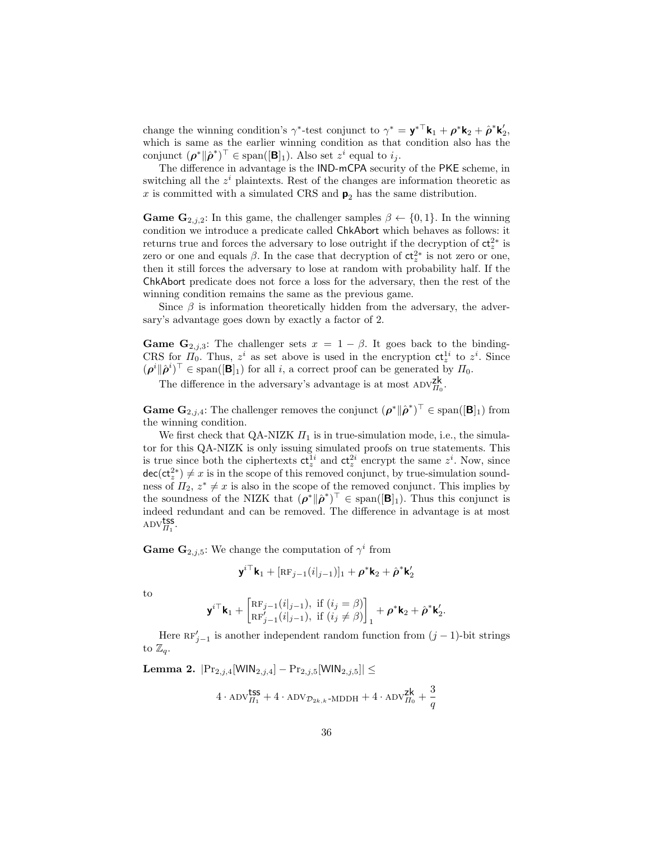change the winning condition's  $\gamma^*$ -test conjunct to  $\gamma^* = \mathbf{y}^{*\top} \mathbf{k}_1 + \rho^* \mathbf{k}_2 + \hat{\rho}^* \mathbf{k}'_2$ , which is same as the earlier winning condition as that condition also has the conjunct  $(\boldsymbol{\rho}^* \| \hat{\boldsymbol{\rho}}^*)^\top \in \text{span}([\mathbf{B}]_1)$ . Also set  $z^i$  equal to  $i_j$ .

The difference in advantage is the IND-mCPA security of the PKE scheme, in switching all the  $z<sup>i</sup>$  plaintexts. Rest of the changes are information theoretic as x is committed with a simulated CRS and  $p_2$  has the same distribution.

**Game G**<sub>2,j,2</sub>: In this game, the challenger samples  $\beta \leftarrow \{0, 1\}$ . In the winning condition we introduce a predicate called ChkAbort which behaves as follows: it returns true and forces the adversary to lose outright if the decryption of  $ct_z^{2*}$  is zero or one and equals  $\beta$ . In the case that decryption of  $ct_z^{2*}$  is not zero or one, then it still forces the adversary to lose at random with probability half. If the ChkAbort predicate does not force a loss for the adversary, then the rest of the winning condition remains the same as the previous game.

Since  $\beta$  is information theoretically hidden from the adversary, the adversary's advantage goes down by exactly a factor of 2.

**Game G**<sub>2,j,3</sub>: The challenger sets  $x = 1 - \beta$ . It goes back to the binding-CRS for  $\Pi_0$ . Thus,  $z^i$  as set above is used in the encryption  $ct_z^{1i}$  to  $z^i$ . Since  $(\rho^i \| \hat{\rho}^i)^\top \in \text{span}([\mathbf{B}]_1)$  for all i, a correct proof can be generated by  $\Pi_0$ .

The difference in the adversary's advantage is at most  $\mathtt{ADV}_{H_0}^{\mathsf{zk}}.$ 

**Game G**<sub>2,j,4</sub>: The challenger removes the conjunct  $(\rho^* \| \hat{\rho}^*)^{\top} \in \text{span}([\mathbf{B}]_1)$  from the winning condition.

We first check that QA-NIZK  $\Pi_1$  is in true-simulation mode, i.e., the simulator for this QA-NIZK is only issuing simulated proofs on true statements. This is true since both the ciphertexts  $ct_z^{1i}$  and  $ct_z^{2i}$  encrypt the same  $z^i$ . Now, since  $\mathsf{dec}(\mathsf{ct}_z^{2*}) \neq x$  is in the scope of this removed conjunct, by true-simulation soundness of  $\Pi_2, z^* \neq x$  is also in the scope of the removed conjunct. This implies by the soundness of the NIZK that  $(\rho^* \| \hat{\rho}^*)^{\top} \in \text{span}([\mathbf{B}]_1)$ . Thus this conjunct is indeed redundant and can be removed. The difference in advantage is at most  $_{\rm ADV}^{\rm tss}_{\Pi_1}.$ 

**Game G**<sub>2,j,5</sub>: We change the computation of  $\gamma^i$  from

$$
\mathbf{y}^{i\top}\mathbf{k}_1+[\textrm{RF}_{j-1}(i|_{j-1})]_1+\boldsymbol{\rho}^*\mathbf{k}_2+\hat{\boldsymbol{\rho}}^*\mathbf{k}_2'
$$

to

$$
\mathbf{y}^{i\top}\mathbf{k}_1 + \begin{bmatrix} \text{RF}_{j-1}(i|_{j-1}), \text{ if } (i_j = \beta) \\ \text{RF}'_{j-1}(i|_{j-1}), \text{ if } (i_j \neq \beta) \end{bmatrix}_1 + \boldsymbol{\rho}^*\mathbf{k}_2 + \hat{\boldsymbol{\rho}}^*\mathbf{k}'_2.
$$

Here  $RF'_{j-1}$  is another independent random function from  $(j-1)$ -bit strings to  $\mathbb{Z}_q$ .

Lemma 2.  $|Pr_{2,j,4}[WIN_{2,j,4}] - Pr_{2,j,5}[WIN_{2,j,5}]| \le$ 

$$
4\cdot \text{ADV}_{\Pi_1}^{\text{tss}} + 4\cdot \text{ADV}_{\mathcal{D}_{2k,k}\text{-MDDH}} + 4\cdot \text{ADV}_{\Pi_0}^{\text{zk}} + \frac{3}{q}
$$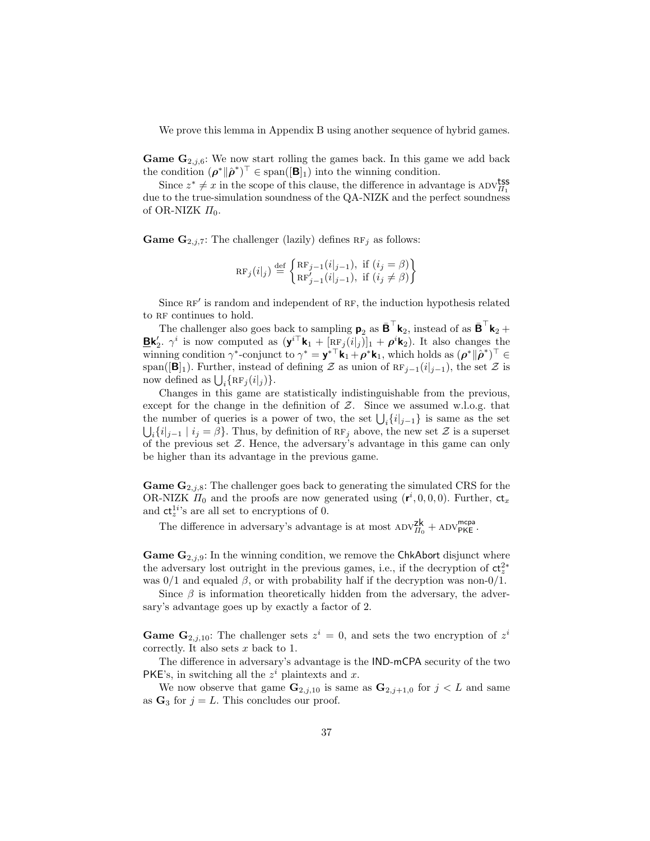We prove this lemma in Appendix B using another sequence of hybrid games.

**Game G**<sub>2,j,6</sub>: We now start rolling the games back. In this game we add back the condition  $(\rho^* \| \hat{\rho}^*)^\top \in \text{span}([\mathbf{B}]_1)$  into the winning condition.

Since  $z^* \neq x$  in the scope of this clause, the difference in advantage is ADV $_{\Pi_1}^{\text{LSS}}$ due to the true-simulation soundness of the QA-NIZK and the perfect soundness of OR-NIZK  $\Pi_0$ .

**Game G**<sub>2,j,7</sub>: The challenger (lazily) defines  $RF_j$  as follows:

$$
RF_j(i|_j) \stackrel{\text{def}}{=} \begin{cases} RF_{j-1}(i|_{j-1}), & \text{if } (i_j = \beta) \\ RF'_{j-1}(i|_{j-1}), & \text{if } (i_j \neq \beta) \end{cases}
$$

Since RF' is random and independent of RF, the induction hypothesis related to RF continues to hold.

The challenger also goes back to sampling  $\mathbf{p}_2$  as  $\bar{\mathbf{B}}^{\top} \mathbf{k}_2$ , instead of as  $\bar{\mathbf{B}}^{\top} \mathbf{k}_2 + \cdots$ **Ek**'<sub>2</sub>.  $\gamma^i$  is now computed as  $(\mathbf{y}^{i\top}\mathbf{k}_1 + [\text{RF}_j(i|_j)]_1 + \rho^i \mathbf{k}_2)$ . It also changes the winning condition  $\gamma^*$ -conjunct to  $\gamma^* = \mathbf{y}^{*\top} \mathbf{k}_1 + \rho^* \mathbf{k}_1$ , which holds as  $(\rho^* || \rho^*)^\top \in$ span( $[\mathbf{B}]_1$ ). Further, instead of defining Z as union of  $RF_{i-1}(i|_{i-1})$ , the set Z is now defined as  $\bigcup_i {\{ \operatorname{RF}_j(i|_j ) \}}.$ 

Changes in this game are statistically indistinguishable from the previous, except for the change in the definition of  $\mathcal{Z}$ . Since we assumed w.l.o.g. that the number of queries is a power of two, the set  $\bigcup_i \{i|_{j-1}\}$  is same as the set  $\bigcup_i \{i|_{j-1} \mid i_j = \beta\}.$  Thus, by definition of  $RF_j$  above, the new set Z is a superset of the previous set  $\mathcal{Z}$ . Hence, the adversary's advantage in this game can only be higher than its advantage in the previous game.

**Game G**<sub>2,j,8</sub>: The challenger goes back to generating the simulated CRS for the OR-NIZK  $\Pi_0$  and the proofs are now generated using  $(r^i, 0, 0, 0)$ . Further,  $ct_x$ and  $ct_z^{1i}$ 's are all set to encryptions of 0.

The difference in adversary's advantage is at most  $\text{ADV}_{\Pi_0}^{\mathsf{zk}} + \text{ADV}_{\mathsf{PKE}}^{\mathsf{mcpa}}$ .

**Game G**<sub>2,j,9</sub>: In the winning condition, we remove the ChkAbort disjunct where the adversary lost outright in the previous games, i.e., if the decryption of  $ct_z^{2*}$ was  $0/1$  and equaled  $\beta$ , or with probability half if the decryption was non-0/1.

Since  $\beta$  is information theoretically hidden from the adversary, the adversary's advantage goes up by exactly a factor of 2.

**Game G**<sub>2,j,10</sub>: The challenger sets  $z^i = 0$ , and sets the two encryption of  $z^i$ correctly. It also sets  $x$  back to 1.

The difference in adversary's advantage is the IND-mCPA security of the two PKE's, in switching all the  $z<sup>i</sup>$  plaintexts and x.

We now observe that game  $\mathbf{G}_{2,j,10}$  is same as  $\mathbf{G}_{2,j+1,0}$  for  $j < L$  and same as  $G_3$  for  $j = L$ . This concludes our proof.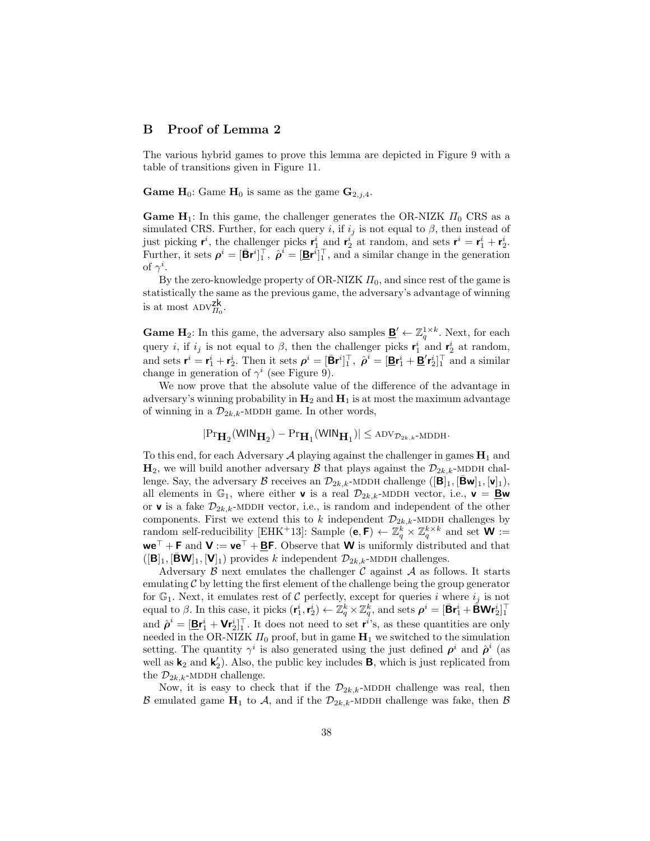# B Proof of Lemma 2

The various hybrid games to prove this lemma are depicted in Figure 9 with a table of transitions given in Figure 11.

**Game H**<sub>0</sub>: Game **H**<sub>0</sub> is same as the game  $\mathbf{G}_{2,i,4}$ .

**Game H**<sub>1</sub>: In this game, the challenger generates the OR-NIZK  $\Pi_0$  CRS as a simulated CRS. Further, for each query i, if  $i_j$  is not equal to  $\beta$ , then instead of just picking  $\mathbf{r}^i$ , the challenger picks  $\mathbf{r}_1^i$  and  $\mathbf{r}_2^i$  at random, and sets  $\mathbf{r}^i = \mathbf{r}_1^i + \mathbf{r}_2^i$ . Further, it sets  $\rho^i = [\bar{\mathbf{B}} \mathbf{r}^i]_1^\top$ ,  $\hat{\rho}^i = [\underline{\mathbf{B}} \mathbf{r}^i]_1^\top$ , and a similar change in the generation of  $\gamma^i$ .

By the zero-knowledge property of OR-NIZK  $\Pi_0$ , and since rest of the game is statistically the same as the previous game, the adversary's advantage of winning is at most  $\text{ADV}_{\Pi_0}^{\text{zk}}$ .

**Game H**<sub>2</sub>: In this game, the adversary also samples  $\underline{\mathbf{B}}' \leftarrow \mathbb{Z}_q^{1 \times k}$ . Next, for each query *i*, if  $i_j$  is not equal to  $\beta$ , then the challenger picks  $\mathbf{r}_1^i$  and  $\mathbf{r}_2^i$  at random, and sets  $\mathbf{r}^i = \mathbf{r}_1^i + \mathbf{r}_2^i$ . Then it sets  $\rho^i = [\bar{\mathbf{B}} \mathbf{r}^i]_1^\top$ ,  $\hat{\rho}^i = [\underline{\mathbf{B}} \mathbf{r}_1^i + \underline{\mathbf{B}}' \mathbf{r}_2^i]_1^\top$  and a similar change in generation of  $\gamma^i$  (see Figure 9).

We now prove that the absolute value of the difference of the advantage in adversary's winning probability in  $H_2$  and  $H_1$  is at most the maximum advantage of winning in a  $\mathcal{D}_{2k,k}$ -MDDH game. In other words,

$$
|\mathrm{Pr}_{\mathbf{H}_2}(\mathsf{WIN}_{\mathbf{H}_2}) - \mathrm{Pr}_{\mathbf{H}_1}(\mathsf{WIN}_{\mathbf{H}_1})| \le \mathrm{adv}_{\mathcal{D}_{2k,k}\text{-}\mathrm{MDDH}}.
$$

To this end, for each Adversary  $A$  playing against the challenger in games  $H_1$  and  $\mathbf{H}_2$ , we will build another adversary  $\beta$  that plays against the  $\mathcal{D}_{2k,k}$ -MDDH challenge. Say, the adversary B receives an  $\mathcal{D}_{2k,k}$ -MDDH challenge  $\left(\left[\mathbf{B}\right]_1, \left[\mathbf{\bar{B}}\mathbf{w}\right]_1, \left[\mathbf{v}\right]_1\right)$ , all elements in  $\mathbb{G}_1$ , where either **v** is a real  $\mathcal{D}_{2k,k}$ -MDDH vector, i.e., **v** = **<u>B</u>w** or **v** is a fake  $\mathcal{D}_{2k,k}$ -MDDH vector, i.e., is random and independent of the other components. First we extend this to k independent  $\mathcal{D}_{2k,k}$ -MDDH challenges by random self-reducibility [EHK+13]: Sample  $(e, F) \leftarrow \mathbb{Z}_q^k \times \mathbb{Z}_q^{k \times k}$  and set  $W :=$  $we^{\top} + F$  and  $V := ve^{\top} + BF$ . Observe that W is uniformly distributed and that  $([B]_1, [BW]_1, [V]_1)$  provides k independent  $\mathcal{D}_{2k,k}$ -MDDH challenges.

Adversary  $\beta$  next emulates the challenger  $\beta$  against  $\mathcal A$  as follows. It starts emulating  $\mathcal C$  by letting the first element of the challenge being the group generator for  $\mathbb{G}_1$ . Next, it emulates rest of C perfectly, except for queries i where  $i_j$  is not equal to β. In this case, it picks  $(r_1^i, r_2^i)$  ←  $\mathbb{Z}_q^k \times \mathbb{Z}_q^k$ , and sets  $\rho^i = [\bar{\mathbf{B}}r_1^i + \bar{\mathbf{B}}\mathbf{W}r_2^i]_1^{\top}$ and  $\hat{\rho}^i = [\underline{\mathbf{B}} \mathbf{r}_1^i + \mathbf{V} \mathbf{r}_2^i]^\top$ . It does not need to set  $\mathbf{r}^i$ 's, as these quantities are only needed in the OR-NIZK  $\Pi_0$  proof, but in game  $H_1$  we switched to the simulation setting. The quantity  $\gamma^i$  is also generated using the just defined  $\rho^i$  and  $\hat{\rho}^i$  (as well as  $\mathbf{k}_2$  and  $\mathbf{k}'_2$ ). Also, the public key includes **B**, which is just replicated from the  $\mathcal{D}_{2k,k}$ -MDDH challenge.

Now, it is easy to check that if the  $\mathcal{D}_{2k,k}$ -MDDH challenge was real, then B emulated game  $H_1$  to A, and if the  $\mathcal{D}_{2k,k}$ -MDDH challenge was fake, then B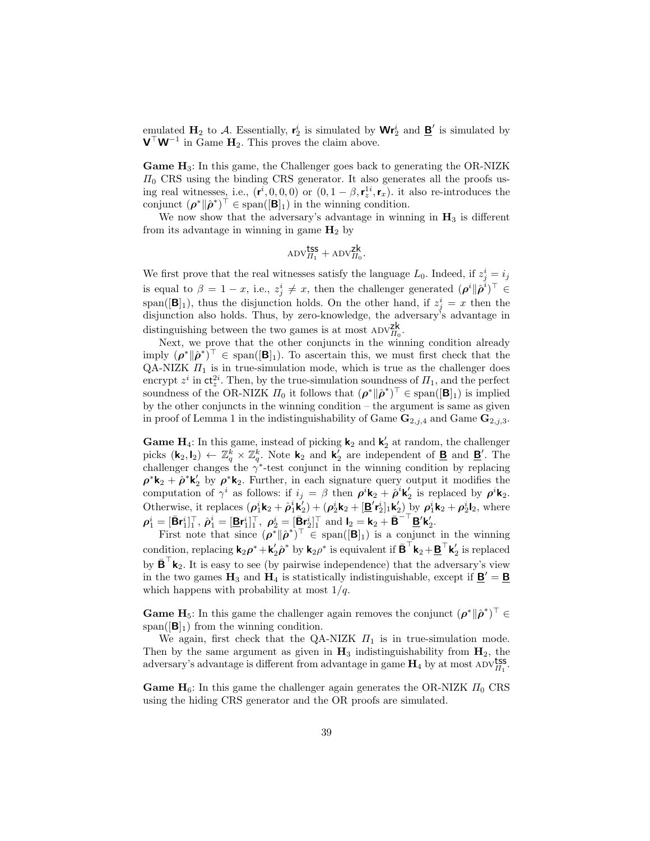emulated  $H_2$  to A. Essentially,  $r_2^i$  is simulated by  $\mathbf{W}r_2^i$  and  $\underline{\mathbf{B}}'$  is simulated by  $\mathbf{V}^{\top} \mathbf{W}^{-1}$  in Game  $\mathbf{H}_2$ . This proves the claim above.

**Game**  $H_3$ **:** In this game, the Challenger goes back to generating the OR-NIZK  $\Pi_0$  CRS using the binding CRS generator. It also generates all the proofs using real witnesses, i.e.,  $(\mathbf{r}^i, 0, 0, 0)$  or  $(0, 1 - \beta, \mathbf{r}_z^{1i}, \mathbf{r}_x)$ . it also re-introduces the conjunct  $(\boldsymbol{\rho}^* \| \hat{\boldsymbol{\rho}}^*)^{\top} \in \text{span}([\mathbf{B}]_1)$  in the winning condition.

We now show that the adversary's advantage in winning in  $H_3$  is different from its advantage in winning in game  $H_2$  by

$$
\mathrm{ADV}_{\Pi_1}^{\text{tss}} + \mathrm{ADV}_{\Pi_0}^{\text{zk}}.
$$

We first prove that the real witnesses satisfy the language  $L_0$ . Indeed, if  $z_j^i = i_j$ is equal to  $\beta = 1 - x$ , i.e.,  $z_j^i \neq x$ , then the challenger generated  $(\rho^i || \hat{\rho}^i)^{\top} \in$ span( $[\mathbf{B}]_1$ ), thus the disjunction holds. On the other hand, if  $z_j^i = x$  then the disjunction also holds. Thus, by zero-knowledge, the adversary's advantage in distinguishing between the two games is at most  $ADV_{II_0}^{Zk}$ .

Next, we prove that the other conjuncts in the winning condition already imply  $(\rho^* \| \hat{\rho}^*)^{\top} \in \text{span}([\mathbf{B}]_1)$ . To ascertain this, we must first check that the QA-NIZK  $\Pi_1$  is in true-simulation mode, which is true as the challenger does encrypt  $z^i$  in  $\mathsf{ct}_z^{2i}$ . Then, by the true-simulation soundness of  $\Pi_1$ , and the perfect soundness of the OR-NIZK  $\Pi_0$  it follows that  $(\rho^* \| \hat{\rho}^*)^\top \in \text{span}([\mathbf{B}]_1)$  is implied by the other conjuncts in the winning condition – the argument is same as given in proof of Lemma 1 in the indistinguishability of Game  $\mathbf{G}_{2,j,4}$  and Game  $\mathbf{G}_{2,j,3}$ .

**Game H**<sub>4</sub>: In this game, instead of picking **k**<sub>2</sub> and **k**<sub>2</sub><sup>'</sup> at random, the challenger picks  $(\mathbf{k}_2, \mathbf{l}_2) \leftarrow \mathbb{Z}_q^k \times \mathbb{Z}_q^k$ . Note  $\mathbf{k}_2$  and  $\mathbf{k}_2^j$  are independent of **B** and **B**'. The challenger changes the  $\gamma^*$ -test conjunct in the winning condition by replacing  $\rho^*{\bf k}_2 + \hat{\rho}^*{\bf k}'_2$  by  $\rho^*{\bf k}_2$ . Further, in each signature query output it modifies the computation of  $\gamma^i$  as follows: if  $i_j = \beta$  then  $\rho^i \mathbf{k}_2 + \hat{\rho}^i \mathbf{k}'_2$  is replaced by  $\rho^i \mathbf{k}_2$ . Otherwise, it replaces  $(\rho_1^i \mathbf{k}_2 + \hat{\rho}_1^i \mathbf{k}'_2) + (\rho_2^i \mathbf{k}_2 + [\underline{\mathbf{B}}' \mathbf{r}_2^i]_1 \mathbf{k}'_2)$  by  $\rho_1^i \mathbf{k}_2 + \rho_2^i \mathbf{l}_2$ , where  $\rho_1^i=[\bar{\mathbf{B}}\mathbf{r}_1^i]_1^\top,\ \hat{\rho}_1^i=[\underline{\mathbf{B}}\mathbf{r}_1^i]_1^\top,\ \rho_2^i=[\bar{\mathbf{B}}\mathbf{r}_2^i]_1^\top\ \text{and}\ \mathbf{l}_2=\mathbf{k}_2+\bar{\mathbf{B}}^{-\top}\underline{\mathbf{B}}'\mathbf{k}_2'.$ 

First note that since  $(\rho^* \| \rho^*)^\top \in \text{span}([\mathbf{B}]_1)$  is a conjunct in the winning condition, replacing  $\mathbf{k}_2 \rho^* + \mathbf{k}'_2 \hat{\rho}^*$  by  $\mathbf{k}_2 \rho^*$  is equivalent if  $\bar{\mathbf{B}}^\top \mathbf{k}_2 + \underline{\mathbf{B}}^\top \mathbf{k}'_2$  is replaced by  $\bar{\mathbf{B}}^{\top} \mathbf{k}_2$ . It is easy to see (by pairwise independence) that the adversary's view in the two games  $H_3$  and  $H_4$  is statistically indistinguishable, except if  $\underline{B}' = \underline{B}$ which happens with probability at most  $1/q$ .

**Game H**<sub>5</sub>: In this game the challenger again removes the conjunct  $(\rho^* \| \hat{\rho}^*)^\top \in$ span( $[\mathbf{B}]_1$ ) from the winning condition.

We again, first check that the QA-NIZK  $\Pi_1$  is in true-simulation mode. Then by the same argument as given in  $H_3$  indistinguishability from  $H_2$ , the adversary's advantage is different from advantage in game  $H_4$  by at most  $ADv_{H_1}^{1}$ .

**Game H<sub>6</sub>:** In this game the challenger again generates the OR-NIZK  $\Pi_0$  CRS using the hiding CRS generator and the OR proofs are simulated.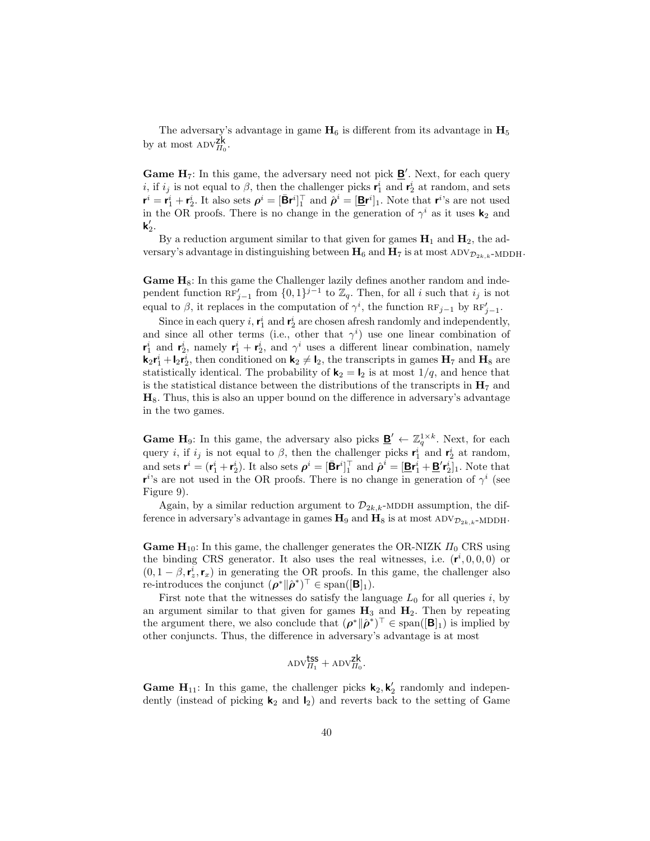The adversary's advantage in game  $H_6$  is different from its advantage in  $H_5$ by at most  $\mathrm{ADV}_{\Pi_0}^{\mathsf{zk}}$ .

**Game H**<sub>7</sub>: In this game, the adversary need not pick  $\underline{\mathbf{B}}'$ . Next, for each query *i*, if  $i_j$  is not equal to  $\beta$ , then the challenger picks  $\mathbf{r}_1^i$  and  $\mathbf{r}_2^i$  at random, and sets  $\mathbf{r}^i = \mathbf{r}_1^i + \mathbf{r}_2^i$ . It also sets  $\rho^i = [\mathbf{\bar{B}} \mathbf{r}^i]_1^\top$  and  $\hat{\rho}^i = [\mathbf{\bar{B}} \mathbf{r}^i]_1$ . Note that  $\mathbf{r}^i$ 's are not used in the OR proofs. There is no change in the generation of  $\gamma^i$  as it uses  $\mathbf{k}_2$  and  $\mathsf{k}_2'.$ 

By a reduction argument similar to that given for games  $H_1$  and  $H_2$ , the adversary's advantage in distinguishing between  $H_6$  and  $H_7$  is at most ADV $\mathcal{D}_{2k,k}$ -MDDH.

**Game**  $H_8$ **:** In this game the Challenger lazily defines another random and independent function  $\mathbb{RF}'_{j-1}$  from  $\{0,1\}^{j-1}$  to  $\mathbb{Z}_q$ . Then, for all i such that  $i_j$  is not equal to  $\beta$ , it replaces in the computation of  $\gamma^i$ , the function  $RF_{j-1}$  by  $RF'_{j-1}$ .

Since in each query *i*,  $\mathbf{r}_1^i$  and  $\mathbf{r}_2^i$  are chosen afresh randomly and independently, and since all other terms (i.e., other that  $\gamma^i$ ) use one linear combination of  $\mathbf{r}_1^i$  and  $\mathbf{r}_2^i$ , namely  $\mathbf{r}_1^i + \mathbf{r}_2^i$ , and  $\gamma^i$  uses a different linear combination, namely  $\mathbf{k}_2 \mathbf{r}_1^i + \mathbf{l}_2 \mathbf{r}_2^i$ , then conditioned on  $\mathbf{k}_2 \neq \mathbf{l}_2$ , the transcripts in games  $\mathbf{H}_7$  and  $\mathbf{H}_8$  are statistically identical. The probability of  $\mathbf{k}_2 = \mathbf{l}_2$  is at most  $1/q$ , and hence that is the statistical distance between the distributions of the transcripts in  $H_7$  and  $H_8$ . Thus, this is also an upper bound on the difference in adversary's advantage in the two games.

**Game H**<sub>9</sub>: In this game, the adversary also picks  $\underline{\mathbf{B}}' \leftarrow \mathbb{Z}_q^{1 \times k}$ . Next, for each query *i*, if  $i_j$  is not equal to  $\beta$ , then the challenger picks  $\mathbf{r}_1^i$  and  $\mathbf{r}_2^i$  at random, and sets  $\mathbf{r}^i = (\mathbf{r}_1^i + \mathbf{r}_2^i)$ . It also sets  $\boldsymbol{\rho}^i = [\bar{\mathbf{B}} \mathbf{r}^i]_1^\top$  and  $\hat{\boldsymbol{\rho}}^i = [\underline{\mathbf{B}} \mathbf{r}_1^i + \underline{\mathbf{B}}' \mathbf{r}_2^i]_1$ . Note that  $\mathbf{r}^{i}$ 's are not used in the OR proofs. There is no change in generation of  $\gamma^{i}$  (see Figure 9).

Again, by a similar reduction argument to  $\mathcal{D}_{2k,k}$ -MDDH assumption, the difference in adversary's advantage in games  $H_9$  and  $H_8$  is at most ADV $_{\mathcal{D}_{2k,k}}$ -MDDH.

**Game H**<sub>10</sub>: In this game, the challenger generates the OR-NIZK  $\Pi_0$  CRS using the binding CRS generator. It also uses the real witnesses, i.e.  $(r^i, 0, 0, 0)$  or  $(0, 1 - \beta, \mathbf{r}_z^i, \mathbf{r}_x)$  in generating the OR proofs. In this game, the challenger also re-introduces the conjunct  $(\rho^* \| \hat{\rho}^*)^{\top} \in \text{span}([\mathbf{B}]_1)$ .

First note that the witnesses do satisfy the language  $L_0$  for all queries i, by an argument similar to that given for games  $H_3$  and  $H_2$ . Then by repeating the argument there, we also conclude that  $(\rho^* \| \hat{\rho}^*)^{\top} \in \text{span}([\mathbf{B}]_1)$  is implied by other conjuncts. Thus, the difference in adversary's advantage is at most

$$
\mathrm{ADV}_{\Pi_1}^{\text{tss}} + \mathrm{ADV}_{\Pi_0}^{\text{zk}}.
$$

**Game H**<sub>11</sub>: In this game, the challenger picks  $\mathbf{k}_2, \mathbf{k}'_2$  randomly and independently (instead of picking  $\mathbf{k}_2$  and  $\mathbf{l}_2$ ) and reverts back to the setting of Game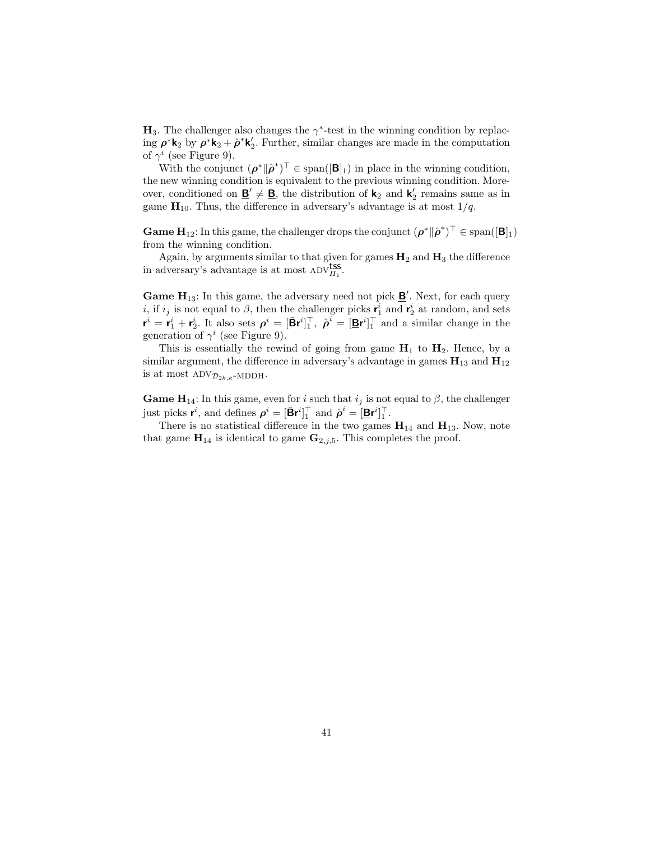$H_3$ . The challenger also changes the  $\gamma^*$ -test in the winning condition by replacing  $\rho^* \mathbf{k}_2$  by  $\rho^* \mathbf{k}_2 + \hat{\rho}^* \mathbf{k}'_2$ . Further, similar changes are made in the computation of  $\gamma^i$  (see Figure 9).

With the conjunct  $(\rho^* \| \hat{\rho}^*)^\top \in \text{span}([\mathbf{B}]_1)$  in place in the winning condition, the new winning condition is equivalent to the previous winning condition. Moreover, conditioned on  $\underline{\mathbf{B}}' \neq \underline{\mathbf{B}}$ , the distribution of  $\mathbf{k}_2$  and  $\mathbf{k}'_2$  remains same as in game  $\mathbf{H}_{10}$ . Thus, the difference in adversary's advantage is at most  $1/q$ .

**Game H**<sub>12</sub>: In this game, the challenger drops the conjunct  $(\rho^* \| \hat{\rho}^*)^{\top} \in \text{span}([\mathbf{B}]_1)$ from the winning condition.

Again, by arguments similar to that given for games  $H_2$  and  $H_3$  the difference in adversary's advantage is at most  $\overrightarrow{ADV_{II_1}}$ .

**Game H**<sub>13</sub>: In this game, the adversary need not pick  $\underline{\mathbf{B}}'$ . Next, for each query *i*, if  $i_j$  is not equal to  $\beta$ , then the challenger picks  $\mathbf{r}_1^i$  and  $\mathbf{r}_2^i$  at random, and sets  $\mathbf{r}^i = \mathbf{r}_1^i + \mathbf{r}_2^i$ . It also sets  $\rho^i = [\bar{\mathbf{B}} \mathbf{r}^i]_1^\top$ ,  $\hat{\rho}^i = [\bar{\mathbf{B}} \mathbf{r}^i]_1^\top$  and a similar change in the generation of  $\gamma^i$  (see Figure 9).

This is essentially the rewind of going from game  $H_1$  to  $H_2$ . Hence, by a similar argument, the difference in adversary's advantage in games  $\mathbf{H}_{13}$  and  $\mathbf{H}_{12}$ is at most  $\text{ADV}_{\mathcal{D}_{2k,k}}$ -MDDH.

**Game H**<sub>14</sub>: In this game, even for i such that  $i_j$  is not equal to  $\beta$ , the challenger just picks  $\mathbf{r}^i$ , and defines  $\boldsymbol{\rho}^i = [\bar{\mathbf{B}} \mathbf{r}^i]_1^\top$  and  $\hat{\boldsymbol{\rho}}^i = [\underline{\mathbf{B}} \mathbf{r}^i]_1^\top$ .

There is no statistical difference in the two games  $H_{14}$  and  $H_{13}$ . Now, note that game  $\mathbf{H}_{14}$  is identical to game  $\mathbf{G}_{2,j,5}$ . This completes the proof.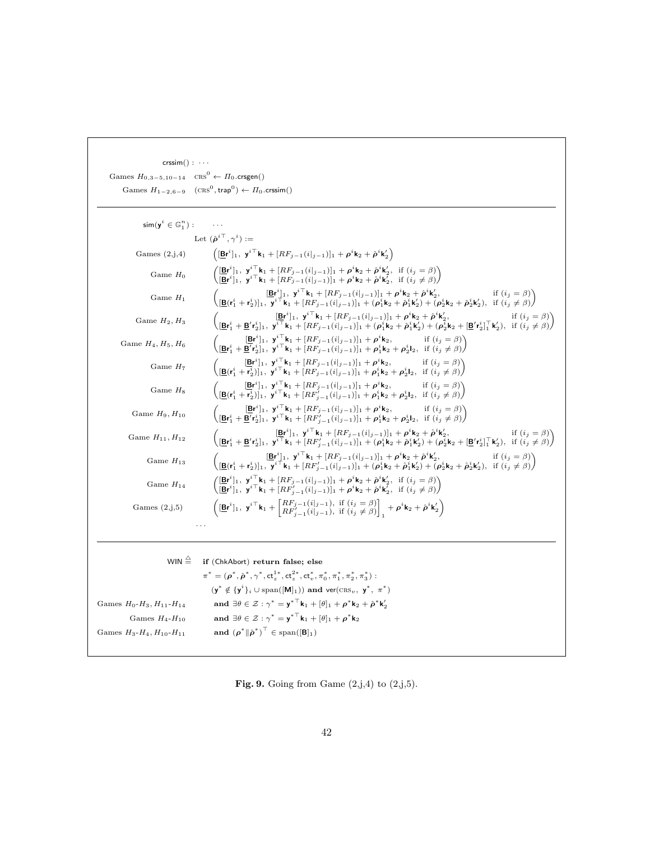| $crssim() : \cdots$                                                   |                                                                                                                                                                                                                                                                                                                                                                                                                               |
|-----------------------------------------------------------------------|-------------------------------------------------------------------------------------------------------------------------------------------------------------------------------------------------------------------------------------------------------------------------------------------------------------------------------------------------------------------------------------------------------------------------------|
| Games $H_{0,3-5,10-14}$ CRS <sup>0</sup> $\leftarrow \Pi_0$ .crsgen() |                                                                                                                                                                                                                                                                                                                                                                                                                               |
|                                                                       | Games $H_{1-2,6-9}$ $(\text{CRS}^0, \text{trap}^0) \leftarrow \Pi_0 \text{.crssim}()$                                                                                                                                                                                                                                                                                                                                         |
|                                                                       |                                                                                                                                                                                                                                                                                                                                                                                                                               |
| $\mathsf{sim}(\mathsf{y}^i \in \mathbb{G}_1^n)$ :                     |                                                                                                                                                                                                                                                                                                                                                                                                                               |
|                                                                       | Let $(\hat{\boldsymbol{\rho}}^{i\top}, \gamma^i) :=$                                                                                                                                                                                                                                                                                                                                                                          |
| Games $(2,j,4)$                                                       | $\left( [\underline{\mathbf{B}} \mathbf{r}^i]_1, \ \mathbf{y}^{i \top} \mathbf{k}_1 + [R F_{j-1} (i  _{j-1})]_1 + \rho^i \mathbf{k}_2 + \hat{\rho}^i \mathbf{k}'_2 \right)$                                                                                                                                                                                                                                                   |
| Game $H_0$                                                            | $\left( \frac{[\mathbf{B} \mathbf{r}^i]_1}{[\mathbf{B} \mathbf{r}^i]_1}, \frac{\mathbf{y}^{i \top} \mathbf{k}_1 + [R F_{j-1}(i _{j-1})]_1 + \rho^i \mathbf{k}_2 + \hat{\rho}^i \mathbf{k}'_2, \text{ if } (i_j = \beta)}{[\mathbf{B} \mathbf{r}^i]_1}, \frac{\mathbf{y}^{i \top} \mathbf{k}_1 + [R F_{j-1}(i _{j-1})]_1 + \rho^i \mathbf{k}_2 + \hat{\rho}^i \mathbf{k}'_2, \text{ if } (i_j \neq \beta)}{[\math$             |
| Game $H_1$                                                            | $\begin{pmatrix}\n[\mathbf{B}\mathbf{r}^i]_1, \ \mathbf{y}^{i \top} \mathbf{k}_1 + [RF_{j-1}(i _{j-1})]_1 + \rho^i \mathbf{k}_2 + \hat{\rho}^i \mathbf{k}'_2, & \text{if } (i_j = \beta) \\ [\mathbf{B}(\mathbf{r}^i_1 + \mathbf{r}^i_2)]_1, \ \mathbf{y}^{i \top} \mathbf{k}_1 + [RF_{j-1}(i _{j-1})]_1 + (\rho^i_1 \mathbf{k}_2 + \hat{\rho}^i_1 \mathbf{k}'_2) + (\rho^i_2 \mathbf{k}_2 + \hat{\rho}^i$                    |
| Game $H_2, H_3$                                                       | $\begin{pmatrix} [\underline{\mathbf{B} \mathbf{r}^i}]_1, \ \mathbf{y}^{i \top} \mathbf{k}_1 + [R F_{j-1}(i _{j-1})]_1 + \rho^i \mathbf{k}_2 + \hat{\rho}^i \mathbf{k}'_2, & \text{if } (i_j = \beta) \\ [\underline{\mathbf{B} \mathbf{r}^i_1} + \underline{\mathbf{B}}' \mathbf{r}^i_2]_1, \ \mathbf{y}^{i \top} \mathbf{k}_1 + [R F_{j-1}(i _{j-1})]_1 + (\rho^i_1 \mathbf{k}_2 + \hat{\rho}^i_1 \mathbf{k}'_2) + (\rho^i$ |
| Game $H_4, H_5, H_6$                                                  | $\begin{pmatrix} [\mathbf{B} \mathbf{r}_1^i]_1, \ \mathbf{y}^{i \top} \mathbf{k}_1 + [RF_{j-1}(i _{j-1})]_1 + \rho^i \mathbf{k}_2, & \text{if } (i_j = \beta) \\ [\mathbf{B} \mathbf{r}_1^i + \mathbf{B}' \mathbf{r}_2^i]_1, \ \mathbf{y}^{i \top} \mathbf{k}_1 + [RF_{j-1}(i _{j-1})]_1 + \rho_1^i \mathbf{k}_2 + \rho_2^i \mathbf{l}_2, & \text{if } (i_j \neq \beta) \end{pmatrix}$                                        |
| Game $H_7$                                                            | $\begin{pmatrix} [\underline{\mathbf{B}} \mathbf{r}^i]_1, \ \mathbf{y}^{i \top} \mathbf{k}_1 + [R F_{j-1} (i _{j-1})]_1 + \rho^i \mathbf{k}_2, & \text{if } (i_j = \beta) \\ [\underline{\mathbf{B}} (r_1^i + r_2^i)]_1, \ \mathbf{y}^{i \top} \mathbf{k}_1 + [R F_{j-1} (i _{j-1})]_1 + \rho_1^i \mathbf{k}_2 + \rho_2^i \mathbf{l}_2, & \text{if } (i_j \neq \beta) \end{pmatrix}$                                          |
| Game $H_8$                                                            | $\begin{pmatrix} [\mathbf{B}\mathbf{r}^i]_1, \ \mathbf{y}^{i\top}\mathbf{k}_1 + [RF_{j-1}(i _{j-1})]_1 + \rho^i\mathbf{k}_2, & \text{if } (i_j = \beta) \\ [\mathbf{B}(\mathbf{r}_1^i + \mathbf{r}_2^i)]_1, \ \mathbf{y}^{i\top}\mathbf{k}_1 + [RF_{j-1}'(i _{j-1})]_1 + \rho_1^i\mathbf{k}_2 + \rho_2^i\mathbf{l}_2, & \text{if } (i_j \neq \beta) \end{pmatrix}$                                                            |
| Game $H_9$ , $H_{10}$                                                 | $\begin{pmatrix}\n[\mathbf{B}\mathbf{r}^i]_1, \ \mathbf{y}^{i\top}\mathbf{k}_1 + [RF_{j-1}(i _{j-1})]_1 + \rho^i\mathbf{k}_2, & \text{if } (i_j = \beta) \\ [\mathbf{B}\mathbf{r}^i_1 + \mathbf{B}'\mathbf{r}^i_2]_1, \ \mathbf{y}^{i\top}\mathbf{k}_1 + [RF'_{j-1}(i _{j-1})]_1 + \rho^i_1\mathbf{k}_2 + \rho^i_2\mathbf{l}_2, & \text{if } (i_j \neq \beta)\n\end{pmatrix}$                                                 |
| Game $H_{11}$ , $H_{12}$                                              | $\begin{pmatrix} [\underline{\mathbf{B}} \mathbf{r}^i]_1, \; \mathbf{y}^{i\top} \mathbf{k}_1 + [RF_{j-1}(i _{j-1})]_1 + \rho^i \mathbf{k}_2 + \hat{\rho}^i \mathbf{k}'_2, & \text{if } (i_j = \beta) \\ [\underline{\mathbf{B}} \mathbf{r}^i_1 + \underline{\mathbf{B}}' \mathbf{r}^i_2]_1, \; \mathbf{y}^{i\top} \mathbf{k}_1 + [RF_{j-1}'(i _{j-1})]_1 + (\rho^i_1 \mathbf{k}_2 + \hat{\rho}^i_1 \mathbf{k}'_2) + (\rho^i$  |
| Game $H_{13}$                                                         | $\begin{pmatrix}\n[\mathbf{B}\mathbf{r}^i]_1, \ \mathbf{y}^{i\top}\mathbf{k}_1 + [RF_{j-1}(i _{j-1})]_1 + \rho^i\mathbf{k}_2 + \hat{\rho}^i\mathbf{k}'_2, & \text{if } (i_j = \beta) \\ [\mathbf{B}(\mathbf{r}^i_1 + \mathbf{r}^i_2)]_1, \ \mathbf{y}^{i\top}\mathbf{k}_1 + [RF_{j-1}'(i _{j-1})]_1 + (\rho^i_1\mathbf{k}_2 + \hat{\rho}^i_1\mathbf{k}'_2) + (\rho^i_2\mathbf{k}_2 + \hat{\rho}^i_$                           |
| Game $H_{14}$                                                         | $\begin{pmatrix} [{\bf B}^i]^1_1, ~{\bf y}^{i\top}{\bf k}_1+[RF_{j-1}(i _{j-1})]_1+\rho^i{\bf k}_2+\hat{\rho}^i{\bf k}'_2, ~\text{if}~(i_j=\beta)\\ [{\bf B}^i]^1_1, ~{\bf y}^{i\top}{\bf k}_1+[RF'_{j-1}(i _{j-1})]_1+\rho^i{\bf k}_2+\hat{\rho}^i{\bf k}'_2, ~\text{if}~(i_j\neq \beta) \end{pmatrix}$                                                                                                                      |
| Games $(2, j, 5)$                                                     | $\left( [\mathbf{B} \mathbf{r}^i]_1, \ \mathbf{y}^{i\top} \mathbf{k}_1 + \begin{bmatrix} RF_{j-1}(i _{j-1}), \ \mathrm{if} \ (i_j = \beta) \\ RF_{j-1}'(i _{j-1}), \ \mathrm{if} \ (i_j \neq \beta) \end{bmatrix}, +\rho^i \mathbf{k}_2 + \hat{\rho}^i \mathbf{k}'_2 \right)$                                                                                                                                                 |
|                                                                       | $\cdots$                                                                                                                                                                                                                                                                                                                                                                                                                      |
| WIN $\triangleq$                                                      | if (ChkAbort) return false; else                                                                                                                                                                                                                                                                                                                                                                                              |
|                                                                       | $\pi^* = (\rho^*, \hat{\rho}^*, \gamma^*, ct_*^{1*}, ct_*^{2*}, ct_*^*, \pi^*, \pi^*, \pi^*, \pi^*, \pi^*')$ :                                                                                                                                                                                                                                                                                                                |
|                                                                       | $(\mathbf{y}^* \notin {\{\mathbf{y}^i\}}_i \cup \text{span}([\mathbf{M}]_1))$ and ver(CRS <sub>v</sub> , $\mathbf{y}^*, \pi^*$ )                                                                                                                                                                                                                                                                                              |
| Games $H_0$ - $H_3$ , $H_{11}$ - $H_{14}$                             | and $\exists \theta \in \mathcal{Z} : \gamma^* = {\gamma^*}^\top \mathbf{k}_1 + [\theta]_1 + \rho^* \mathbf{k}_2 + \hat{\rho}^* \mathbf{k}_2'$                                                                                                                                                                                                                                                                                |
| Games $H_4$ - $H_{10}$                                                | and $\exists \theta \in \mathcal{Z} : \gamma^* = {\gamma^*}^\top \mathbf{k}_1 + [\theta]_1 + \rho^* \mathbf{k}_2$                                                                                                                                                                                                                                                                                                             |
| Games $H_3$ - $H_4$ , $H_{10}$ - $H_{11}$                             | and $(\boldsymbol{\rho}^* \  \hat{\boldsymbol{\rho}}^*)^{\top} \in \text{span}([\mathbf{B}]_1)$                                                                                                                                                                                                                                                                                                                               |
|                                                                       |                                                                                                                                                                                                                                                                                                                                                                                                                               |

Fig. 9. Going from Game  $(2,j,4)$  to  $(2,j,5)$ .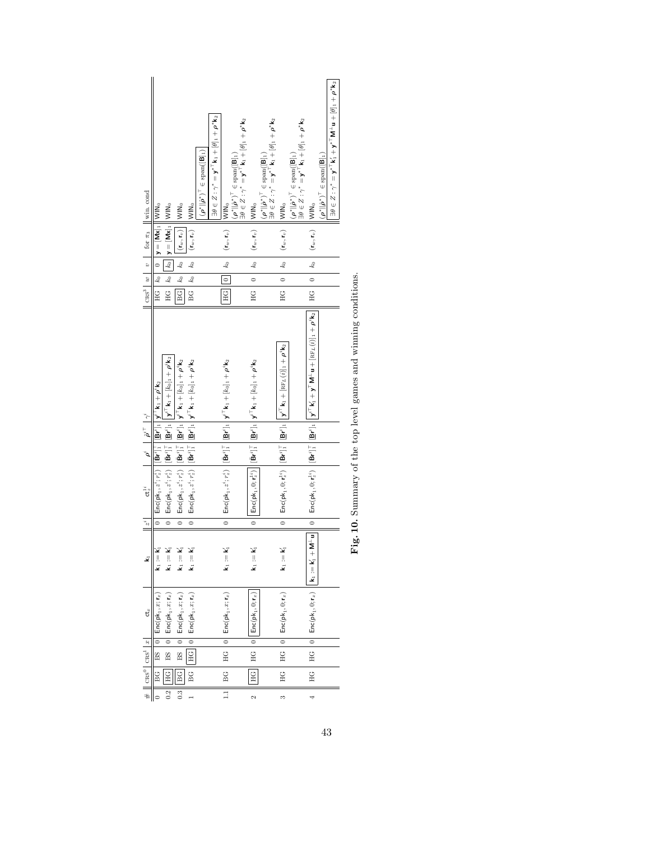| $\left \cos^3 w\right $ v $\left \sin \pi_3\right $ win. cond |                                                                                                                                                                                                                                        |                                                                                                                                                                                                              | WIN <sub>o</sub>                                                                                                                                                                                      |                                                                                                                                                                                                     | $(\rho^*\ \hat{\rho}^*)^{\top} \in \mathrm{span}([\mathsf{B}]_1)$ | $\exists \theta \in Z: \gamma^* = \mathbf{y}^{*\top} \mathbf{k}_1 + [\theta]_1 + \boldsymbol{\rho}^{*\top} \mathbf{k}_2$ |                                                                                                                                                                                      | $\begin{aligned} &\left(\boldsymbol{\rho}^*\ \hat{\boldsymbol{\rho}}^*\right)^\top\in\mathrm{span}([\mathsf{B}]_1)\\ \exists\theta\in Z:\gamma^*=\mathbf{y}^{*\top}\mathsf{k}_1+[\theta]_1+\boldsymbol{\rho}^*\mathsf{k}_2 \end{aligned}$ | $(\mathbf{r}_w, \mathbf{r}_v)$   WIN <sub>0</sub>                                                                                                                                                                                         | $\begin{aligned} &(\pmb{\rho}^{\ast}\Vert\hat{\pmb{\rho}}^{\ast})^{\top}\in\text{span}([\pmb{\mathsf{B}}]_{1})\\ \exists \theta \in Z: \gamma^{\ast}=\mathbf{y}^{\ast^{\top}}\mathbf{k}_{1}+[\theta]_{1}+\pmb{\rho}^{\ast}\mathbf{k}_{2} \end{aligned}$ | $(\mathbf{r}_w, \mathbf{r}_v)$   VIN <sub>0</sub>                                                                                                                                                                                     | $\begin{aligned} &(\pmb{\rho}^{\ast}\Vert\hat{\pmb{\rho}}^{\ast})^{\top}\in\text{span}([\pmb{\mathsf{B}}]_{1})\\ \exists \theta \in Z: \gamma^{\ast}=\mathbf{y}^{\ast^{\top}}\mathbf{k}_{1}+[\theta]_{1}+\pmb{\rho}^{\ast}\mathbf{k}_{2} \end{aligned}$ |                                                                                                                                                                                                                                                                                                                                                                             | $\exists \theta \in Z: \gamma^* = \mathbf{y}^{*\top} \mathsf{k}_1' + \mathbf{y}^{*\top} \mathsf{M}^{\bot} \mathsf{u} + [\theta]_1 + \rho^* \mathsf{k}_2$<br>$(\rho^*    \hat{\rho}^*)^{\top} \in \text{span}([\mathsf{B}]_1)$ |
|---------------------------------------------------------------|----------------------------------------------------------------------------------------------------------------------------------------------------------------------------------------------------------------------------------------|--------------------------------------------------------------------------------------------------------------------------------------------------------------------------------------------------------------|-------------------------------------------------------------------------------------------------------------------------------------------------------------------------------------------------------|-----------------------------------------------------------------------------------------------------------------------------------------------------------------------------------------------------|-------------------------------------------------------------------|--------------------------------------------------------------------------------------------------------------------------|--------------------------------------------------------------------------------------------------------------------------------------------------------------------------------------|-------------------------------------------------------------------------------------------------------------------------------------------------------------------------------------------------------------------------------------------|-------------------------------------------------------------------------------------------------------------------------------------------------------------------------------------------------------------------------------------------|---------------------------------------------------------------------------------------------------------------------------------------------------------------------------------------------------------------------------------------------------------|---------------------------------------------------------------------------------------------------------------------------------------------------------------------------------------------------------------------------------------|---------------------------------------------------------------------------------------------------------------------------------------------------------------------------------------------------------------------------------------------------------|-----------------------------------------------------------------------------------------------------------------------------------------------------------------------------------------------------------------------------------------------------------------------------------------------------------------------------------------------------------------------------|-------------------------------------------------------------------------------------------------------------------------------------------------------------------------------------------------------------------------------|
|                                                               | $H G$   $k_0$   $y = [Mx]_1$   $N N_0$                                                                                                                                                                                                 | $HG \mid k_0 \mid k_0 \mid y = [Mx]_1 \mid WIN_0$                                                                                                                                                            | $\left\Vert \left(\mathbf{r}_{w},\mathbf{r}_{v}\right)\right\Vert \right\Vert$                                                                                                                        | $(\mathbf{r}_w, \mathbf{r}_v)$   VIN <sub>0</sub>                                                                                                                                                   |                                                                   |                                                                                                                          | $(\mathbf{r}_w, \mathbf{r}_v)$   WIN <sub>0</sub>                                                                                                                                    |                                                                                                                                                                                                                                           |                                                                                                                                                                                                                                           |                                                                                                                                                                                                                                                         |                                                                                                                                                                                                                                       |                                                                                                                                                                                                                                                         | $(\mathbf{r}_w, \mathbf{r}_v)$   VIIN <sub>0</sub>                                                                                                                                                                                                                                                                                                                          |                                                                                                                                                                                                                               |
|                                                               |                                                                                                                                                                                                                                        |                                                                                                                                                                                                              |                                                                                                                                                                                                       |                                                                                                                                                                                                     |                                                                   |                                                                                                                          |                                                                                                                                                                                      |                                                                                                                                                                                                                                           |                                                                                                                                                                                                                                           |                                                                                                                                                                                                                                                         |                                                                                                                                                                                                                                       |                                                                                                                                                                                                                                                         |                                                                                                                                                                                                                                                                                                                                                                             |                                                                                                                                                                                                                               |
|                                                               |                                                                                                                                                                                                                                        |                                                                                                                                                                                                              | $BG \parallel k_0 \parallel k_0 \parallel$                                                                                                                                                            | $BG \mid k_0 \mid k_0$                                                                                                                                                                              |                                                                   |                                                                                                                          | $HG \parallel 0 \parallel k_0$                                                                                                                                                       |                                                                                                                                                                                                                                           | $\begin{vmatrix} 0 & k_0 \end{vmatrix}$                                                                                                                                                                                                   |                                                                                                                                                                                                                                                         | $\begin{vmatrix} 0 & k_0 \end{vmatrix}$                                                                                                                                                                                               |                                                                                                                                                                                                                                                         | $HG \mid 0 \mid k_0$                                                                                                                                                                                                                                                                                                                                                        |                                                                                                                                                                                                                               |
|                                                               |                                                                                                                                                                                                                                        |                                                                                                                                                                                                              |                                                                                                                                                                                                       |                                                                                                                                                                                                     |                                                                   |                                                                                                                          |                                                                                                                                                                                      |                                                                                                                                                                                                                                           | $\Xi$                                                                                                                                                                                                                                     |                                                                                                                                                                                                                                                         | E                                                                                                                                                                                                                                     |                                                                                                                                                                                                                                                         |                                                                                                                                                                                                                                                                                                                                                                             |                                                                                                                                                                                                                               |
|                                                               |                                                                                                                                                                                                                                        | $0\ \Big \ \mathsf{Enc}(\mathsf{pk}_1, z^i; r_z^i)\ \Big \ [\bar{\mathsf{Br}}^i]_1^{\top}\ \Big \ [\underline{\mathsf{Br}}^i]_1\ \Big \ \big  \mathsf{y}^{i\top}\mathsf{k}_1 + [k_0]_1 + \rho^i\mathsf{k}_2$ | $0\ \Big \ \mathsf{Enc}(\mathsf{pk}_1, z^i; r_z^i)\ \Big \ [\bar{\mathsf{Br}}^i]_1^{\top}\ \Big \ [\underline{\mathsf{Br}}^i]_1\ \Big \ \mathsf{y}^{i\top}\mathsf{k}_1+ [k_0]_1 + \rho^i\mathsf{k}_2$ | $0\ \Big \ \mathsf{Enc}(\mathsf{pk}_1, z^i; \tau_z^i)\ \Big \ [\bar{\mathsf{Br}}^i]_1^{\top}\ \Big \ [\bar{\mathsf{Br}}^i]_1\ \Big \ \mathsf{y}^{i\top}\mathsf{k}_1 + [k_0]_1 + \rho^i\mathsf{k}_2$ |                                                                   |                                                                                                                          | $0 \parallel {\sf Enc}({\sf pk}_1, z^i; r_z^i) \parallel [{\bar{\sf Br}^i}]_1^{\top} \parallel [{\bar{\sf Br}^i}]_1 \parallel {\sf y}^{i\top}{\sf k}_1 + [k_0]_1 + \rho^i {\sf k}_2$ |                                                                                                                                                                                                                                           | $\begin{array}{ c c } \hline [\bar{\mathbf{B}} \mathbf{r}^t]^\top_1 \begin{array}{ c c } \hline [\bar{\mathbf{B}} \mathbf{r}^t]_1 \end{array} & \mathbf{y}^{i\top} \mathbf{k}_1 + [k_0]_1 + \rho^i \mathbf{k}_2 \end{array} \label{eq:4}$ |                                                                                                                                                                                                                                                         | $\mathsf{Enc}(\mathsf{pk}_1, 0; \mathsf{r}_s^{1*}) \ \left  \ [\bar{\mathsf{Br}}^i]_1^\top \ \right  \ [\underline{\mathsf{Br}}^i]_1 \ \left  \ \mathsf{y}^{i\top} \mathsf{k}_1 + [\texttt{RF}_L(i)]_1 + \rho^i \mathsf{k}_2 \right.$ |                                                                                                                                                                                                                                                         | $\Big\ \ 0\ \Big\  \ \mathsf{Enc}(\mathsf{pk}_1, 0; \mathsf{r}_\varepsilon^{\mathsf{ls}}) \ \ \Big\  \, [\mathsf{Br}^{\mathsf{ls}}]^\top_1 \ \Big\  \, \mathsf{Br}^{\mathsf{ls}} \mathsf{ls}_1 \ \Big\  \ \mathsf{y}^{\mathsf{cr}} \ \mathsf{k}_1^\mathsf{l} + \mathsf{y}^\mathsf{T} \ \mathsf{M}^{\perp} \mathsf{u} + [\textsf{RF}_L(i)]_1 + \rho^i \mathsf{k}_2 \ \Big\ $ |                                                                                                                                                                                                                               |
|                                                               |                                                                                                                                                                                                                                        |                                                                                                                                                                                                              |                                                                                                                                                                                                       |                                                                                                                                                                                                     |                                                                   |                                                                                                                          |                                                                                                                                                                                      |                                                                                                                                                                                                                                           |                                                                                                                                                                                                                                           |                                                                                                                                                                                                                                                         |                                                                                                                                                                                                                                       |                                                                                                                                                                                                                                                         |                                                                                                                                                                                                                                                                                                                                                                             |                                                                                                                                                                                                                               |
|                                                               |                                                                                                                                                                                                                                        |                                                                                                                                                                                                              |                                                                                                                                                                                                       |                                                                                                                                                                                                     |                                                                   |                                                                                                                          |                                                                                                                                                                                      |                                                                                                                                                                                                                                           |                                                                                                                                                                                                                                           |                                                                                                                                                                                                                                                         |                                                                                                                                                                                                                                       |                                                                                                                                                                                                                                                         |                                                                                                                                                                                                                                                                                                                                                                             |                                                                                                                                                                                                                               |
| $  z^i  $ and $ p^i $ $ p^{i\top} $ $ \gamma^i $              | $\left[0\right]$ Enc(pk <sub>1</sub> , $z^i; r_z^i$ ) $\left[\left[\mathbf{\bar{B}} \mathbf{r}^i\right]_1^T$ $\left[\left.\mathbf{\bar{B}} \mathbf{r}^i\right]_1\right]$ $\mathbf{y}^{i\top}$ k <sub>1</sub> + $\rho^i$ k <sub>2</sub> |                                                                                                                                                                                                              |                                                                                                                                                                                                       |                                                                                                                                                                                                     |                                                                   |                                                                                                                          |                                                                                                                                                                                      |                                                                                                                                                                                                                                           | $\mathsf{Enc}(\mathsf{pk}_1, 0; \mathsf{r}_z^{1i})$<br>$\circ$                                                                                                                                                                            |                                                                                                                                                                                                                                                         | $\circ$                                                                                                                                                                                                                               |                                                                                                                                                                                                                                                         |                                                                                                                                                                                                                                                                                                                                                                             |                                                                                                                                                                                                                               |
|                                                               |                                                                                                                                                                                                                                        |                                                                                                                                                                                                              |                                                                                                                                                                                                       |                                                                                                                                                                                                     |                                                                   |                                                                                                                          |                                                                                                                                                                                      |                                                                                                                                                                                                                                           |                                                                                                                                                                                                                                           |                                                                                                                                                                                                                                                         |                                                                                                                                                                                                                                       |                                                                                                                                                                                                                                                         | $\overline{\mathbf{v}^{\perp}}$                                                                                                                                                                                                                                                                                                                                             |                                                                                                                                                                                                                               |
| Ž                                                             | $\mathbf{k}_1 := \mathbf{k}'_1$                                                                                                                                                                                                        | $\mathbf{k}_1 := \mathbf{k}'_1$                                                                                                                                                                              | $\mathbf{k}_1 := \mathbf{k}'_1$                                                                                                                                                                       | $\mathbf{k}_1 := \mathbf{k}'_1$                                                                                                                                                                     |                                                                   |                                                                                                                          | $\mathbf{k}_1 := \mathbf{k}'_1$                                                                                                                                                      |                                                                                                                                                                                                                                           | $\mathsf{k}_1:=\mathsf{k}'_1$                                                                                                                                                                                                             |                                                                                                                                                                                                                                                         | $\mathsf{k}_1:=\mathsf{k}'_1$                                                                                                                                                                                                         |                                                                                                                                                                                                                                                         | $  k_1  = k'_1 + 1$                                                                                                                                                                                                                                                                                                                                                         |                                                                                                                                                                                                                               |
| $\mathsf{ct}_x$                                               | $BS \mid 0 \mid$ Enc(pk <sub>1</sub> , x;r <sub>x</sub> )                                                                                                                                                                              | $\begin{array}{c c c c} \text{BS} & \text{of} & \text{Enc}(\mathsf{pk}_1, x; \mathsf{r}_x) \end{array}$                                                                                                      | $BS \mid 0$ Enc(pk <sub>1</sub> , x;r <sub>z</sub> )                                                                                                                                                  | $\begin{array}{ c c } \hline \texttt{HG} & \texttt{0} & \texttt{Enc}(\texttt{pk}_1, x; \textbf{r}_x) \hline \end{array}$                                                                            |                                                                   |                                                                                                                          | $BG$   $HG$   $0$   $Enc(pk_1, x; r_x)$                                                                                                                                              |                                                                                                                                                                                                                                           | $HG \parallel 0 \parallel$ Enc(pk <sub>1</sub> , 0; r <sub>a</sub> )                                                                                                                                                                      |                                                                                                                                                                                                                                                         | $HG \mid 0 \mid$ $Enc(pk_1, 0; r_x)$                                                                                                                                                                                                  |                                                                                                                                                                                                                                                         | $HG \mid 0 \mid$ $Enc(pk_1, 0; r_x)$                                                                                                                                                                                                                                                                                                                                        |                                                                                                                                                                                                                               |
|                                                               |                                                                                                                                                                                                                                        |                                                                                                                                                                                                              |                                                                                                                                                                                                       |                                                                                                                                                                                                     |                                                                   |                                                                                                                          |                                                                                                                                                                                      |                                                                                                                                                                                                                                           |                                                                                                                                                                                                                                           |                                                                                                                                                                                                                                                         |                                                                                                                                                                                                                                       |                                                                                                                                                                                                                                                         |                                                                                                                                                                                                                                                                                                                                                                             |                                                                                                                                                                                                                               |
| $\# \ \text{cas}^0   \text{cas}^1   x$                        | $rac{1}{2}$                                                                                                                                                                                                                            | $\frac{1}{2}$                                                                                                                                                                                                | $\overline{BC}$                                                                                                                                                                                       | $rac{1}{2}$                                                                                                                                                                                         |                                                                   |                                                                                                                          |                                                                                                                                                                                      |                                                                                                                                                                                                                                           | HG                                                                                                                                                                                                                                        |                                                                                                                                                                                                                                                         | HG                                                                                                                                                                                                                                    |                                                                                                                                                                                                                                                         | HG                                                                                                                                                                                                                                                                                                                                                                          |                                                                                                                                                                                                                               |
|                                                               |                                                                                                                                                                                                                                        | 0.2                                                                                                                                                                                                          | $\frac{1}{3}$                                                                                                                                                                                         |                                                                                                                                                                                                     |                                                                   |                                                                                                                          | $\overline{1.1}$                                                                                                                                                                     |                                                                                                                                                                                                                                           |                                                                                                                                                                                                                                           |                                                                                                                                                                                                                                                         |                                                                                                                                                                                                                                       |                                                                                                                                                                                                                                                         |                                                                                                                                                                                                                                                                                                                                                                             |                                                                                                                                                                                                                               |

| i<br>Elementaria                                                                                                 |
|------------------------------------------------------------------------------------------------------------------|
| $+0.7$ $\sim$ $-0.7$ $\sim$ $-0.7$ $\sim$ $-0.7$ $\sim$ $-0.7$ $\sim$ $-0.7$ $\sim$ $-0.7$ $\sim$<br>i<br>I<br>ï |
| うらまる                                                                                                             |
| i                                                                                                                |
|                                                                                                                  |
| J                                                                                                                |
| $2 + 1 + 2$<br>į                                                                                                 |
| ;<br>ł                                                                                                           |
| ;<br>;                                                                                                           |
| I                                                                                                                |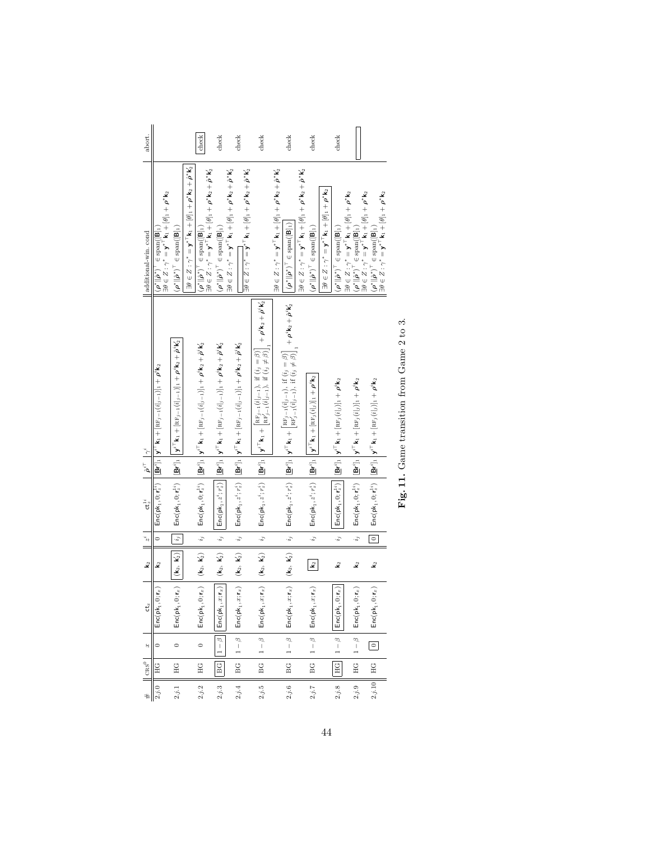| abort.                                  |                                                                                                                                                                                                                      |                                                                                                                                                                                                                                     |                                                                                                                                   | check                                                                                                                                                                                                                            | check                                                                                                                                                                                                                                 | check                                                                                                                                                                                                                                                                                                       | check                                                                                                                                                                                                                                                                                              |                                                                                                                                     | check                                                                                                                                                                                                                                                                                                  | check                                                                                                                                                                                                                              |                                                                                                           | check                                                                                   |                                                                                                                                                                                                                                                                                                                               |                                                                                                                                                                                                                                                                                        |  |
|-----------------------------------------|----------------------------------------------------------------------------------------------------------------------------------------------------------------------------------------------------------------------|-------------------------------------------------------------------------------------------------------------------------------------------------------------------------------------------------------------------------------------|-----------------------------------------------------------------------------------------------------------------------------------|----------------------------------------------------------------------------------------------------------------------------------------------------------------------------------------------------------------------------------|---------------------------------------------------------------------------------------------------------------------------------------------------------------------------------------------------------------------------------------|-------------------------------------------------------------------------------------------------------------------------------------------------------------------------------------------------------------------------------------------------------------------------------------------------------------|----------------------------------------------------------------------------------------------------------------------------------------------------------------------------------------------------------------------------------------------------------------------------------------------------|-------------------------------------------------------------------------------------------------------------------------------------|--------------------------------------------------------------------------------------------------------------------------------------------------------------------------------------------------------------------------------------------------------------------------------------------------------|------------------------------------------------------------------------------------------------------------------------------------------------------------------------------------------------------------------------------------|-----------------------------------------------------------------------------------------------------------|-----------------------------------------------------------------------------------------|-------------------------------------------------------------------------------------------------------------------------------------------------------------------------------------------------------------------------------------------------------------------------------------------------------------------------------|----------------------------------------------------------------------------------------------------------------------------------------------------------------------------------------------------------------------------------------------------------------------------------------|--|
| additional-win.cond                     | $\exists \theta \in Z: \gamma^* = \mathbf{y}^{*\top}\mathbf{k}_1 + [\theta]_1 + \rho^*\mathbf{k}_2$<br>$(\boldsymbol{\rho}^* \  \boldsymbol{\hat{\rho}}^*)^{\top} \in \text{span}(\llbracket \mathbf{B} \rrbracket)$ | $(\rho^* \ \hat{\rho}^*)^{\top} \in \text{span}([\mathsf{B}]_1)$                                                                                                                                                                    | $\exists \theta \in Z: \gamma^* = \mathbf{y}^{*\top} \mathbf{k}_1 + [\theta]_1 + \rho^* \mathbf{k}_2 + \hat{\rho}^* \mathbf{k}_2$ | $\begin{aligned} (\rho^* \  \hat{\rho}^*)^\top \in \text{span}([\mathsf{B}]_1) \\ \exists \theta \in Z: \gamma^* = \mathbf{y}^*^\top \mathbf{k}_1 + [\theta]_1 + \rho^* \mathbf{k}_2 + \hat{\rho}^* \mathbf{k}_2' \end{aligned}$ | $(\rho^* \ \hat{\rho}^*)^{\top} \in \text{span}([\mathsf{B}]_1)$                                                                                                                                                                      | $\exists \theta \in Z: \gamma^* = \mathbf{y}^{*\top} \mathbf{k}_1 + [\theta]_1 + \rho^* \mathbf{k}_2 + \hat{\rho}^* \mathbf{k}_2^2$<br>$\exists \theta \in Z: \gamma^* = \mathbf{y}^{*\top} \mathbf{k}_1 + [\theta]_1 + \rho^* \mathbf{k}_2 + \hat{\rho}^* \mathbf{k}_2'$                                   |                                                                                                                                                                                                                                                                                                    | $\exists \theta \in Z: \gamma^* = \mathbf{y}^{*\top} \mathbf{k}_1 + [\theta]_1 + \rho^* \mathbf{k}_2 + \hat{\rho}^* \mathbf{k}_2^T$ | $\left\Vert \left\Vert \left( \rho^{\ast}\Vert \rho^{\ast}\right) ^{\top}\in\mathrm{span}(\left[\mathsf{B}\right]_{1}\right) \right\Vert$                                                                                                                                                              | $\exists \theta \in Z: \gamma^* = \mathbf{y}^{*\top} \mathsf{k}_1 + [\theta]$ , $\vdash \rho^* \mathsf{k}_2 + \hat{\rho}^* \mathsf{k}_2'$<br>$\left( \rho^* \  \hat{\rho}^* \right)^{\top} \in \mathrm{span} ( [ \mathsf{B} ]_1 )$ | $\exists \theta \in Z: \gamma^* = \mathbf{y}^{*\top} \mathbf{k}_1 + [\theta]_1 + \rho^{*\}} \mathbf{k}_2$ | $(\boldsymbol{\rho}^*\ \hat{\boldsymbol{\rho}}^*)^{\top}\in\text{span}([\mathsf{B}]_1)$ | $\begin{aligned} &\exists \theta \in Z: \gamma^* = \mathbf{y}^* \mathbf{\bar{K}}_1 + [\theta]_1 + \rho^* \mathbf{k}_2 \\ &(\rho^* \  \hat{\boldsymbol{\rho}}^*)^\top \in \mathrm{span}([\mathbf{B}]_1) \\ &\exists \theta \in Z: \gamma^* = \mathbf{y}^* \mathbf{\bar{K}}_1 + [\theta]_1 + \rho^* \mathbf{k}_2 \end{aligned}$ | $\begin{array}{l} \left( \boldsymbol{\rho}^* \  \boldsymbol{\hat{\rho}}^* \right)^\top \in \mathrm{span} ( \left[ \mathbf{B} \right]_1 ) \\ \exists \theta \in Z: \gamma^* = \mathbf{y}^{*\top} \mathsf{k}_1 + \left[ \theta \right]_1 + \boldsymbol{\rho}^* \mathsf{k}_2 \end{array}$ |  |
| $\mid \hat{\rho}^{i\top} \mid \gamma^i$ | $\mathsf{Enc}(\mathsf{pk}_1, 0; \mathsf{r}_z^{I*}) \mathbin{\left  \left[ \mathbf{B} \mathsf{r}^l \right]_1 \right } \mathsf{y}^{I \top} \mathsf{k}_1 + [\mathrm{RF}_{j-1}(i _{j-1})]_1 + \rho^i \mathsf{k}_2$       | $\mathsf{Enc}(\mathsf{pk}_1, 0; \mathsf{r}_s^{1*}) \mathbin{\Big } \mathbf{B} \mathsf{r}^i]_1 \mathbin{\Big } \mathsf{y}^{i\top} \mathsf{k}_1 + [\mathtt{RF}_{j-1}(i _{j-1})]_1 + \rho^i \mathsf{k}_2 + \hat{\rho}^i \mathsf{k}'_2$ |                                                                                                                                   | $\mathsf{Enc}(\mathsf{pk}_1, 0; \mathsf{r}_s^{1s}) \ \left  \ [\mathsf{Br}^i]_1 \ \middle  \ \mathsf{y}^{i\top}\mathsf{kr}_1 + [\mathsf{RF}_{j-1}(i _{j-1})]_1 + \rho^i\mathsf{kr}_2 + \hat{\rho}^i\mathsf{k}_2' \right $        | $i_j\ \left\ \ \mathsf{Enc}(\mathsf{pk}_1, z^i; r_z^i)\ \right\  \left\  \underline{\mathsf{Br}}' \right\ _1 \ \mathsf{y}^{i\top}\mathsf{k}_1 + [\mathsf{RF}_j]_{-1} (i _j-1)]_1 + \rho^i \mathsf{k}_2 + \hat{\rho}^i \mathsf{k}_2^i$ | $\left[ \begin{array}{c} i_j \\ \end{array} \right] \; \mathsf{Enc}(\mathsf{pk}_1, z^i; r_z^i) \; \left[ \begin{array}{c} [\mathbf{B} \boldsymbol{r}^i]_1 \\ \end{array} \right] \mathbf{y}^{i\top} \mathbf{k}_1 + [\mathsf{RF}_j]_{-1} (i _{j-1}) ]_1 + \rho^i \mathsf{k}_2 + \hat{\rho}^i \mathsf{k}_2^i$ | $\mathsf{Enc}(\mathsf{pk}_1, z^t; r_z^t) \ \left  \ \left  \mathbf{B}^{s^t}\right _1 \left  \ \mathbf{y}^{t^{\top}}\mathbf{k}_1 + \left[ \operatorname{RF}_{j-1}^t(i_{j-1}), \ \operatorname{if} \ (i_j = \beta) \right]_{\mathbf{1}} + \rho^t \mathbf{k}_2 + \dot{\rho}^t \mathbf{k}_2^t \right.$ |                                                                                                                                     | $\mathsf{Enc}(\mathsf{pk}_1, z^i, r_z^i) \quad \bigg \, [\underline{\mathsf{Br}'}]_1 \,\bigg  \, \mathsf{y}^{\mathsf{T} \mathsf{T}} \mathsf{k}_1 + \bigg[ \mathsf{RF}_{j-1}^{\mathsf{T}}(i _{j-1}), \; \text{if}\; (i_j = \beta) \bigg]_1 \, + \, \rho^i \mathsf{k}_2 + \, \dot{\rho}^i \mathsf{k}'_2$ | $i_j\quad \  \textsf{Enc}(\mathsf{pk}_1,z^i;r_z^i)\quad \  \  \left\Vert {\bf B} {\bf r}^i\right\Vert_1\ \ \left\Vert {\bf y}^{i\top}{\bf k}_1+\left[\mathrm{RF}_j(i _j)\right]_1+\rho^i{\bf k}_2$                                 |                                                                                                           |                                                                                         | $\mathsf{Enc}(\mathsf{pk}_1, 0; \mathsf{r}_s^{\mathsf{lt}}) \ \left  \ [\mathbf{Br}^i]_1 \ \right  \mathbf{y}^{i\top}\mathbf{k}_1 + [\mathsf{RF}_j(i _j)]_1 + \rho^i \mathsf{k}_2$                                                                                                                                            | $\mathsf{Enc}(\mathsf{pk}_1, 0; \mathsf{r}_z^{1i}) \quad \left  \left[ \underline{\mathsf{Br}}^i \right]_1 \right  \mathsf{y}^{i\top} \mathsf{k}_1 + [\mathsf{RF}_j(i _j)]_1 + \rho^i \mathsf{k}_2$                                                                                    |  |
|                                         |                                                                                                                                                                                                                      |                                                                                                                                                                                                                                     |                                                                                                                                   |                                                                                                                                                                                                                                  |                                                                                                                                                                                                                                       |                                                                                                                                                                                                                                                                                                             |                                                                                                                                                                                                                                                                                                    |                                                                                                                                     |                                                                                                                                                                                                                                                                                                        |                                                                                                                                                                                                                                    |                                                                                                           |                                                                                         |                                                                                                                                                                                                                                                                                                                               |                                                                                                                                                                                                                                                                                        |  |
| $ct_z^{1i}$                             |                                                                                                                                                                                                                      |                                                                                                                                                                                                                                     |                                                                                                                                   |                                                                                                                                                                                                                                  |                                                                                                                                                                                                                                       |                                                                                                                                                                                                                                                                                                             |                                                                                                                                                                                                                                                                                                    |                                                                                                                                     |                                                                                                                                                                                                                                                                                                        |                                                                                                                                                                                                                                    |                                                                                                           |                                                                                         |                                                                                                                                                                                                                                                                                                                               |                                                                                                                                                                                                                                                                                        |  |
|                                         |                                                                                                                                                                                                                      | $\Vert i_j \Vert$                                                                                                                                                                                                                   |                                                                                                                                   | $\begin{array}{ c } \hline i_j \end{array}$                                                                                                                                                                                      |                                                                                                                                                                                                                                       |                                                                                                                                                                                                                                                                                                             | $\begin{array}{ c } \hline i_j \end{array}$                                                                                                                                                                                                                                                        |                                                                                                                                     | $\begin{array}{ c } \hline i_j \end{array}$                                                                                                                                                                                                                                                            |                                                                                                                                                                                                                                    |                                                                                                           | $\ddot{i}$                                                                              | $\ddot{i}$                                                                                                                                                                                                                                                                                                                    | $\boxed{\circ}$                                                                                                                                                                                                                                                                        |  |
| $k_2$ $z^i$                             |                                                                                                                                                                                                                      | $(\mathbf{k}_2,~\mathbf{k}'_2)$                                                                                                                                                                                                     |                                                                                                                                   | $0; \mathbf{r}_x)$ $\begin{bmatrix} (\mathbf{k}_2, \ \mathbf{k}'_2) \end{bmatrix}$                                                                                                                                               | $(\mathbf{k}_2,\;\mathbf{k}'_2)$                                                                                                                                                                                                      |                                                                                                                                                                                                                                                                                                             | $x; \mathbf{r}_x)$ $(\mathbf{k}_2, \mathbf{k}'_2)$                                                                                                                                                                                                                                                 |                                                                                                                                     | $x; \mathbf{r}_x)$ $(\mathbf{k}_2, \mathbf{k}'_2)$                                                                                                                                                                                                                                                     | $\mathbf{k}_2$                                                                                                                                                                                                                     |                                                                                                           | $\mathbf{\hat{z}}$                                                                      | $\mathbf{\hat{z}}$                                                                                                                                                                                                                                                                                                            | $\mathbf{\hat{z}}$                                                                                                                                                                                                                                                                     |  |
| $\mathbf{t}_x$                          | $\mathsf{Enc}(\mathsf{pk}_1, 0; \mathsf{r}_x)$                                                                                                                                                                       | $0; \mathbf{r}_x)$<br>$Enc(\mathsf{pk}_1,$                                                                                                                                                                                          |                                                                                                                                   | $Enc(\mathsf{pk}_1,$                                                                                                                                                                                                             | $x; \mathbf{r}_x)$<br>Enc(pk <sub>1</sub>                                                                                                                                                                                             | $\mathsf{Enc}(\mathsf{pk}_1, x; \mathsf{r}_x) \parallel (\mathsf{k}_2, \, \mathsf{k}'_2)$                                                                                                                                                                                                                   | Enc(pk,                                                                                                                                                                                                                                                                                            |                                                                                                                                     | $Enc(\mathsf{pk}_1$                                                                                                                                                                                                                                                                                    | , $x; \mathbf{r}_x)$<br>$Enc(\mathsf{pk}_1,$                                                                                                                                                                                       |                                                                                                           | $0, \mathbf{r}_x)$<br>$Enc(\mathsf{pk}_1$                                               | $0; \mathbf{r}_x)$<br>$Enc(\mathsf{pk}_1,$                                                                                                                                                                                                                                                                                    | $0; \mathbf{r}_x)$<br>$Enc(\mathsf{pk}_{1},$                                                                                                                                                                                                                                           |  |
| $\omega$                                | $\circ$                                                                                                                                                                                                              |                                                                                                                                                                                                                                     |                                                                                                                                   | $\circ$                                                                                                                                                                                                                          | Φ<br>$\frac{1}{1}$                                                                                                                                                                                                                    | $1-\beta$                                                                                                                                                                                                                                                                                                   | $1-\beta$                                                                                                                                                                                                                                                                                          |                                                                                                                                     | $1-\beta$                                                                                                                                                                                                                                                                                              | $1-\beta$                                                                                                                                                                                                                          |                                                                                                           | $1-\beta$                                                                               | $1-\beta$                                                                                                                                                                                                                                                                                                                     | $\Box$                                                                                                                                                                                                                                                                                 |  |
| $\perp \! \! \! \perp^{\rm os}$ l       | H <sub>G</sub>                                                                                                                                                                                                       | НC                                                                                                                                                                                                                                  |                                                                                                                                   | HG                                                                                                                                                                                                                               | $_{\rm BG}$                                                                                                                                                                                                                           | BG                                                                                                                                                                                                                                                                                                          | BG                                                                                                                                                                                                                                                                                                 |                                                                                                                                     | BG                                                                                                                                                                                                                                                                                                     | BC                                                                                                                                                                                                                                 |                                                                                                           | $rac{}{H}{G}$                                                                           | $H$ G                                                                                                                                                                                                                                                                                                                         |                                                                                                                                                                                                                                                                                        |  |
|                                         | 2. j.0                                                                                                                                                                                                               | 2,j.1                                                                                                                                                                                                                               |                                                                                                                                   | 2.3.2                                                                                                                                                                                                                            | 2.3                                                                                                                                                                                                                                   | 2.5.4                                                                                                                                                                                                                                                                                                       | 2.3.5                                                                                                                                                                                                                                                                                              |                                                                                                                                     | 2.56                                                                                                                                                                                                                                                                                                   | 2.3.7                                                                                                                                                                                                                              |                                                                                                           | 2.38                                                                                    | 2.59                                                                                                                                                                                                                                                                                                                          | $2.3.10$   HG                                                                                                                                                                                                                                                                          |  |

Fig. 11. Game transition from Game 2 to 3. Fig. 11. Game transition from Game 2 to 3.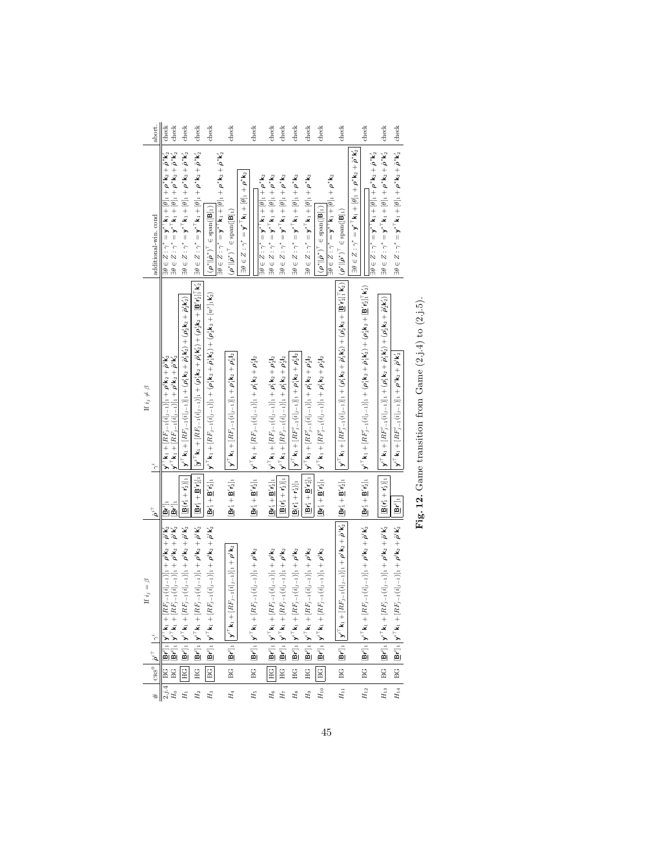| abort.                                                                 | ${\rm check}$<br>${\rm check}$                                                                                                                                                                                                                                                                                                                                                                                          | check                                                                                                                                                                                                                                                                                           | check                                                                                                                                                                                              | check                                                                                                                                                                                                                            | check                                                                                                                                                                                                             | check                                                                                                                                                                                                                   | check                                                                                                                                                        | check                                                                                                                                                                           | check                                                                                                                                                                                                       | check                                                                                                                                                                           | check                                                                                                                                                               | check                                                                                                                                                                                                                                                                                   | check                                                                                                                                                                                                                                                   | check                                                                                                                                                                                                                                                                    | check                                                                                                                                                                                                                                                          |
|------------------------------------------------------------------------|-------------------------------------------------------------------------------------------------------------------------------------------------------------------------------------------------------------------------------------------------------------------------------------------------------------------------------------------------------------------------------------------------------------------------|-------------------------------------------------------------------------------------------------------------------------------------------------------------------------------------------------------------------------------------------------------------------------------------------------|----------------------------------------------------------------------------------------------------------------------------------------------------------------------------------------------------|----------------------------------------------------------------------------------------------------------------------------------------------------------------------------------------------------------------------------------|-------------------------------------------------------------------------------------------------------------------------------------------------------------------------------------------------------------------|-------------------------------------------------------------------------------------------------------------------------------------------------------------------------------------------------------------------------|--------------------------------------------------------------------------------------------------------------------------------------------------------------|---------------------------------------------------------------------------------------------------------------------------------------------------------------------------------|-------------------------------------------------------------------------------------------------------------------------------------------------------------------------------------------------------------|---------------------------------------------------------------------------------------------------------------------------------------------------------------------------------|---------------------------------------------------------------------------------------------------------------------------------------------------------------------|-----------------------------------------------------------------------------------------------------------------------------------------------------------------------------------------------------------------------------------------------------------------------------------------|---------------------------------------------------------------------------------------------------------------------------------------------------------------------------------------------------------------------------------------------------------|--------------------------------------------------------------------------------------------------------------------------------------------------------------------------------------------------------------------------------------------------------------------------|----------------------------------------------------------------------------------------------------------------------------------------------------------------------------------------------------------------------------------------------------------------|
| additional-win. cond                                                   | $\begin{aligned} &\exists \theta \in Z: \gamma^\ast = \mathbf{y}^\ast^\top \mathbf{k}_1 + [\theta]_1 + \rho^\ast \mathbf{k}_2 + \hat{\rho}^\ast \mathbf{k}_2'\\ &\exists \theta \in Z: \gamma^\ast = \mathbf{y}^\ast^\top \mathbf{k}_1 + [\theta]_1 + \rho^\ast \mathbf{k}_2 + \hat{\rho}^\ast \mathbf{k}_2' \end{aligned}$                                                                                             | $\exists \theta \in Z: \gamma^* = \mathbf{y}^{*\top} \mathbf{k}_1 + [\theta]_1 + \boldsymbol{\rho}^* \mathbf{k}_2 + \boldsymbol{\hat{\rho}}^* \mathbf{k}_2^*$                                                                                                                                   | $\exists \theta \in \mathcal{Z}: \gamma^* = \mathbf{y}^{*\top} \mathsf{k}_1 + [\theta]$ , $+ \rho^* \mathsf{k}_2 + \hat{\rho}^* \mathsf{k}_2'$                                                     | $(\rho^* \  \hat{\rho}^*)^{\top} \in \mathrm{span}([\mathsf{B}]_1)$                                                                                                                                                              | $\exists \theta \in Z: \gamma^* = \mathbf{y}^{*+}$ k $_1 + [\theta]_1 + \rho^*$ k $_2 + \hat{\rho}^*$ k $_2'$<br>$\left(\rho^*\ \hat{\rho}^*\right)^{\scriptscriptstyle\mathsf{T}}\in\text{span}(\textbf{[B]_1})$ | $\exists \theta \in Z: \gamma^* = \mathbf{y}^{* \top} \mathbf{k}_1 + [\theta]_1 + \rho^{*} \mathbf{k}_2$<br>$\exists \theta \in Z: \gamma^* = \mathbf{y}^{*\top} \mathbf{k}_1 + [\theta]_1 + \rho^{*\top} \mathbf{k}_2$ | $\exists \theta \in Z: \gamma^* = \mathbf{y}^{*\top} \mathsf{k}_1 + [\theta]_1 + \rho^* \mathsf{k}_2$                                                        | $\exists \theta \in Z: \gamma^* = \mathbf{y}^{*\top} \mathbf{k}_1 + [\theta]_1 + \rho^{*} \mathbf{k}_2$                                                                         | $\exists \theta \in Z: \gamma^* = \mathbf{y}^{*\top} \mathsf{k}_1 + [\theta]_1 + \rho^{*} \mathsf{k}_2$                                                                                                     | $\exists \theta \in Z: \gamma^* = \mathbf{y}^{*\top} \mathbf{k}_1 + [\theta]_1 + \rho^* \mathbf{k}_2$                                                                           | $\exists \theta \in Z: \gamma^* = \mathbf{y}^*$ ' k $_1 + [\theta]_1 + \rho^*$ k $_2$<br>$(\rho^* \ \hat{\rho}^*)^{\top} \in \text{span}([\mathsf{B}]_1)$           |                                                                                                                                                                                                                                                                                         | $\exists \theta \in Z: \gamma^* = \mathbf{y}^{*\top} \mathbf{k}_1 + [\theta]_1 + \rho^* \mathbf{k}_2 + \hat{\rho}^* \mathbf{k}_2'$                                                                                                                      | $\exists \theta \in Z: \gamma^* = \mathbf{y}^{*\top} \mathsf{k}_1 + [\theta]_1 + \rho^* \mathsf{k}_2 + \hat{\rho}^* \mathsf{k}_2'$<br>$\exists \theta \in Z: \gamma^* = \mathbf{y}^{*\top} \mathbf{k}_1 + [\theta]_1 + \rho^* \mathbf{k}_2 + \hat{\rho}^* \mathbf{k}_2'$ | $\exists \theta \in \mathcal{Z}: \gamma^* = \mathbf{y}^{*\top} \mathbf{k}_1 + [\theta]_1 + \rho^* \mathbf{k}_2 + \hat{\rho}^* \mathbf{k}_2$                                                                                                                    |
| If $i_j \neq \beta$                                                    | $\mathbf{y}^{i\top}\mathbf{k}_1 + [RF_{j-1}(i _{j-1})]_1 + \boldsymbol{\rho}^i\mathbf{k}_2 + \hat{\boldsymbol{\rho}}^i\mathbf{k}'_2 \ \mathbf{y}^{i\top}\mathbf{k}_1 + [RF_{j-1}(i _{j-1})]_1 + \boldsymbol{\rho}^i\mathbf{k}_2 + \hat{\boldsymbol{\rho}}^i\mathbf{k}'_2$                                                                                                                                               | $[\mathsf{B}(\mathsf{r}_1^*+\mathsf{r}_2^*)]_1\,\,\Big \, \Big \, \Big \, \mathsf{y}^7^\top \mathsf{k}_1 + [RF_{j-1}(\mathsf{i} _{j-1})]_1 + (\rho_1^\dagger \mathsf{k}_2 + \hat \rho_1^\dagger \mathsf{k}_2^\prime) + (\rho_2^\dagger \mathsf{k}_2 + \hat \rho_2^\dagger \mathsf{k}_2^\prime)$ | $\  \textbf{y}^i \ _{\mathbf{K}_1} + [RF_{j-1}(i]_{j-1})]_1 + (\rho_1^i \textbf{k}_2 + \hat{\rho}_1^i \textbf{k}'_2) + (\rho_2^i \textbf{k}_2 + [\underline{\mathbf{B}}' i_2^i]_1^T \textbf{k}'_2$ | $\mathbf{B} \mathbf{f}_1^* + \mathbf{B}' \mathbf{f}_2^*$   $\mathbf{y}^* \mid \mathbf{k}_1 + [R F_{j-1}(i]_{j-1})]_1 + (\rho_1^* \mathbf{k}_2 + \hat{\rho}_1^* \mathbf{k}'_2) + (\rho_2^* \mathbf{k}_2 + [w^*]_1 \mathbf{k}'_2)$ | $  \mathbf{y}^{i\top}\mathbf{k}_1+ [RF_{j-1}(i _{j-1})]_1+\rho_1^i\mathbf{k}_2+\rho_2^i\mathbf{l}_2$                                                                                                              | $\mathbf{B} \mathbf{r}_1^i + \mathbf{B}' \mathbf{r}_2^i$   $\mathbf{y}^{i\top} \mathbf{k}_1 + [RF_{j-1}(i _{j-1})]_1 + \rho_1^i \mathbf{k}_2 + \rho_2^i$  2                                                             | $Bf_1^i + B'f_2^i$ ] $y^{i\top}k_1 + [RF_{j-1}(i_{j-1})]_1 + \rho_1^i k_2 + \rho_2^i l_2$                                                                    | $[\mathbf{B}(\mathsf{r}_{1}^{i}+\mathsf{r}_{2}^{i})]_{1}\bigcup\mathsf{v}^{i\top}\mathsf{k}_{1}+ [RF_{j-1}(i_{j-1})]_{1}+\rho_{1}^{i}\mathsf{k}_{2}+\rho_{2}^{i}\mathsf{l}_{2}$ | $B(r_1^i + r_2^i)]_1$ $  y^{iT}k_1 + [RF'_{j-1}(i _{j-1})]_1 + \rho_1^i k_2 + \rho_2^i l_2$                                                                                                                 | $[\mathbf{B}\mathbf{r}_1^4+\mathbf{B}'\mathbf{r}_2^1]_1\,\,\Big \,\mathbf{y}^{i\top}\mathbf{k}_1+ [RF_{j-1}^i(i _{j-1})]_1+\rho_1^i\mathbf{k}_2+\rho_2^i\mathbf{l}_2$           | $\mathbf{B} \mathbf{r}_1^* + \mathbf{B}' \mathbf{r}_2^*$ , $\mathbf{y}^{*T} \mathbf{k}_1 + [RF_{j-1}'(i]_{j-1})]_1 + \rho_1^* \mathbf{k}_2 + \rho_2^* \mathbf{l}_2$ | $\left\  \mathbf{y}^{i\top}\mathbf{k}_1 + [RF'_{j-1}(i _{j-1})]_1 + (\rho_1^*\mathbf{k}_2 + \hat{\rho}_1^*\mathbf{k}_2) + (\rho_2^*\mathbf{k}_2 + [\underline{\mathbf{B}}'r_2^i]\overline{1}_1^*\mathbf{k}_2^i)\right\  (\rho^*\ \hat{\rho}^*)^{\top}\in \mathrm{span}([\mathbf{B}]_1)$ | $[\mathbf{B}\mathbf{r}_1^i+\mathbf{B}'\mathbf{r}_2^i]_1-\big[\mathbf{y}^{i\top}\mathbf{k}_1+ [RF'_{j-1}(i]_{j-1})]_1+ (\rho_1^i\mathbf{k}_2+\hat{\rho}_1^i\mathbf{k}_2^i)+(\rho_2^i\mathbf{k}_2+[\mathbf{B}'\mathbf{r}_2^i]\mathbf{I}_i\mathbf{k}_2^i)$ | $\parallel \mathbf{y}^{i\top}\mathbf{k}_1+ [RF'_{j-1}(i _{j-1})]_1+ (\boldsymbol{\rho}_1^*\mathbf{k}_2+\hat{\boldsymbol{\rho}}_1^*\mathbf{k}'_2)+(\boldsymbol{\rho}_2^*\mathbf{k}_2+\hat{\boldsymbol{\rho}}_2^*\mathbf{k}'_2)$                                           | $\mathbf{y}^{i\top}\mathbf{k}_1 + [RF'_{j-1}(i _{j-1})]_1 + \boldsymbol{\rho}^i\mathbf{k}_2 + \boldsymbol{\hat{\rho}}^i\mathbf{k}_2^i$                                                                                                                         |
| $\hat{o}^{i\top}$                                                      | ្ត្រី<br>គ្មាត់                                                                                                                                                                                                                                                                                                                                                                                                         |                                                                                                                                                                                                                                                                                                 | $\left[\mathbf{B}\mathbf{r}_{1}^{t}+\mathbf{B}^{\prime}\mathbf{r}_{2}^{t}\right]_{1}\right]^{T}$                                                                                                   |                                                                                                                                                                                                                                  | $\mathbf{B}\mathbf{r}_1^i + \mathbf{B}'\mathbf{r}_2^i$ 1                                                                                                                                                          |                                                                                                                                                                                                                         |                                                                                                                                                              |                                                                                                                                                                                 |                                                                                                                                                                                                             |                                                                                                                                                                                 |                                                                                                                                                                     | $\mathbf{B}\mathbf{r}_1^i+\mathbf{B}'\mathbf{r}_2^i]_1$                                                                                                                                                                                                                                 |                                                                                                                                                                                                                                                         | $\mathbf{B}(\mathbf{r}_1^i+\mathbf{r}_2^i)\big]_1$                                                                                                                                                                                                                       | $\mathbf{B}^{t}]_1$                                                                                                                                                                                                                                            |
| If $i_j=\beta$<br>$ \cos^0\left \hat{\rho}^{i\top}\right   \gamma^i\>$ | $\begin{array}{ll} 2, jA & \mbox{BC} & \boxed{\mathbf{BC}^1[}1& \mathbf{y'}^1\mathbf{k}_1 + [RF_{j-1}(\mathbf{i} _{j-1})]+ \rho^1\mathbf{k}_2 + \bar{\rho}^1\mathbf{k}_2'\\ H_0 & \mbox{BC} & \boxed{\mathbf{BC}^1[}1& \mathbf{y'}^T\mathbf{k}_1 + [RF_{j-1}(\mathbf{i} _{j-1})]+ \rho^1\mathbf{k}_2 + \bar{\rho}^1\mathbf{k}_2'\\ H_1 & \boxed{\text{HCl}} & \boxed{\mathbf{BC}^1[} & \mathbf{y'}^T\mathbf{k}_1 + [RF$ |                                                                                                                                                                                                                                                                                                 | $\label{eq:HG} \text{HG} \ \left  \underline{\mathbf{Br}}^i ]_1 \right  \mathbf{y}^{i\top}\mathbf{k}_1 + [R F_{j-1}(i _{j-1})]_1 + \rho^i \mathbf{k}_2 + \hat{\rho}^i \mathbf{k}_2^i$              | $[\underline{\mathbf{B}} \mathbf{r}^i]_1 \Bigm  \mathbf{y}^{i\top} \mathbf{k}_1 + [R F_{j-1} (i _{j-1})]_1 + \rho^i \mathbf{k}_2 + \hat{\rho}^i \mathbf{k}_2^i$<br> BG                                                           | $\Big\  \left[\underline{\mathbf{B}} \mathbf{r}^i\right]_1 \Big\  \mathbf{y}^{i\top} \mathbf{k}_1 + \left[R F_{j-1}(i _{j-1})\right]_1 + \rho^i \mathbf{k}_2$<br>BG                                               | $[\underline{\mathbf{B}} \mathbf{r}^i]_1 \Big[\mathbf{y}^{i\top}\mathbf{k}_1 + [RF_{j-1}(i _{j-1})]_1 + \rho^i \mathbf{k}_2$<br>BG                                                                                      | $\boxed{\text{HG}} \text{ } \boxed{ \text{[Br}']_1 \text{ } } \text{ }\boxed{\textbf{y}^{i\top}\textbf{k}_1 + [RF_{j-1}(i _{j-1})]_1 + \rho^i\textbf{k}_2 }$ | $\textbf{H}\textbf{G} \ \left  \ [\underline{\textbf{B}} \textbf{r}^i]_1 \ \middle  \ \textbf{y}^{i\top} \textbf{k}_1 + [R F_{j-1} (i _{j-1})]_1 + \rho^i \textbf{k}_2 \right.$ | $\label{eq:geodesic} \textbf{H}\textbf{G} = \left \begin{array}{c c} \textbf{B}\textbf{r}^i \textbf{1}_1 & \textbf{y}^{i\top}\textbf{k}_1 + [RF_{j-1}(i _{j-1})]_1 + \rho^i\textbf{k}_2 \end{array}\right.$ | $\textbf{H}\textbf{G} \ \left  \ [\underline{\textbf{B}} \textbf{r}^i]_1 \ \middle  \ \textbf{y}^{i\top} \textbf{k}_1 + [R F_{j-1} (i _{j-1})]_1 + \rho^i \textbf{k}_2 \right.$ | $[\underbar{\mathbf{B}} \mathbf{r}^i]_1 \ \bigg  \ \mathbf{y}^{i\top} \mathbf{k}_1 + [RF_{j-1}(i _{j-1})]_1 + \rho^i \mathbf{k}_2$<br>$\boxed{BC}$                  | $BC \left[ \left[ \underline{\mathbf{B}} \mathbf{r}^{i} \right]_{1} \middle  \left[ \mathbf{y}^{i \top} \mathbf{k}_{1} + \left[ R F_{j-1}(i)_{j-1} \right] \right]_{1} + \rho^{i} \mathbf{k}_{2} + \hat{\rho}^{i} \mathbf{k}_{2} \right]$                                               | $BG \Big  [\underline{\mathbf{B}} \mathbf{r}^i]_1 \Big  \mathbf{y}^{i \top} \mathbf{k}_1 + [RF_{j-1}(i _{j-1})]_1 + \rho^i \mathbf{k}_2 + \hat{\rho}^i \mathbf{k}_2$                                                                                    | BG $\left  \left[\underline{\mathbf{B}} \mathbf{r}^i \right]_1 \right  \mathbf{y}^{i \top} \mathbf{k}_1 + \left[ R F_{j-1}(i _{j-1}) \right]_1 + \rho^i \mathbf{k}_2 + \hat{\rho}^i \mathbf{k}_2^i$                                                                      | $H_{14} \ \left  \begin{array}{c} \operatorname{BG} \ \left  \begin{array}{c} [\underline{\mathsf{Br}}^i]_1 \end{array} \right  \mathbf{y}^{i\top}\mathbf{k}_1 + [RF_{j-1}(i _{j-1})]_1 + \rho^i\mathbf{k}_2 + \dot{\rho}^i\mathbf{k}_2^i \end{array} \right.$ |
|                                                                        |                                                                                                                                                                                                                                                                                                                                                                                                                         |                                                                                                                                                                                                                                                                                                 | $H_2$                                                                                                                                                                                              | $H_3$                                                                                                                                                                                                                            | $\mathcal{H}_4$                                                                                                                                                                                                   | $H_{\rm 5}$                                                                                                                                                                                                             | $H_6$                                                                                                                                                        | $H_7$                                                                                                                                                                           | $H_8$                                                                                                                                                                                                       | $H_9$                                                                                                                                                                           | ${\cal H}_{10}$                                                                                                                                                     | $H_{11}$                                                                                                                                                                                                                                                                                | $H_{\rm 12}$                                                                                                                                                                                                                                            | $H_{13}$                                                                                                                                                                                                                                                                 |                                                                                                                                                                                                                                                                |

Fig. 12. Game transition from Game  $(2. j. 4)$  to  $(2. j. 5)$ Fig. 12. Game transition from Game  $(2.j.4)$  to  $(2.j.5)$ .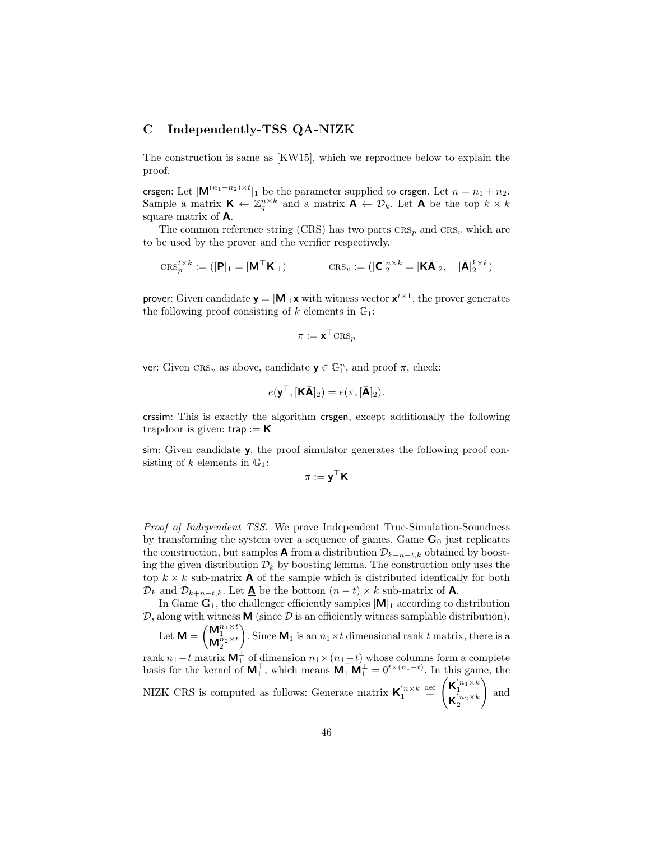# C Independently-TSS QA-NIZK

The construction is same as [KW15], which we reproduce below to explain the proof.

crsgen: Let  $[M^{(n_1+n_2)\times t}]_1$  be the parameter supplied to crsgen. Let  $n = n_1 + n_2$ . Sample a matrix  $\mathbf{K} \leftarrow \mathbb{Z}_q^{n \times k}$  and a matrix  $\mathbf{A} \leftarrow \mathcal{D}_k$ . Let  $\bar{\mathbf{A}}$  be the top  $k \times k$ square matrix of A.

The common reference string  $(CRS)$  has two parts  $CRS_n$  and  $CRS_n$  which are to be used by the prover and the verifier respectively.

$$
\text{CRS}_p^{t \times k} := ([\mathbf{P}]_1 = [\mathbf{M}^\top \mathbf{K}]_1) \qquad \qquad \text{CRS}_v := ([\mathbf{C}]_2^{n \times k} = [\mathbf{K}\bar{\mathbf{A}}]_2, \quad [\bar{\mathbf{A}}]_2^{k \times k})
$$

prover: Given candidate  $\mathbf{y} = [\mathbf{M}]_1 \mathbf{x}$  with witness vector  $\mathbf{x}^{t \times 1}$ , the prover generates the following proof consisting of k elements in  $\mathbb{G}_1$ :

$$
\pi := \mathbf{x}^\top \mathrm{CRS}_p
$$

ver: Given  $CRS_v$  as above, candidate  $\mathbf{y} \in \mathbb{G}_1^n$ , and proof  $\pi$ , check:

$$
e(\mathbf{y}^{\top}, [\mathbf{K}\bar{\mathbf{A}}]_2) = e(\pi, [\bar{\mathbf{A}}]_2).
$$

crssim: This is exactly the algorithm crsgen, except additionally the following trapdoor is given:  $trap := K$ 

sim: Given candidate y, the proof simulator generates the following proof consisting of k elements in  $\mathbb{G}_1$ :

$$
\pi := \mathbf{y}^\top \mathbf{K}
$$

Proof of Independent TSS. We prove Independent True-Simulation-Soundness by transforming the system over a sequence of games. Game  $\mathbf{G}_0$  just replicates the construction, but samples **A** from a distribution  $\mathcal{D}_{k+n-t,k}$  obtained by boosting the given distribution  $\mathcal{D}_k$  by boosting lemma. The construction only uses the top  $k \times k$  sub-matrix **A** of the sample which is distributed identically for both  $\mathcal{D}_k$  and  $\mathcal{D}_{k+n-t,k}$ . Let  $\underline{\mathbf{A}}$  be the bottom  $(n-t) \times k$  sub-matrix of  $\mathbf{A}$ .

In Game  $G_1$ , the challenger efficiently samples  $[M]_1$  according to distribution  $\mathcal{D}$ , along with witness **M** (since  $\mathcal{D}$  is an efficiently witness samplable distribution).

Let  $\mathsf{M} = \begin{pmatrix} \mathsf{M}^{n_1 \times t}_1 \ \mathsf{M}^{n_2 \times t}_2 \end{pmatrix}$ ). Since  $\mathbf{M}_1$  is an  $n_1 \times t$  dimensional rank t matrix, there is a

rank  $n_1-t$  matrix  $\mathbf{M}_1^{\perp}$  of dimension  $n_1 \times (n_1-t)$  whose columns form a complete basis for the kernel of  $M_1^{\top}$ , which means  $M_1^{\top}M_1^{\perp} = 0^{t \times (n_1 - t)}$ . In this game, the NIZK CRS is computed as follows: Generate matrix  $\mathbf{K}'_1^{n \times k} \stackrel{\text{def}}{=} \begin{pmatrix} \mathbf{K}'_1^{n_1 \times k} \\ \mathbf{K}'_1^{n_2 \times k} \end{pmatrix}$  $\bar{\mathsf{K}}_2^{\bar{\iota}_{n_2}\times k}$  $\setminus$ and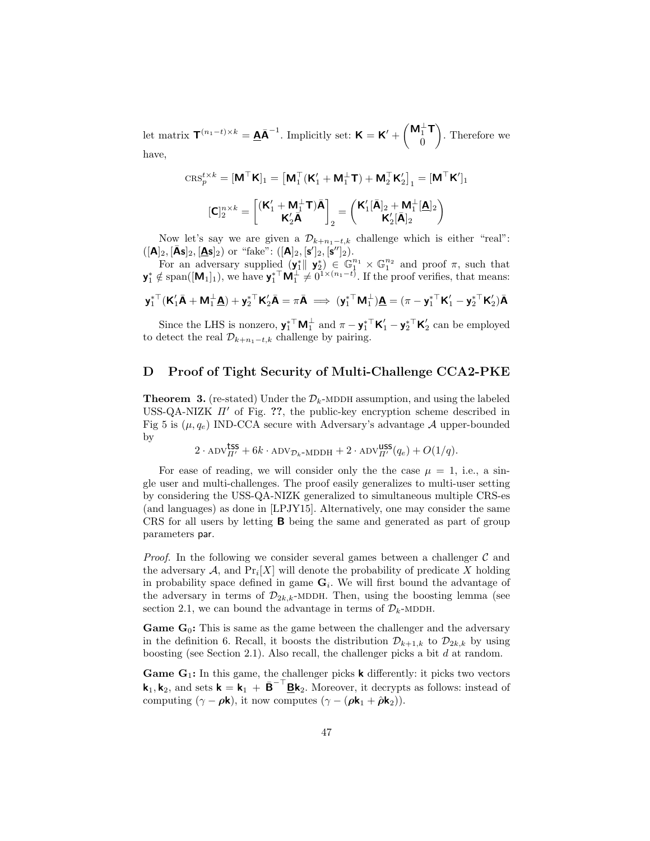let matrix  $\mathbf{T}^{(n_1-t)\times k} = \mathbf{A}\mathbf{\bar{A}}^{-1}$ . Implicitly set:  $\mathbf{K} = \mathbf{K}' + \begin{pmatrix} \mathbf{M}_1^{\perp} \mathbf{T} \\ 0 \end{pmatrix}$ 0 . Therefore we have,

$$
\mathrm{CRS}_p^{t\times k}=\boldsymbol{[}\boldsymbol{\mathsf{M}}^\top\boldsymbol{\mathsf{K}}\boldsymbol{]}_1=\boldsymbol{[}\boldsymbol{\mathsf{M}}_1^\top(\boldsymbol{\mathsf{K}}_1'+\boldsymbol{\mathsf{M}}_1^\bot\boldsymbol{\mathsf{T}})+\boldsymbol{\mathsf{M}}_2^\top\boldsymbol{\mathsf{K}}_2']_1=[\boldsymbol{\mathsf{M}}^\top\boldsymbol{\mathsf{K}}']_1\\ \boldsymbol{[}\boldsymbol{\mathsf{C}}]_2^{n\times k}=\boldsymbol{[}\boldsymbol{(\mathsf{K}}_1'+\boldsymbol{\mathsf{M}}_1^\bot\boldsymbol{\mathsf{T}})\bar{\boldsymbol{\mathsf{A}}}\boldsymbol{]}_{\textbf{K}}_2=\boldsymbol{ \left(\mathsf{K}}_1'[\bar{\boldsymbol{\mathsf{A}}}]_2+\boldsymbol{\mathsf{M}}_1^\bot[\underline{\boldsymbol{\mathsf{A}}}]_2\boldsymbol{)}\\ \boldsymbol{[}\boldsymbol{\mathsf{K}}_2'[\bar{\boldsymbol{\mathsf{A}}}]_2\boldsymbol{]} \boldsymbol{]}
$$

Now let's say we are given a  $\mathcal{D}_{k+n_1-t,k}$  challenge which is either "real":  $([\mathbf{A}]_2, [\bar{\mathbf{A}}\mathbf{s}]_2, [\underline{\mathbf{A}}\mathbf{s}]_2)$  or "fake":  $([\mathbf{A}]_2, [\mathbf{s}']_2, [\mathbf{s}'']_2)$ .

For an adversary supplied  $(\mathbf{y}_1^* \parallel \mathbf{y}_2^*) \in \mathbb{G}_1^{n_1} \times \mathbb{G}_1^{n_2}$  and proof  $\pi$ , such that  $\mathbf{y}_1^* \notin \text{span}([\mathbf{M}_1]_1)$ , we have  $\mathbf{y}_1^{*\top} \mathbf{M}_1^{\top} \neq 0^{\mathbf{1} \times (n_1 - t)}$ . If the proof verifies, that means:

$$
\mathbf{y}_1^{*\top}(\mathbf{K}_1'\bar{\mathbf{A}} + \mathbf{M}_1^\perp\underline{\mathbf{A}}) + \mathbf{y}_2^{*\top}\mathbf{K}_2'\bar{\mathbf{A}} = \pi\bar{\mathbf{A}} \implies (\mathbf{y}_1^{*\top}\mathbf{M}_1^\perp)\underline{\mathbf{A}} = (\pi - \mathbf{y}_1^{*\top}\mathbf{K}_1' - \mathbf{y}_2^{*\top}\mathbf{K}_2')\bar{\mathbf{A}}
$$

Since the LHS is nonzero,  $\mathbf{y}_1^*$ <sup>T</sup>  $\mathbf{M}_1^{\perp}$  and  $\pi - \mathbf{y}_1^*$ <sup>T</sup>  $\mathbf{K}'_1 - \mathbf{y}_2^*$ <sup>T</sup>  $\mathbf{K}'_2$  can be employed to detect the real  $\mathcal{D}_{k+n_1-t,k}$  challenge by pairing.

# D Proof of Tight Security of Multi-Challenge CCA2-PKE

**Theorem 3.** (re-stated) Under the  $\mathcal{D}_k$ -MDDH assumption, and using the labeled USS-QA-NIZK  $\Pi'$  of Fig. ??, the public-key encryption scheme described in Fig 5 is  $(\mu, q_e)$  IND-CCA secure with Adversary's advantage A upper-bounded by

$$
2 \cdot \text{ADV}_{\Pi'}^{\text{LSS}} + 6k \cdot \text{ADV}_{\mathcal{D}_k \text{-MDDH}} + 2 \cdot \text{ADV}_{\Pi'}^{\text{LSS}}(q_e) + O(1/q).
$$

For ease of reading, we will consider only the the case  $\mu = 1$ , i.e., a single user and multi-challenges. The proof easily generalizes to multi-user setting by considering the USS-QA-NIZK generalized to simultaneous multiple CRS-es (and languages) as done in [LPJY15]. Alternatively, one may consider the same CRS for all users by letting B being the same and generated as part of group parameters par.

*Proof.* In the following we consider several games between a challenger  $\mathcal{C}$  and the adversary  $A$ , and  $\Pr_i[X]$  will denote the probability of predicate X holding in probability space defined in game  $G_i$ . We will first bound the advantage of the adversary in terms of  $\mathcal{D}_{2k,k}$ -MDDH. Then, using the boosting lemma (see section 2.1, we can bound the advantage in terms of  $\mathcal{D}_k$ -MDDH.

**Game G<sub>0</sub>:** This is same as the game between the challenger and the adversary in the definition 6. Recall, it boosts the distribution  $\mathcal{D}_{k+1,k}$  to  $\mathcal{D}_{2k,k}$  by using boosting (see Section 2.1). Also recall, the challenger picks a bit  $d$  at random.

**Game G<sub>1</sub>:** In this game, the challenger picks **k** differently: it picks two vectors  $\mathbf{k}_1, \mathbf{k}_2$ , and sets  $\mathbf{k} = \mathbf{k}_1 + \bar{\mathbf{B}}^{-\top} \underline{\mathbf{B}} \mathbf{k}_2$ . Moreover, it decrypts as follows: instead of computing  $(\gamma - \rho \mathbf{k})$ , it now computes  $(\gamma - (\rho \mathbf{k}_1 + \hat{\rho} \mathbf{k}_2)).$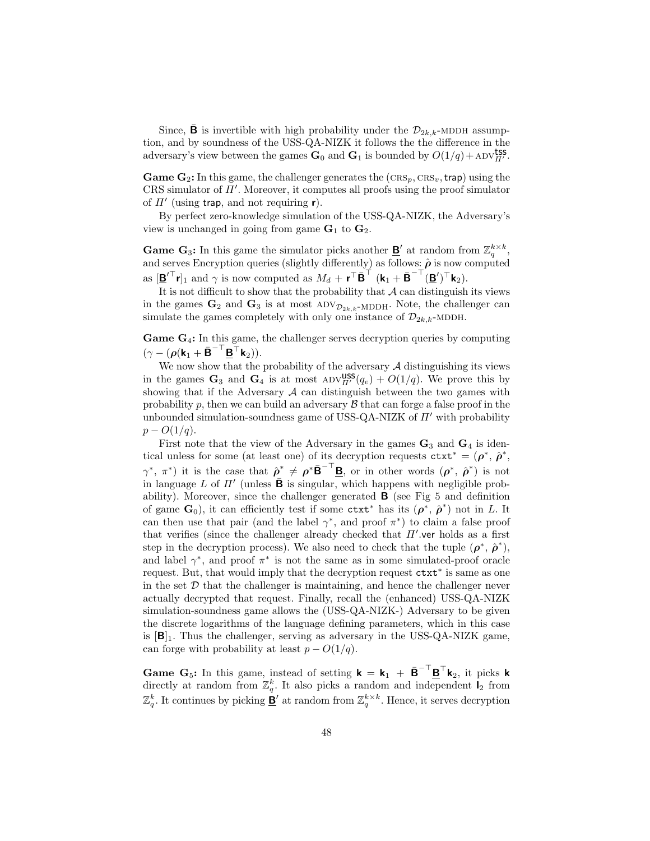Since, **B** is invertible with high probability under the  $\mathcal{D}_{2k,k}$ -MDDH assumption, and by soundness of the USS-QA-NIZK it follows the the difference in the adversary's view between the games  $\mathbf{G}_0$  and  $\mathbf{G}_1$  is bounded by  $O(1/q) + \text{ADV}_{\Pi'}^{\text{tss}}$ .

**Game G<sub>2</sub>:** In this game, the challenger generates the  $(\text{CRS}_p, \text{CRS}_v, \text{trap})$  using the CRS simulator of  $\Pi'$ . Moreover, it computes all proofs using the proof simulator of  $\Pi'$  (using trap, and not requiring r).

By perfect zero-knowledge simulation of the USS-QA-NIZK, the Adversary's view is unchanged in going from game  $G_1$  to  $G_2$ .

**Game G<sub>3</sub>:** In this game the simulator picks another **B'** at random from  $\mathbb{Z}_q^{k \times k}$ , and serves Encryption queries (slightly differently) as follows:  $\hat{\rho}$  is now computed as  $[\underline{\mathbf{B}}'^{\top} \mathbf{r}]_1$  and  $\gamma$  is now computed as  $M_d + \mathbf{r}^{\top} \bar{\mathbf{B}}^{\top} (\mathbf{k}_1 + \bar{\mathbf{B}}^{-\top} (\underline{\mathbf{B}}')^{\top} \mathbf{k}_2)$ .

It is not difficult to show that the probability that  $A$  can distinguish its views in the games  $\mathbf{G}_2$  and  $\mathbf{G}_3$  is at most ADV $_{\mathcal{D}_{2k,k}}$ -MDDH. Note, the challenger can simulate the games completely with only one instance of  $\mathcal{D}_{2k,k}$ -MDDH.

Game G4: In this game, the challenger serves decryption queries by computing  $(\gamma - (\boldsymbol{\rho}(\textbf{k}_1 + \bar{\textbf{B}}^{-\top}\underline{\textbf{B}}^{\top}\textbf{k}_2)).$ 

We now show that the probability of the adversary  $A$  distinguishing its views in the games  $\mathbf{G}_3$  and  $\mathbf{G}_4$  is at most  $\text{ADV}_{\Pi'}^{\text{USS}}(q_e) + O(1/q)$ . We prove this by showing that if the Adversary  $A$  can distinguish between the two games with probability p, then we can build an adversary  $\beta$  that can forge a false proof in the unbounded simulation-soundness game of USS-QA-NIZK of  $\Pi'$  with probability  $p - O(1/q)$ .

First note that the view of the Adversary in the games  $\mathbf{G}_3$  and  $\mathbf{G}_4$  is identical unless for some (at least one) of its decryption requests  $\texttt{ctxt}^* = (\rho^*, \hat{\rho}^*,$  $(\gamma^*, \pi^*)$  it is the case that  $\hat{\rho}^* \neq {\rho^* \bar{\mathbf{B}}}^{-\top} \mathbf{B}$ , or in other words  $({\rho^*, \hat{\rho}^*})$  is not in language L of  $\Pi'$  (unless  $\bar{\mathbf{B}}$  is singular, which happens with negligible probability). Moreover, since the challenger generated  $\bf{B}$  (see Fig 5 and definition of game  $\mathbf{G}_0$ ), it can efficiently test if some ctxt<sup>\*</sup> has its  $(\rho^*, \hat{\rho}^*)$  not in L. It can then use that pair (and the label  $\gamma^*$ , and proof  $\pi^*$ ) to claim a false proof that verifies (since the challenger already checked that  $\Pi'$  ver holds as a first step in the decryption process). We also need to check that the tuple  $(\rho^*, \hat{\rho}^*)$ , and label  $\gamma^*$ , and proof  $\pi^*$  is not the same as in some simulated-proof oracle request. But, that would imply that the decryption request ctxt<sup>∗</sup> is same as one in the set  $D$  that the challenger is maintaining, and hence the challenger never actually decrypted that request. Finally, recall the (enhanced) USS-QA-NIZK simulation-soundness game allows the (USS-QA-NIZK-) Adversary to be given the discrete logarithms of the language defining parameters, which in this case is  $[\mathbf{B}]_1$ . Thus the challenger, serving as adversary in the USS-QA-NIZK game, can forge with probability at least  $p - O(1/q)$ .

**Game G**<sub>5</sub>: In this game, instead of setting  $\mathbf{k} = \mathbf{k}_1 + \bar{\mathbf{B}}^{-\top} \underline{\mathbf{B}}^{\top} \mathbf{k}_2$ , it picks **k** directly at random from  $\mathbb{Z}_q^k$ . It also picks a random and independent  $I_2$  from  $\mathbb{Z}_q^k$ . It continues by picking  $\underline{\mathbf{B}}'$  at random from  $\mathbb{Z}_q^{k\times k}$ . Hence, it serves decryption